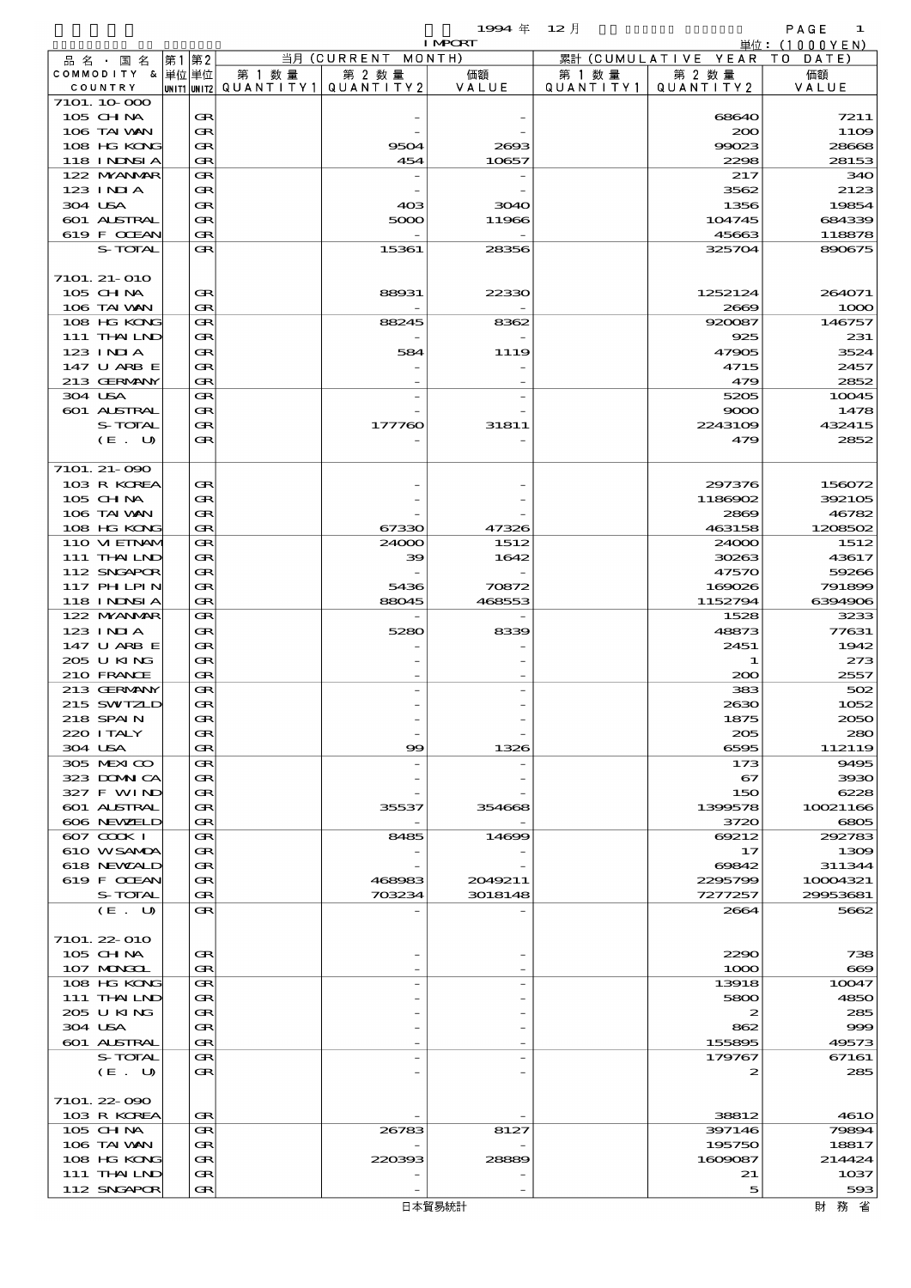$1$ 994  $\#$  12  $\#$  (Fixed Annual) 1994  $\#$  12  $\#$ 

| 当月 (CURRENT MONTH)<br>累計 (CUMULATIVE YEAR TO DATE)<br> 第1 第2 <br>品 名 ・ 国 名<br>COMMODITY & 単位単位<br>第 1 数量<br>第 2 数量<br>第 2 数量<br>価額<br>第 1 数 量<br>価額<br> unit1 unit2  Q∪ANT   TY1  Q∪ANT   TY2<br>VALUE<br>QUANTITY1<br>QUANTITY2<br>VALUE<br>COUNTRY<br>7101. 10 000<br>105 CHNA<br>Œ<br>7211<br>68640<br>106 TAI VAN<br>Œ<br>200<br>108 HG KONG<br>Œ<br>9504<br>99023<br>2693<br>118 INNSI A<br>Œ<br>454<br>10657<br>2298<br>122 MYANMAR<br>Œ<br>217<br>$123$ INIA<br>Œ<br>3562<br>304 USA<br>Œ<br>40 <sup>3</sup><br>1356<br>3040<br><b>601 ALSTRAL</b><br>Œ<br>5000<br>11966<br>104745<br>619 F CCEAN<br>Œ<br>45663<br>S-TOTAL<br>Œ<br>15361<br>28356<br>325704<br>7101. 21-010<br>105 CHNA<br>Œ<br>88931<br>22330<br>1252124<br>264071<br>106 TAI VAN<br>Œ<br>2669<br>108 HG KONG<br>Œ<br>88245<br>920087<br>8362<br>111 THAILND<br>Œ<br>231<br>925<br>123 INIA<br>Œ<br>584<br>1119<br>47905<br>147 U ARB E<br>Œ<br>4715<br>2457<br>213 GERMANY<br>Œ<br>479<br>304 USA<br>5205<br>Œ<br>601 ALSTRAL<br>Œ<br>9000<br>S-TOTAL<br>Œ<br>177760<br>31811<br>2243109<br>(E. U)<br>Œ<br>479<br>7101. 21-090<br>103 R KOREA<br>Œ<br>297376<br>105 CH NA<br>Œ<br>1186902<br>106 TAI VAN<br>Œ<br>2869<br>108 HG KONG<br>Œ<br>67330<br>47326<br>463158<br>110 VIEINAM<br>24000<br>1512<br>Œ<br>24000<br>111 THAILND<br>Œ<br>1642<br>30263<br>39<br>112 SNGAPOR<br>Œ<br>47570<br>117 PHLPIN<br>Œ<br>5436<br>70872<br>169026<br>118 INNSI A<br>1152794<br>Œ<br>88045<br>468553<br>122 MYANMAR<br>1528<br>Œ<br>123 INIA<br>Œ<br>5280<br>8339<br>48873<br>77631<br>147 U ARB E<br>Œ<br>2451<br>205 U KING<br>Œ<br>-1<br>210 FRANCE<br>Œ<br>200<br>213 GERMANY<br>502<br>Œ<br>383<br>215 SWIZLD<br>Œ<br>2630<br>218 SPAIN<br>Œ<br>1875<br>220 I TALY<br>Œ<br>205<br>304 USA<br>Œ<br>99<br>1326<br>6595<br>305 MEXICO<br>Œ<br>173<br>323 DOMNICA<br>Œ<br>67<br>327 F WIND<br>Œ<br>150<br>601 ALSTRAL<br>Œ<br>35537<br>354668<br>1399578<br>606 NEWELD<br>3720<br>Œ<br>607 COOK I<br>8485<br>69212<br>Œ<br>14699<br>610 WSAMDA<br>Œ<br>17<br>618 NEWZALD<br>Œ<br>69842<br>619 F CCEAN<br>Œ<br>2049211<br>2295799<br>10004321<br>468983<br>S-TOTAL<br>Œ<br>703234<br>3018148<br>7277257<br>29953681<br>(E. U)<br>Œ<br>2664<br>7101. 22-010<br>105 CH NA<br>Œ<br>2290<br>107 MONGOL<br>1000<br>Œ<br>108 HG KONG<br>Œ<br>13918<br>111 THAILND<br>Œ<br>5800<br>205 U KING<br>Œ<br>2<br>304 USA<br>Œ<br>862<br>601 ALSTRAL<br>Œ<br>155895<br>S-TOTAL<br>179767<br>67161<br>Œ<br>(E. U)<br>Œ<br>2<br>7101. 22-090<br>103 R KOREA<br>38812<br>Œ<br>105 CH NA<br>Œ<br>26783<br>8127<br>397146<br>106 TAI VAN<br>Œ<br>195750<br>108 HG KONG<br>220393<br>1609087<br>Œ<br>28889<br>111 THAILND<br>Œ<br>21<br>1037<br>112 SNGAPOR<br>Œ<br>5<br>財務省<br>日本貿易統計 |  |  | <b>I MPORT</b> |  | 単位: (1000YEN) |
|------------------------------------------------------------------------------------------------------------------------------------------------------------------------------------------------------------------------------------------------------------------------------------------------------------------------------------------------------------------------------------------------------------------------------------------------------------------------------------------------------------------------------------------------------------------------------------------------------------------------------------------------------------------------------------------------------------------------------------------------------------------------------------------------------------------------------------------------------------------------------------------------------------------------------------------------------------------------------------------------------------------------------------------------------------------------------------------------------------------------------------------------------------------------------------------------------------------------------------------------------------------------------------------------------------------------------------------------------------------------------------------------------------------------------------------------------------------------------------------------------------------------------------------------------------------------------------------------------------------------------------------------------------------------------------------------------------------------------------------------------------------------------------------------------------------------------------------------------------------------------------------------------------------------------------------------------------------------------------------------------------------------------------------------------------------------------------------------------------------------------------------------------------------------------------------------------------------------------------------------------------------------------------------------------------------------------------------------------------------------------------------------------------------------------------------------------------------------------------------------------------------------------------------------------------------------------------------------------------------------------------------------------------------------------------------------------------------------------------|--|--|----------------|--|---------------|
|                                                                                                                                                                                                                                                                                                                                                                                                                                                                                                                                                                                                                                                                                                                                                                                                                                                                                                                                                                                                                                                                                                                                                                                                                                                                                                                                                                                                                                                                                                                                                                                                                                                                                                                                                                                                                                                                                                                                                                                                                                                                                                                                                                                                                                                                                                                                                                                                                                                                                                                                                                                                                                                                                                                                    |  |  |                |  |               |
|                                                                                                                                                                                                                                                                                                                                                                                                                                                                                                                                                                                                                                                                                                                                                                                                                                                                                                                                                                                                                                                                                                                                                                                                                                                                                                                                                                                                                                                                                                                                                                                                                                                                                                                                                                                                                                                                                                                                                                                                                                                                                                                                                                                                                                                                                                                                                                                                                                                                                                                                                                                                                                                                                                                                    |  |  |                |  |               |
|                                                                                                                                                                                                                                                                                                                                                                                                                                                                                                                                                                                                                                                                                                                                                                                                                                                                                                                                                                                                                                                                                                                                                                                                                                                                                                                                                                                                                                                                                                                                                                                                                                                                                                                                                                                                                                                                                                                                                                                                                                                                                                                                                                                                                                                                                                                                                                                                                                                                                                                                                                                                                                                                                                                                    |  |  |                |  |               |
| 1109<br>28668<br>28153<br>340<br>2123<br>19854<br>684339<br>118878<br>890675                                                                                                                                                                                                                                                                                                                                                                                                                                                                                                                                                                                                                                                                                                                                                                                                                                                                                                                                                                                                                                                                                                                                                                                                                                                                                                                                                                                                                                                                                                                                                                                                                                                                                                                                                                                                                                                                                                                                                                                                                                                                                                                                                                                                                                                                                                                                                                                                                                                                                                                                                                                                                                                       |  |  |                |  |               |
|                                                                                                                                                                                                                                                                                                                                                                                                                                                                                                                                                                                                                                                                                                                                                                                                                                                                                                                                                                                                                                                                                                                                                                                                                                                                                                                                                                                                                                                                                                                                                                                                                                                                                                                                                                                                                                                                                                                                                                                                                                                                                                                                                                                                                                                                                                                                                                                                                                                                                                                                                                                                                                                                                                                                    |  |  |                |  |               |
|                                                                                                                                                                                                                                                                                                                                                                                                                                                                                                                                                                                                                                                                                                                                                                                                                                                                                                                                                                                                                                                                                                                                                                                                                                                                                                                                                                                                                                                                                                                                                                                                                                                                                                                                                                                                                                                                                                                                                                                                                                                                                                                                                                                                                                                                                                                                                                                                                                                                                                                                                                                                                                                                                                                                    |  |  |                |  |               |
|                                                                                                                                                                                                                                                                                                                                                                                                                                                                                                                                                                                                                                                                                                                                                                                                                                                                                                                                                                                                                                                                                                                                                                                                                                                                                                                                                                                                                                                                                                                                                                                                                                                                                                                                                                                                                                                                                                                                                                                                                                                                                                                                                                                                                                                                                                                                                                                                                                                                                                                                                                                                                                                                                                                                    |  |  |                |  |               |
|                                                                                                                                                                                                                                                                                                                                                                                                                                                                                                                                                                                                                                                                                                                                                                                                                                                                                                                                                                                                                                                                                                                                                                                                                                                                                                                                                                                                                                                                                                                                                                                                                                                                                                                                                                                                                                                                                                                                                                                                                                                                                                                                                                                                                                                                                                                                                                                                                                                                                                                                                                                                                                                                                                                                    |  |  |                |  |               |
|                                                                                                                                                                                                                                                                                                                                                                                                                                                                                                                                                                                                                                                                                                                                                                                                                                                                                                                                                                                                                                                                                                                                                                                                                                                                                                                                                                                                                                                                                                                                                                                                                                                                                                                                                                                                                                                                                                                                                                                                                                                                                                                                                                                                                                                                                                                                                                                                                                                                                                                                                                                                                                                                                                                                    |  |  |                |  |               |
|                                                                                                                                                                                                                                                                                                                                                                                                                                                                                                                                                                                                                                                                                                                                                                                                                                                                                                                                                                                                                                                                                                                                                                                                                                                                                                                                                                                                                                                                                                                                                                                                                                                                                                                                                                                                                                                                                                                                                                                                                                                                                                                                                                                                                                                                                                                                                                                                                                                                                                                                                                                                                                                                                                                                    |  |  |                |  |               |
|                                                                                                                                                                                                                                                                                                                                                                                                                                                                                                                                                                                                                                                                                                                                                                                                                                                                                                                                                                                                                                                                                                                                                                                                                                                                                                                                                                                                                                                                                                                                                                                                                                                                                                                                                                                                                                                                                                                                                                                                                                                                                                                                                                                                                                                                                                                                                                                                                                                                                                                                                                                                                                                                                                                                    |  |  |                |  |               |
|                                                                                                                                                                                                                                                                                                                                                                                                                                                                                                                                                                                                                                                                                                                                                                                                                                                                                                                                                                                                                                                                                                                                                                                                                                                                                                                                                                                                                                                                                                                                                                                                                                                                                                                                                                                                                                                                                                                                                                                                                                                                                                                                                                                                                                                                                                                                                                                                                                                                                                                                                                                                                                                                                                                                    |  |  |                |  |               |
|                                                                                                                                                                                                                                                                                                                                                                                                                                                                                                                                                                                                                                                                                                                                                                                                                                                                                                                                                                                                                                                                                                                                                                                                                                                                                                                                                                                                                                                                                                                                                                                                                                                                                                                                                                                                                                                                                                                                                                                                                                                                                                                                                                                                                                                                                                                                                                                                                                                                                                                                                                                                                                                                                                                                    |  |  |                |  |               |
|                                                                                                                                                                                                                                                                                                                                                                                                                                                                                                                                                                                                                                                                                                                                                                                                                                                                                                                                                                                                                                                                                                                                                                                                                                                                                                                                                                                                                                                                                                                                                                                                                                                                                                                                                                                                                                                                                                                                                                                                                                                                                                                                                                                                                                                                                                                                                                                                                                                                                                                                                                                                                                                                                                                                    |  |  |                |  |               |
| 1000<br>146757<br>3524<br>2852<br>10045<br>1478<br>432415<br>2852<br>156072<br>392105<br>46782<br>1208502<br>1512<br>43617<br>59266<br>791899<br>6394906<br>3233<br>1942<br>273<br>2557<br>1052<br>2050<br>280<br>112119<br>9495<br>3930<br>6228<br>10021166<br>6805<br>292783<br>1309<br>311344<br>5662<br>738<br>$\bf{669}$<br>10047<br>4850<br>285<br>999<br>49573<br>285<br>4610<br>79894<br>18817<br>214424<br>593                                                                                                                                                                                                                                                                                                                                                                                                                                                                                                                                                                                                                                                                                                                                                                                                                                                                                                                                                                                                                                                                                                                                                                                                                                                                                                                                                                                                                                                                                                                                                                                                                                                                                                                                                                                                                                                                                                                                                                                                                                                                                                                                                                                                                                                                                                            |  |  |                |  |               |
|                                                                                                                                                                                                                                                                                                                                                                                                                                                                                                                                                                                                                                                                                                                                                                                                                                                                                                                                                                                                                                                                                                                                                                                                                                                                                                                                                                                                                                                                                                                                                                                                                                                                                                                                                                                                                                                                                                                                                                                                                                                                                                                                                                                                                                                                                                                                                                                                                                                                                                                                                                                                                                                                                                                                    |  |  |                |  |               |
|                                                                                                                                                                                                                                                                                                                                                                                                                                                                                                                                                                                                                                                                                                                                                                                                                                                                                                                                                                                                                                                                                                                                                                                                                                                                                                                                                                                                                                                                                                                                                                                                                                                                                                                                                                                                                                                                                                                                                                                                                                                                                                                                                                                                                                                                                                                                                                                                                                                                                                                                                                                                                                                                                                                                    |  |  |                |  |               |
|                                                                                                                                                                                                                                                                                                                                                                                                                                                                                                                                                                                                                                                                                                                                                                                                                                                                                                                                                                                                                                                                                                                                                                                                                                                                                                                                                                                                                                                                                                                                                                                                                                                                                                                                                                                                                                                                                                                                                                                                                                                                                                                                                                                                                                                                                                                                                                                                                                                                                                                                                                                                                                                                                                                                    |  |  |                |  |               |
|                                                                                                                                                                                                                                                                                                                                                                                                                                                                                                                                                                                                                                                                                                                                                                                                                                                                                                                                                                                                                                                                                                                                                                                                                                                                                                                                                                                                                                                                                                                                                                                                                                                                                                                                                                                                                                                                                                                                                                                                                                                                                                                                                                                                                                                                                                                                                                                                                                                                                                                                                                                                                                                                                                                                    |  |  |                |  |               |
|                                                                                                                                                                                                                                                                                                                                                                                                                                                                                                                                                                                                                                                                                                                                                                                                                                                                                                                                                                                                                                                                                                                                                                                                                                                                                                                                                                                                                                                                                                                                                                                                                                                                                                                                                                                                                                                                                                                                                                                                                                                                                                                                                                                                                                                                                                                                                                                                                                                                                                                                                                                                                                                                                                                                    |  |  |                |  |               |
|                                                                                                                                                                                                                                                                                                                                                                                                                                                                                                                                                                                                                                                                                                                                                                                                                                                                                                                                                                                                                                                                                                                                                                                                                                                                                                                                                                                                                                                                                                                                                                                                                                                                                                                                                                                                                                                                                                                                                                                                                                                                                                                                                                                                                                                                                                                                                                                                                                                                                                                                                                                                                                                                                                                                    |  |  |                |  |               |
|                                                                                                                                                                                                                                                                                                                                                                                                                                                                                                                                                                                                                                                                                                                                                                                                                                                                                                                                                                                                                                                                                                                                                                                                                                                                                                                                                                                                                                                                                                                                                                                                                                                                                                                                                                                                                                                                                                                                                                                                                                                                                                                                                                                                                                                                                                                                                                                                                                                                                                                                                                                                                                                                                                                                    |  |  |                |  |               |
|                                                                                                                                                                                                                                                                                                                                                                                                                                                                                                                                                                                                                                                                                                                                                                                                                                                                                                                                                                                                                                                                                                                                                                                                                                                                                                                                                                                                                                                                                                                                                                                                                                                                                                                                                                                                                                                                                                                                                                                                                                                                                                                                                                                                                                                                                                                                                                                                                                                                                                                                                                                                                                                                                                                                    |  |  |                |  |               |
|                                                                                                                                                                                                                                                                                                                                                                                                                                                                                                                                                                                                                                                                                                                                                                                                                                                                                                                                                                                                                                                                                                                                                                                                                                                                                                                                                                                                                                                                                                                                                                                                                                                                                                                                                                                                                                                                                                                                                                                                                                                                                                                                                                                                                                                                                                                                                                                                                                                                                                                                                                                                                                                                                                                                    |  |  |                |  |               |
|                                                                                                                                                                                                                                                                                                                                                                                                                                                                                                                                                                                                                                                                                                                                                                                                                                                                                                                                                                                                                                                                                                                                                                                                                                                                                                                                                                                                                                                                                                                                                                                                                                                                                                                                                                                                                                                                                                                                                                                                                                                                                                                                                                                                                                                                                                                                                                                                                                                                                                                                                                                                                                                                                                                                    |  |  |                |  |               |
|                                                                                                                                                                                                                                                                                                                                                                                                                                                                                                                                                                                                                                                                                                                                                                                                                                                                                                                                                                                                                                                                                                                                                                                                                                                                                                                                                                                                                                                                                                                                                                                                                                                                                                                                                                                                                                                                                                                                                                                                                                                                                                                                                                                                                                                                                                                                                                                                                                                                                                                                                                                                                                                                                                                                    |  |  |                |  |               |
|                                                                                                                                                                                                                                                                                                                                                                                                                                                                                                                                                                                                                                                                                                                                                                                                                                                                                                                                                                                                                                                                                                                                                                                                                                                                                                                                                                                                                                                                                                                                                                                                                                                                                                                                                                                                                                                                                                                                                                                                                                                                                                                                                                                                                                                                                                                                                                                                                                                                                                                                                                                                                                                                                                                                    |  |  |                |  |               |
|                                                                                                                                                                                                                                                                                                                                                                                                                                                                                                                                                                                                                                                                                                                                                                                                                                                                                                                                                                                                                                                                                                                                                                                                                                                                                                                                                                                                                                                                                                                                                                                                                                                                                                                                                                                                                                                                                                                                                                                                                                                                                                                                                                                                                                                                                                                                                                                                                                                                                                                                                                                                                                                                                                                                    |  |  |                |  |               |
|                                                                                                                                                                                                                                                                                                                                                                                                                                                                                                                                                                                                                                                                                                                                                                                                                                                                                                                                                                                                                                                                                                                                                                                                                                                                                                                                                                                                                                                                                                                                                                                                                                                                                                                                                                                                                                                                                                                                                                                                                                                                                                                                                                                                                                                                                                                                                                                                                                                                                                                                                                                                                                                                                                                                    |  |  |                |  |               |
|                                                                                                                                                                                                                                                                                                                                                                                                                                                                                                                                                                                                                                                                                                                                                                                                                                                                                                                                                                                                                                                                                                                                                                                                                                                                                                                                                                                                                                                                                                                                                                                                                                                                                                                                                                                                                                                                                                                                                                                                                                                                                                                                                                                                                                                                                                                                                                                                                                                                                                                                                                                                                                                                                                                                    |  |  |                |  |               |
|                                                                                                                                                                                                                                                                                                                                                                                                                                                                                                                                                                                                                                                                                                                                                                                                                                                                                                                                                                                                                                                                                                                                                                                                                                                                                                                                                                                                                                                                                                                                                                                                                                                                                                                                                                                                                                                                                                                                                                                                                                                                                                                                                                                                                                                                                                                                                                                                                                                                                                                                                                                                                                                                                                                                    |  |  |                |  |               |
|                                                                                                                                                                                                                                                                                                                                                                                                                                                                                                                                                                                                                                                                                                                                                                                                                                                                                                                                                                                                                                                                                                                                                                                                                                                                                                                                                                                                                                                                                                                                                                                                                                                                                                                                                                                                                                                                                                                                                                                                                                                                                                                                                                                                                                                                                                                                                                                                                                                                                                                                                                                                                                                                                                                                    |  |  |                |  |               |
|                                                                                                                                                                                                                                                                                                                                                                                                                                                                                                                                                                                                                                                                                                                                                                                                                                                                                                                                                                                                                                                                                                                                                                                                                                                                                                                                                                                                                                                                                                                                                                                                                                                                                                                                                                                                                                                                                                                                                                                                                                                                                                                                                                                                                                                                                                                                                                                                                                                                                                                                                                                                                                                                                                                                    |  |  |                |  |               |
|                                                                                                                                                                                                                                                                                                                                                                                                                                                                                                                                                                                                                                                                                                                                                                                                                                                                                                                                                                                                                                                                                                                                                                                                                                                                                                                                                                                                                                                                                                                                                                                                                                                                                                                                                                                                                                                                                                                                                                                                                                                                                                                                                                                                                                                                                                                                                                                                                                                                                                                                                                                                                                                                                                                                    |  |  |                |  |               |
|                                                                                                                                                                                                                                                                                                                                                                                                                                                                                                                                                                                                                                                                                                                                                                                                                                                                                                                                                                                                                                                                                                                                                                                                                                                                                                                                                                                                                                                                                                                                                                                                                                                                                                                                                                                                                                                                                                                                                                                                                                                                                                                                                                                                                                                                                                                                                                                                                                                                                                                                                                                                                                                                                                                                    |  |  |                |  |               |
|                                                                                                                                                                                                                                                                                                                                                                                                                                                                                                                                                                                                                                                                                                                                                                                                                                                                                                                                                                                                                                                                                                                                                                                                                                                                                                                                                                                                                                                                                                                                                                                                                                                                                                                                                                                                                                                                                                                                                                                                                                                                                                                                                                                                                                                                                                                                                                                                                                                                                                                                                                                                                                                                                                                                    |  |  |                |  |               |
|                                                                                                                                                                                                                                                                                                                                                                                                                                                                                                                                                                                                                                                                                                                                                                                                                                                                                                                                                                                                                                                                                                                                                                                                                                                                                                                                                                                                                                                                                                                                                                                                                                                                                                                                                                                                                                                                                                                                                                                                                                                                                                                                                                                                                                                                                                                                                                                                                                                                                                                                                                                                                                                                                                                                    |  |  |                |  |               |
|                                                                                                                                                                                                                                                                                                                                                                                                                                                                                                                                                                                                                                                                                                                                                                                                                                                                                                                                                                                                                                                                                                                                                                                                                                                                                                                                                                                                                                                                                                                                                                                                                                                                                                                                                                                                                                                                                                                                                                                                                                                                                                                                                                                                                                                                                                                                                                                                                                                                                                                                                                                                                                                                                                                                    |  |  |                |  |               |
|                                                                                                                                                                                                                                                                                                                                                                                                                                                                                                                                                                                                                                                                                                                                                                                                                                                                                                                                                                                                                                                                                                                                                                                                                                                                                                                                                                                                                                                                                                                                                                                                                                                                                                                                                                                                                                                                                                                                                                                                                                                                                                                                                                                                                                                                                                                                                                                                                                                                                                                                                                                                                                                                                                                                    |  |  |                |  |               |
|                                                                                                                                                                                                                                                                                                                                                                                                                                                                                                                                                                                                                                                                                                                                                                                                                                                                                                                                                                                                                                                                                                                                                                                                                                                                                                                                                                                                                                                                                                                                                                                                                                                                                                                                                                                                                                                                                                                                                                                                                                                                                                                                                                                                                                                                                                                                                                                                                                                                                                                                                                                                                                                                                                                                    |  |  |                |  |               |
|                                                                                                                                                                                                                                                                                                                                                                                                                                                                                                                                                                                                                                                                                                                                                                                                                                                                                                                                                                                                                                                                                                                                                                                                                                                                                                                                                                                                                                                                                                                                                                                                                                                                                                                                                                                                                                                                                                                                                                                                                                                                                                                                                                                                                                                                                                                                                                                                                                                                                                                                                                                                                                                                                                                                    |  |  |                |  |               |
|                                                                                                                                                                                                                                                                                                                                                                                                                                                                                                                                                                                                                                                                                                                                                                                                                                                                                                                                                                                                                                                                                                                                                                                                                                                                                                                                                                                                                                                                                                                                                                                                                                                                                                                                                                                                                                                                                                                                                                                                                                                                                                                                                                                                                                                                                                                                                                                                                                                                                                                                                                                                                                                                                                                                    |  |  |                |  |               |
|                                                                                                                                                                                                                                                                                                                                                                                                                                                                                                                                                                                                                                                                                                                                                                                                                                                                                                                                                                                                                                                                                                                                                                                                                                                                                                                                                                                                                                                                                                                                                                                                                                                                                                                                                                                                                                                                                                                                                                                                                                                                                                                                                                                                                                                                                                                                                                                                                                                                                                                                                                                                                                                                                                                                    |  |  |                |  |               |
|                                                                                                                                                                                                                                                                                                                                                                                                                                                                                                                                                                                                                                                                                                                                                                                                                                                                                                                                                                                                                                                                                                                                                                                                                                                                                                                                                                                                                                                                                                                                                                                                                                                                                                                                                                                                                                                                                                                                                                                                                                                                                                                                                                                                                                                                                                                                                                                                                                                                                                                                                                                                                                                                                                                                    |  |  |                |  |               |
|                                                                                                                                                                                                                                                                                                                                                                                                                                                                                                                                                                                                                                                                                                                                                                                                                                                                                                                                                                                                                                                                                                                                                                                                                                                                                                                                                                                                                                                                                                                                                                                                                                                                                                                                                                                                                                                                                                                                                                                                                                                                                                                                                                                                                                                                                                                                                                                                                                                                                                                                                                                                                                                                                                                                    |  |  |                |  |               |
|                                                                                                                                                                                                                                                                                                                                                                                                                                                                                                                                                                                                                                                                                                                                                                                                                                                                                                                                                                                                                                                                                                                                                                                                                                                                                                                                                                                                                                                                                                                                                                                                                                                                                                                                                                                                                                                                                                                                                                                                                                                                                                                                                                                                                                                                                                                                                                                                                                                                                                                                                                                                                                                                                                                                    |  |  |                |  |               |
|                                                                                                                                                                                                                                                                                                                                                                                                                                                                                                                                                                                                                                                                                                                                                                                                                                                                                                                                                                                                                                                                                                                                                                                                                                                                                                                                                                                                                                                                                                                                                                                                                                                                                                                                                                                                                                                                                                                                                                                                                                                                                                                                                                                                                                                                                                                                                                                                                                                                                                                                                                                                                                                                                                                                    |  |  |                |  |               |
|                                                                                                                                                                                                                                                                                                                                                                                                                                                                                                                                                                                                                                                                                                                                                                                                                                                                                                                                                                                                                                                                                                                                                                                                                                                                                                                                                                                                                                                                                                                                                                                                                                                                                                                                                                                                                                                                                                                                                                                                                                                                                                                                                                                                                                                                                                                                                                                                                                                                                                                                                                                                                                                                                                                                    |  |  |                |  |               |
|                                                                                                                                                                                                                                                                                                                                                                                                                                                                                                                                                                                                                                                                                                                                                                                                                                                                                                                                                                                                                                                                                                                                                                                                                                                                                                                                                                                                                                                                                                                                                                                                                                                                                                                                                                                                                                                                                                                                                                                                                                                                                                                                                                                                                                                                                                                                                                                                                                                                                                                                                                                                                                                                                                                                    |  |  |                |  |               |
|                                                                                                                                                                                                                                                                                                                                                                                                                                                                                                                                                                                                                                                                                                                                                                                                                                                                                                                                                                                                                                                                                                                                                                                                                                                                                                                                                                                                                                                                                                                                                                                                                                                                                                                                                                                                                                                                                                                                                                                                                                                                                                                                                                                                                                                                                                                                                                                                                                                                                                                                                                                                                                                                                                                                    |  |  |                |  |               |
|                                                                                                                                                                                                                                                                                                                                                                                                                                                                                                                                                                                                                                                                                                                                                                                                                                                                                                                                                                                                                                                                                                                                                                                                                                                                                                                                                                                                                                                                                                                                                                                                                                                                                                                                                                                                                                                                                                                                                                                                                                                                                                                                                                                                                                                                                                                                                                                                                                                                                                                                                                                                                                                                                                                                    |  |  |                |  |               |
|                                                                                                                                                                                                                                                                                                                                                                                                                                                                                                                                                                                                                                                                                                                                                                                                                                                                                                                                                                                                                                                                                                                                                                                                                                                                                                                                                                                                                                                                                                                                                                                                                                                                                                                                                                                                                                                                                                                                                                                                                                                                                                                                                                                                                                                                                                                                                                                                                                                                                                                                                                                                                                                                                                                                    |  |  |                |  |               |
|                                                                                                                                                                                                                                                                                                                                                                                                                                                                                                                                                                                                                                                                                                                                                                                                                                                                                                                                                                                                                                                                                                                                                                                                                                                                                                                                                                                                                                                                                                                                                                                                                                                                                                                                                                                                                                                                                                                                                                                                                                                                                                                                                                                                                                                                                                                                                                                                                                                                                                                                                                                                                                                                                                                                    |  |  |                |  |               |
|                                                                                                                                                                                                                                                                                                                                                                                                                                                                                                                                                                                                                                                                                                                                                                                                                                                                                                                                                                                                                                                                                                                                                                                                                                                                                                                                                                                                                                                                                                                                                                                                                                                                                                                                                                                                                                                                                                                                                                                                                                                                                                                                                                                                                                                                                                                                                                                                                                                                                                                                                                                                                                                                                                                                    |  |  |                |  |               |
|                                                                                                                                                                                                                                                                                                                                                                                                                                                                                                                                                                                                                                                                                                                                                                                                                                                                                                                                                                                                                                                                                                                                                                                                                                                                                                                                                                                                                                                                                                                                                                                                                                                                                                                                                                                                                                                                                                                                                                                                                                                                                                                                                                                                                                                                                                                                                                                                                                                                                                                                                                                                                                                                                                                                    |  |  |                |  |               |
|                                                                                                                                                                                                                                                                                                                                                                                                                                                                                                                                                                                                                                                                                                                                                                                                                                                                                                                                                                                                                                                                                                                                                                                                                                                                                                                                                                                                                                                                                                                                                                                                                                                                                                                                                                                                                                                                                                                                                                                                                                                                                                                                                                                                                                                                                                                                                                                                                                                                                                                                                                                                                                                                                                                                    |  |  |                |  |               |
|                                                                                                                                                                                                                                                                                                                                                                                                                                                                                                                                                                                                                                                                                                                                                                                                                                                                                                                                                                                                                                                                                                                                                                                                                                                                                                                                                                                                                                                                                                                                                                                                                                                                                                                                                                                                                                                                                                                                                                                                                                                                                                                                                                                                                                                                                                                                                                                                                                                                                                                                                                                                                                                                                                                                    |  |  |                |  |               |
|                                                                                                                                                                                                                                                                                                                                                                                                                                                                                                                                                                                                                                                                                                                                                                                                                                                                                                                                                                                                                                                                                                                                                                                                                                                                                                                                                                                                                                                                                                                                                                                                                                                                                                                                                                                                                                                                                                                                                                                                                                                                                                                                                                                                                                                                                                                                                                                                                                                                                                                                                                                                                                                                                                                                    |  |  |                |  |               |
|                                                                                                                                                                                                                                                                                                                                                                                                                                                                                                                                                                                                                                                                                                                                                                                                                                                                                                                                                                                                                                                                                                                                                                                                                                                                                                                                                                                                                                                                                                                                                                                                                                                                                                                                                                                                                                                                                                                                                                                                                                                                                                                                                                                                                                                                                                                                                                                                                                                                                                                                                                                                                                                                                                                                    |  |  |                |  |               |
|                                                                                                                                                                                                                                                                                                                                                                                                                                                                                                                                                                                                                                                                                                                                                                                                                                                                                                                                                                                                                                                                                                                                                                                                                                                                                                                                                                                                                                                                                                                                                                                                                                                                                                                                                                                                                                                                                                                                                                                                                                                                                                                                                                                                                                                                                                                                                                                                                                                                                                                                                                                                                                                                                                                                    |  |  |                |  |               |
|                                                                                                                                                                                                                                                                                                                                                                                                                                                                                                                                                                                                                                                                                                                                                                                                                                                                                                                                                                                                                                                                                                                                                                                                                                                                                                                                                                                                                                                                                                                                                                                                                                                                                                                                                                                                                                                                                                                                                                                                                                                                                                                                                                                                                                                                                                                                                                                                                                                                                                                                                                                                                                                                                                                                    |  |  |                |  |               |
|                                                                                                                                                                                                                                                                                                                                                                                                                                                                                                                                                                                                                                                                                                                                                                                                                                                                                                                                                                                                                                                                                                                                                                                                                                                                                                                                                                                                                                                                                                                                                                                                                                                                                                                                                                                                                                                                                                                                                                                                                                                                                                                                                                                                                                                                                                                                                                                                                                                                                                                                                                                                                                                                                                                                    |  |  |                |  |               |
|                                                                                                                                                                                                                                                                                                                                                                                                                                                                                                                                                                                                                                                                                                                                                                                                                                                                                                                                                                                                                                                                                                                                                                                                                                                                                                                                                                                                                                                                                                                                                                                                                                                                                                                                                                                                                                                                                                                                                                                                                                                                                                                                                                                                                                                                                                                                                                                                                                                                                                                                                                                                                                                                                                                                    |  |  |                |  |               |
|                                                                                                                                                                                                                                                                                                                                                                                                                                                                                                                                                                                                                                                                                                                                                                                                                                                                                                                                                                                                                                                                                                                                                                                                                                                                                                                                                                                                                                                                                                                                                                                                                                                                                                                                                                                                                                                                                                                                                                                                                                                                                                                                                                                                                                                                                                                                                                                                                                                                                                                                                                                                                                                                                                                                    |  |  |                |  |               |
|                                                                                                                                                                                                                                                                                                                                                                                                                                                                                                                                                                                                                                                                                                                                                                                                                                                                                                                                                                                                                                                                                                                                                                                                                                                                                                                                                                                                                                                                                                                                                                                                                                                                                                                                                                                                                                                                                                                                                                                                                                                                                                                                                                                                                                                                                                                                                                                                                                                                                                                                                                                                                                                                                                                                    |  |  |                |  |               |
|                                                                                                                                                                                                                                                                                                                                                                                                                                                                                                                                                                                                                                                                                                                                                                                                                                                                                                                                                                                                                                                                                                                                                                                                                                                                                                                                                                                                                                                                                                                                                                                                                                                                                                                                                                                                                                                                                                                                                                                                                                                                                                                                                                                                                                                                                                                                                                                                                                                                                                                                                                                                                                                                                                                                    |  |  |                |  |               |
|                                                                                                                                                                                                                                                                                                                                                                                                                                                                                                                                                                                                                                                                                                                                                                                                                                                                                                                                                                                                                                                                                                                                                                                                                                                                                                                                                                                                                                                                                                                                                                                                                                                                                                                                                                                                                                                                                                                                                                                                                                                                                                                                                                                                                                                                                                                                                                                                                                                                                                                                                                                                                                                                                                                                    |  |  |                |  |               |
|                                                                                                                                                                                                                                                                                                                                                                                                                                                                                                                                                                                                                                                                                                                                                                                                                                                                                                                                                                                                                                                                                                                                                                                                                                                                                                                                                                                                                                                                                                                                                                                                                                                                                                                                                                                                                                                                                                                                                                                                                                                                                                                                                                                                                                                                                                                                                                                                                                                                                                                                                                                                                                                                                                                                    |  |  |                |  |               |
|                                                                                                                                                                                                                                                                                                                                                                                                                                                                                                                                                                                                                                                                                                                                                                                                                                                                                                                                                                                                                                                                                                                                                                                                                                                                                                                                                                                                                                                                                                                                                                                                                                                                                                                                                                                                                                                                                                                                                                                                                                                                                                                                                                                                                                                                                                                                                                                                                                                                                                                                                                                                                                                                                                                                    |  |  |                |  |               |
|                                                                                                                                                                                                                                                                                                                                                                                                                                                                                                                                                                                                                                                                                                                                                                                                                                                                                                                                                                                                                                                                                                                                                                                                                                                                                                                                                                                                                                                                                                                                                                                                                                                                                                                                                                                                                                                                                                                                                                                                                                                                                                                                                                                                                                                                                                                                                                                                                                                                                                                                                                                                                                                                                                                                    |  |  |                |  |               |
|                                                                                                                                                                                                                                                                                                                                                                                                                                                                                                                                                                                                                                                                                                                                                                                                                                                                                                                                                                                                                                                                                                                                                                                                                                                                                                                                                                                                                                                                                                                                                                                                                                                                                                                                                                                                                                                                                                                                                                                                                                                                                                                                                                                                                                                                                                                                                                                                                                                                                                                                                                                                                                                                                                                                    |  |  |                |  |               |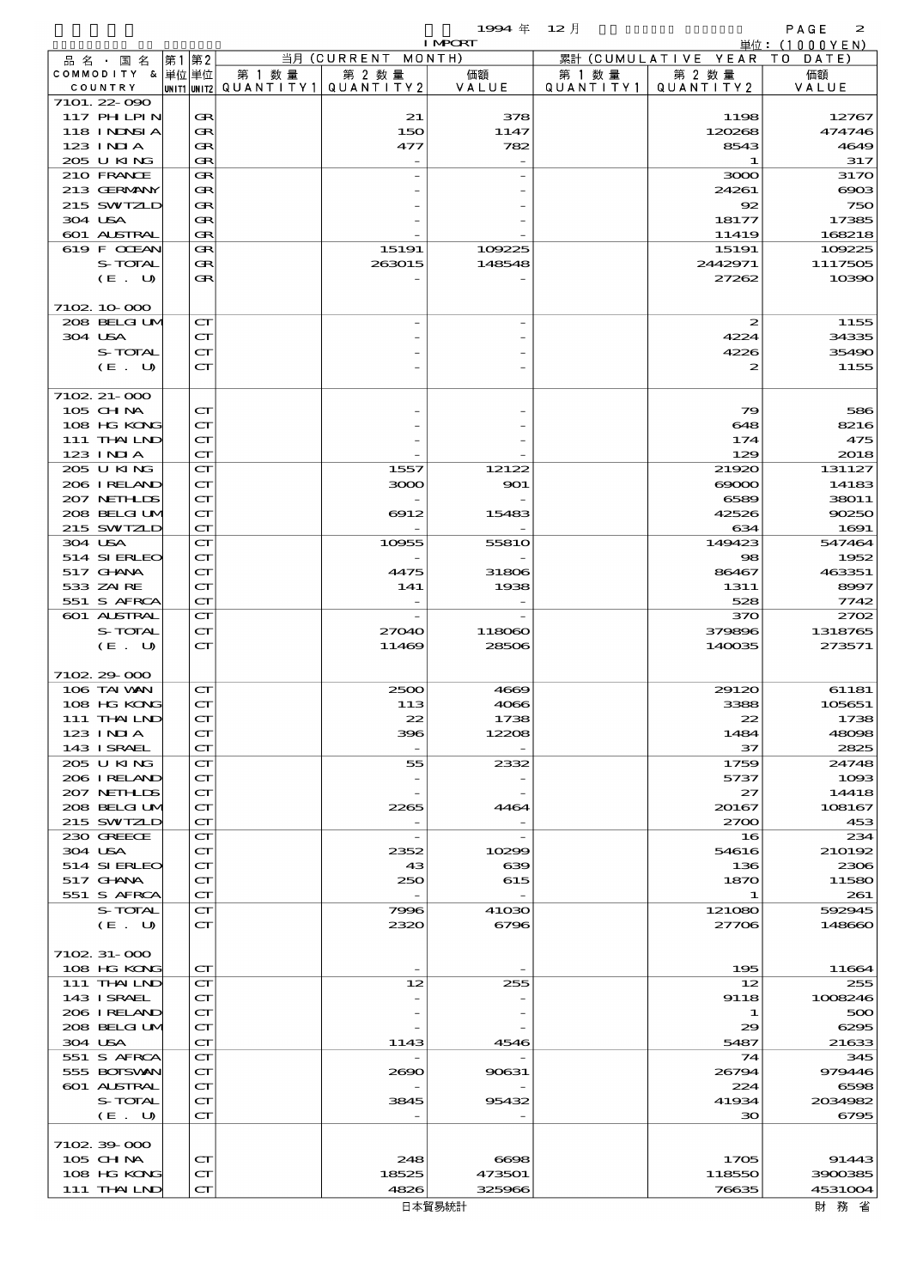|                            |                                                            |                          |                          | 1994 $#$                          | $12$ 月    |                              | PAGE<br>$\boldsymbol{z}$ |
|----------------------------|------------------------------------------------------------|--------------------------|--------------------------|-----------------------------------|-----------|------------------------------|--------------------------|
|                            | 第1第2                                                       |                          | 当月 (CURRENT MONTH)       | <b>I MPCRT</b>                    |           | 累計 (CUMULATIVE YEAR TO DATE) | 単位: (1000YEN)            |
| 品名・国名<br>COMMODITY & 単位単位  |                                                            | 第 1 数量                   | 第 2 数量                   | 価額                                | 第 1 数 量   | 第 2 数量                       | 価額                       |
| COUNTRY                    |                                                            | unit1 unit2  Q∪ANT   TY1 | QUANTITY 2               | VALUE                             | QUANTITY1 | QUANTITY2                    | VALUE                    |
| 7101.22-090                |                                                            |                          |                          |                                   |           |                              |                          |
| 117 PHLPIN                 | Œ                                                          |                          | 21                       | 378                               |           | 1198                         | 12767                    |
| 118 INNSI A                | Œ                                                          |                          | 150                      | 1147                              |           | 120268                       | 474746                   |
| $123$ INIA                 | Œ                                                          |                          | 477                      | 782                               |           | 8543                         | 4649                     |
| 205 U KING<br>210 FRANCE   | Œ                                                          |                          |                          |                                   |           | 1                            | 317                      |
| 213 GERMANY                | Œ<br>Œ                                                     |                          |                          |                                   |           | 3000<br>24261                | 317<br>$\infty$          |
| 215 SWIZLD                 | Œ                                                          |                          |                          |                                   |           | 92                           | 75C                      |
| 304 USA                    | Œ                                                          |                          |                          |                                   |           | 18177                        | 17385                    |
| 601 ALSTRAL                | Œ                                                          |                          |                          |                                   |           | 11419                        | 168218                   |
| 619 F CCEAN                | Œ                                                          |                          | 15191                    | 109225                            |           | 15191                        | 109225                   |
| S-TOTAL                    | Œ                                                          |                          | 263015                   | 148548                            |           | 2442971                      | 111750E                  |
| (E. U)                     | Œ                                                          |                          |                          |                                   |           | 27262                        | 10390                    |
|                            |                                                            |                          |                          |                                   |           |                              |                          |
| 7102 10 000                |                                                            |                          |                          |                                   |           |                              |                          |
| 208 BELGI UM<br>304 USA    | $\mathbf{C}\mathbf{\Gamma}$<br>$\mathbf{C}\mathbf{\Gamma}$ |                          |                          |                                   |           | $\boldsymbol{z}$<br>4224     | 1155<br>34335            |
| S-TOTAL                    | $\mathbf{C}\mathbf{\Gamma}$                                |                          |                          |                                   |           | 4226                         | 35490                    |
| (E. U)                     | $\mathbf{C}\mathbf{\Gamma}$                                |                          |                          |                                   |           | 2                            | 1155                     |
|                            |                                                            |                          |                          |                                   |           |                              |                          |
| 7102. 21-000               |                                                            |                          |                          |                                   |           |                              |                          |
| 105 CH NA                  | $\mathbf{C}\mathbf{\Gamma}$                                |                          |                          |                                   |           | 79                           | 580                      |
| 108 HG KONG                | $\mathbf{C}\mathbf{\Gamma}$                                |                          |                          |                                   |           | 648                          | 8216                     |
| 111 THAILND                | $\mathbf{C}\mathbf{\Gamma}$                                |                          |                          |                                   |           | 174                          | 475                      |
| 123 INIA                   | $\mathbf{C}\mathbf{\Gamma}$                                |                          |                          |                                   |           | 129                          | 2018                     |
| 205 U KING<br>206 IRELAND  | $\mathbf{C}\mathbf{\Gamma}$<br>$\mathbf{C}\mathbf{\Gamma}$ |                          | 1557                     | 12122                             |           | 21920                        | 131127                   |
| 207 NETHLIS                | $\mathbf{C}\mathbf{\Gamma}$                                |                          | 3000                     | 901                               |           | $\infty$<br>6589             | 14183<br>38011           |
| 208 BELGI UM               | $\mathbf{C}\mathbf{\Gamma}$                                |                          | 6912                     | 15483                             |           | 42526                        | 90250                    |
| 215 SWIZLD                 | $\mathbf{C}\mathbf{\Gamma}$                                |                          |                          |                                   |           | 634                          | 1691                     |
| 304 USA                    | $\mathbf{C}\mathbf{\Gamma}$                                |                          | 10955                    | 5581O                             |           | 149423                       | 547464                   |
| 514 SIERLEO                | $\mathbf{C}\mathbf{\Gamma}$                                |                          |                          |                                   |           | 98                           | 1952                     |
| 517 GHANA                  | $\mathbf{C}\mathbf{\Gamma}$                                |                          | 4475                     | 31806                             |           | 86467                        | 463351                   |
| 533 ZAIRE                  | $\mathbf{C}\mathbf{\Gamma}$                                |                          | 141                      | 1938                              |           | 1311                         | 8997                     |
| 551 S AFRCA                | $\mathbf{C}\mathbf{\Gamma}$                                |                          |                          |                                   |           | 528                          | 7742                     |
| 601 ALSTRAL<br>S-TOTAL     | $\mathbf{C}\mathbf{\Gamma}$<br>$\mathbf{C}\mathbf{\Gamma}$ |                          | 27040                    |                                   |           | 370<br>379896                | 2700<br>1318765          |
| (E. U)                     | $\mathbf{C}\mathbf{\Gamma}$                                |                          | 11469                    | 118060<br>28506                   |           | 140035                       | 273571                   |
|                            |                                                            |                          |                          |                                   |           |                              |                          |
| 7102 29 000                |                                                            |                          |                          |                                   |           |                              |                          |
| 106 TAI VAN                | $\mathbf{C}\mathbf{\Gamma}$                                |                          | 2500                     | 4669                              |           | 29120                        | 61181                    |
| 108 HG KONG                | $\mathbf{C}\mathbf{\Gamma}$                                |                          | 113                      | 4066                              |           | 3388                         | 105651                   |
| 111 THAILND                | $\mathbf{C}\mathbf{\Gamma}$                                |                          | 22                       | 1738                              |           | 22                           | 1738                     |
| 123 INIA                   | $\mathbf{C}\mathbf{\Gamma}$                                |                          | 396                      | 12208                             |           | 1484                         | 48096                    |
| 143 ISRAEL                 | $\mathbf{C}\mathbf{\Gamma}$                                |                          | $\overline{\phantom{a}}$ |                                   |           | 37                           | 2825                     |
| 205 U KING                 | $\mathbf{C}\mathbf{\Gamma}$<br>$\mathbf{C}\mathbf{\Gamma}$ |                          | 55                       | 2332                              |           | 1759                         | 24748                    |
| 206 IRELAND<br>207 NETHLIS | $\mathbf{C}\mathbf{\Gamma}$                                |                          |                          |                                   |           | 5737<br>27                   | 1000<br>14418            |
| 208 BELGI UM               | $\mathbf{C}\mathbf{\Gamma}$                                |                          | 2265                     | 4464                              |           | 20167                        | 108167                   |
| 215 SWIZLD                 | $\mathbf{C}\mathbf{\Gamma}$                                |                          |                          |                                   |           | 2700                         | 45<                      |
| 230 GREECE                 | $\mathbf{C}\mathbf{\Gamma}$                                |                          |                          |                                   |           | 16                           | 234                      |
| 304 USA                    | $\mathbf{C}\mathbf{\Gamma}$                                |                          | 2352                     | 10299                             |           | 54616                        | 210192                   |
| 514 SIERLEO                | $\mathbf{C}\mathbf{\Gamma}$                                |                          | 43                       | 639                               |           | 136                          | 2300                     |
| 517 GHANA                  | $\mathbf{C}\mathbf{\Gamma}$                                |                          | 250                      | 615                               |           | 1870                         | 11580                    |
| 551 S AFRCA<br>S-TOTAL     | $\mathbf{C}\mathbf{\Gamma}$                                |                          | 7996                     | $\overline{\phantom{a}}$<br>41030 |           | 1<br>121080                  | 261<br>592945            |
| (E. U)                     | $\mathbf{C}\mathbf{\Gamma}$<br>$\mathbf{C}\mathbf{\Gamma}$ |                          | 2320                     | 6796                              |           | 27706                        | 148660                   |
|                            |                                                            |                          |                          |                                   |           |                              |                          |
| 7102 31 000                |                                                            |                          |                          |                                   |           |                              |                          |
| 108 HG KONG                | $\mathbf{C}\mathbf{\Gamma}$                                |                          |                          |                                   |           | 195                          | 11664                    |
| 111 THAILND                | $\mathbf{C}\mathbf{\Gamma}$                                |                          | 12                       | 255                               |           | 12                           | 255                      |
| 143 ISRAEL                 | $\mathbf{C}\mathbf{\Gamma}$                                |                          |                          |                                   |           | 9118                         | 1008246                  |
| 206 IRELAND                | $\mathbf{C}\mathbf{\Gamma}$                                |                          |                          |                                   |           | 1                            | 500                      |
| 208 BELGI UM               | $\mathbf{C}\mathbf{\Gamma}$                                |                          |                          |                                   |           | 29                           | 6295                     |
| 304 USA                    | $\mathbf{C}\mathbf{\Gamma}$                                |                          | 1143                     | 4546                              |           | 5487<br>74                   | 21633<br>345             |
| 551 S AFRCA<br>555 BOISVAN | $\mathbf{C}\mathbf{\Gamma}$<br>$\mathbf{C}\mathbf{\Gamma}$ |                          | 2690                     | 90631                             |           | 26794                        | 979446                   |
| 601 ALSTRAL                | $\mathbf{C}\mathbf{\Gamma}$                                |                          |                          |                                   |           | 224                          | 6596                     |
| S-TOTAL                    | $\mathbf{C}\mathbf{\Gamma}$                                |                          | 3845                     | 95432                             |           | 41934                        | 2034982                  |
| (E. U)                     | $\mathbf{C}\mathbf{\Gamma}$                                |                          |                          |                                   |           | 30                           | 6795                     |
|                            |                                                            |                          |                          |                                   |           |                              |                          |
| 710239000                  |                                                            |                          |                          |                                   |           |                              |                          |
| 105 CHNA                   | $\mathbf{C}\mathbf{\Gamma}$                                |                          | 248                      | 6698                              |           | 1705                         | 91443                    |
| 108 HG KONG                | $\mathbf{C}\mathbf{\Gamma}$                                |                          | 18525                    | 473501                            |           | 118550                       | 3900385                  |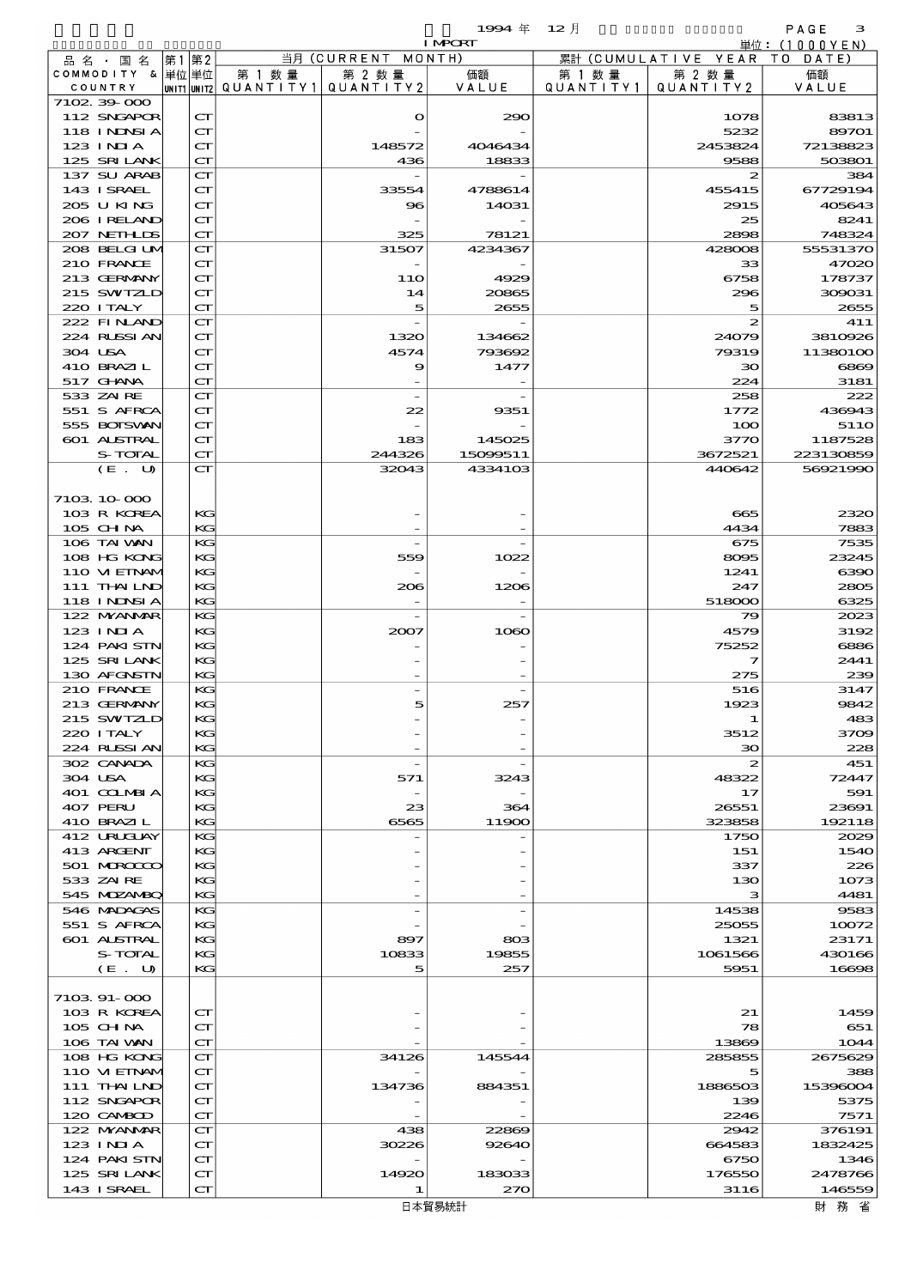|                        |                               |      |                                                            |                          |                    | 1994 $#$           | 12月       |                      | PAGE<br>з            |
|------------------------|-------------------------------|------|------------------------------------------------------------|--------------------------|--------------------|--------------------|-----------|----------------------|----------------------|
|                        |                               |      |                                                            |                          |                    | <b>I MPORT</b>     |           |                      | 単位:(1000YEN)         |
|                        | 品 名 ・ 国 名                     | 第1第2 |                                                            |                          | 当月 (CURRENT MONTH) |                    |           | 累計 (CUMULATIVE YEAR) | T O<br>DATE          |
|                        | COMMODITY & 単位単位              |      |                                                            | 第 1 数 量                  | 第 2 数量             | 価額                 | 第 1 数 量   | 第 2 数量               | 価額                   |
| COUNTRY<br>7102 39 000 |                               |      |                                                            | unit1 unit2  Q∪ANT   TY1 | QUANTITY 2         | VALUE              | QUANTITY1 | QUANTITY 2           | VALUE                |
|                        | 112 SNGAPOR                   |      | $\mathbf{C}\mathbf{\Gamma}$                                |                          | $\mathbf o$        | 290                |           | 1078                 | 83813                |
|                        | <b>118 INNSIA</b>             |      | $\mathbf{C}\mathbf{\Gamma}$                                |                          |                    |                    |           | 5232                 | 89701                |
| 123 INIA               |                               |      | $\mathbf{C}\mathbf{\Gamma}$                                |                          | 148572             | 4046434            |           | 2453824              | 72138823             |
|                        | 125 SRILANK                   |      | $\mathbf{C}\mathbf{\Gamma}$                                |                          | 436                | 18833              |           | 9588                 | 503801               |
|                        | 137 SU ARAB                   |      | $\mathbf{C}\mathbf{\Gamma}$                                |                          |                    |                    |           | 2                    | 384                  |
|                        | 143 I SRAEL                   |      | $\mathbf{C}\mathbf{\Gamma}$                                |                          | 33554              | 4788614            |           | 455415               | 67729194             |
|                        | 205 U KING                    |      | $\mathbf{C}\mathbf{\Gamma}$                                |                          | $\bf{8}$           | 14031              |           | 2915                 | 405643               |
|                        | 206 IRELAND                   |      | ${\bf C}\Gamma$                                            |                          |                    |                    |           | 25                   | 8241                 |
|                        | 207 NETH IDS                  |      | $\mathbf{C}\mathbf{\Gamma}$                                |                          | 325                | 78121              |           | 2898                 | 748324               |
|                        | 208 BELGI UM<br>210 FRANCE    |      | $\mathbf{C}\mathbf{\Gamma}$<br>$\mathbf{C}\mathbf{\Gamma}$ |                          | 31507              | 4234367            |           | 428008<br>33         | 55531370<br>47020    |
|                        | 213 GERMANY                   |      | $\mathbf{C}\mathbf{\Gamma}$                                |                          | <b>11O</b>         | 4929               |           | 6758                 | 178737               |
|                        | 215 SWIZLD                    |      | $\mathbf{C}\mathbf{\Gamma}$                                |                          | 14                 | 20865              |           | 296                  | 309031               |
| 220 I TALY             |                               |      | $\mathbf{C}\mathbf{\Gamma}$                                |                          | 5                  | 2655               |           | 5                    | 2655                 |
|                        | 222 FINAND                    |      | $\mathbf{C}\mathbf{\Gamma}$                                |                          |                    |                    |           | 2                    | 411                  |
|                        | 224 RUSSI AN                  |      | $\mathbf{C}\mathbf{\Gamma}$                                |                          | 1320               | 134662             |           | 24079                | 3810926              |
| 304 USA                |                               |      | $\mathbf{C}\mathbf{\Gamma}$                                |                          | 4574               | 793692             |           | 79319                | 11380100             |
|                        | 410 BRAZIL                    |      | ${\bf C}\Gamma$                                            |                          | 9                  | 1477               |           | 30                   | 6869                 |
| 517 GHNA               |                               |      | $\mathbf{C}\mathbf{\Gamma}$                                |                          |                    |                    |           | 224                  | 3181                 |
| 533 ZAIRE              |                               |      | $\mathbf{C}\mathbf{\Gamma}$                                |                          |                    |                    |           | 258                  | 222                  |
|                        | 551 S AFRCA                   |      | $\mathbf{C}\mathbf{\Gamma}$                                |                          | 22                 | 9351               |           | 1772                 | 436943               |
|                        | 555 BOISVAN                   |      | $\mathbf{C}\mathbf{\Gamma}$                                |                          |                    |                    |           | 100                  | 51 <sub>10</sub>     |
|                        | 601 ALSTRAL<br><b>S-TOTAL</b> |      | ${\bf C}\Gamma$<br>$\mathbf{C}\mathbf{\Gamma}$             |                          | 183<br>244326      | 145025<br>15099511 |           | 3770<br>3672521      | 1187528<br>223130859 |
|                        | (E. U)                        |      | $\mathbf{C}\mathbf{\Gamma}$                                |                          | 32043              | 4334103            |           | 440642               | 56921990             |
|                        |                               |      |                                                            |                          |                    |                    |           |                      |                      |
| 7103 10 000            |                               |      |                                                            |                          |                    |                    |           |                      |                      |
|                        | 103 R KOREA                   |      | KG                                                         |                          |                    |                    |           | 665                  | 2320                 |
| 105 CH NA              |                               |      | KG                                                         |                          |                    |                    |           | 4434                 | 7883                 |
|                        | 106 TAI VAN                   |      | KG                                                         |                          |                    |                    |           | 675                  | 7535                 |
|                        | 108 HG KONG                   |      | KG                                                         |                          | 559                | 1022               |           | 8095                 | 23245                |
|                        | 110 VI EINAM                  |      | KG                                                         |                          |                    |                    |           | 1241                 | 6390                 |
|                        | 111 THAILND                   |      | KG                                                         |                          | 206                | 1206               |           | 247                  | 2805                 |
|                        | 118 I NDSI A                  |      | KG                                                         |                          |                    |                    |           | 518000               | 6325                 |
|                        | 122 NYANAR                    |      | KG                                                         |                          |                    |                    |           | 79                   | 2023                 |
| 123 INIA               | 124 PAKISTN                   |      | KG<br>KG                                                   |                          | 2007               | 1060               |           | 4579<br>75252        | 3192<br>6886         |
|                        | 125 SRILANK                   |      | KG                                                         |                          |                    |                    |           | 7                    | 2441                 |
|                        | 130 AFGNSTN                   |      | KG                                                         |                          |                    |                    |           | 275                  | 239                  |
|                        | 210 FRANCE                    |      | KG                                                         |                          |                    |                    |           | 516                  | 3147                 |
|                        | 213 GERMANY                   |      | KG                                                         |                          |                    |                    |           | 1923                 | 9842                 |
|                        | 215 SWIZLD                    |      | KG                                                         |                          |                    |                    |           | -1                   | 483                  |
| 220 I TALY             |                               |      | KG                                                         |                          |                    |                    |           | 3512                 | 3709                 |
|                        | 224 RUSSI AN                  |      | KG                                                         |                          |                    |                    |           | $\infty$             | 228                  |
|                        | 302 CANADA                    |      | KG                                                         |                          |                    |                    |           | $\boldsymbol{z}$     | 451                  |
| 304 USA                |                               |      | KG                                                         |                          | 571                | 3243               |           | 48322                | 72447                |
|                        | 401 COLMBIA                   |      | KG                                                         |                          |                    |                    |           | 17                   | 591<br>23691         |
| 407 PERU               | 410 BRAZIL                    |      | KG<br>KG                                                   |                          | 23<br>6565         | 364<br>11900       |           | 26551<br>323858      | 192118               |
|                        | 412 URUCLAY                   |      | KG                                                         |                          |                    |                    |           | 1750                 | 2029                 |
|                        | 413 ARGENT                    |      | KG                                                         |                          |                    |                    |           | 151                  | 1540                 |
|                        | 501 MRODO                     |      | KG                                                         |                          |                    |                    |           | 337                  | 226                  |
| 533 ZAIRE              |                               |      | KG                                                         |                          |                    |                    |           | 130                  | 1073                 |
|                        | 545 MDZANBQ                   |      | KG                                                         |                          |                    |                    |           | з                    | 4481                 |
|                        | 546 MADAGAS                   |      | KG                                                         |                          |                    |                    |           | 14538                | 9583                 |
|                        | 551 S AFRCA                   |      | КG                                                         |                          |                    |                    |           | 25055                | 10072                |
|                        | <b>601 ALSTRAL</b>            |      | KG                                                         |                          | 897                | 803                |           | 1321                 | 23171                |
|                        | S-TOTAL                       |      | KG                                                         |                          | 10833              | 19855              |           | 1061566              | 430166               |
|                        | (E. U)                        |      | KG                                                         |                          | 5                  | 257                |           | 5951                 | 16698                |
| 7103 91-000            |                               |      |                                                            |                          |                    |                    |           |                      |                      |
|                        | 103 R KOREA                   |      | $\mathbf{C}\mathbf{\Gamma}$                                |                          |                    |                    |           | 21                   | 1459                 |
| 105 CHNA               |                               |      | $\mathbf{C}\mathbf{\Gamma}$                                |                          |                    |                    |           | 78                   | 651                  |
|                        | 106 TAI VAN                   |      | $\mathbf{C}\mathbf{\Gamma}$                                |                          |                    |                    |           | 13869                | 1044                 |
|                        | 108 HG KONG                   |      | $\mathbf{C}\mathbf{\Gamma}$                                |                          | 34126              | 145544             |           | 285855               | 2675629              |
|                        | 110 VIEINAM                   |      | $\mathbf{C}\mathbf{\Gamma}$                                |                          |                    |                    |           | 5                    | 388                  |
|                        | 111 THAILND                   |      | $\mathbf{C}\mathbf{\Gamma}$                                |                          | 134736             | 884351             |           | 1886503              | 15396004             |
|                        | 112 SNGAPOR                   |      | ${\bf C}\Gamma$                                            |                          |                    |                    |           | 139                  | 5375                 |
|                        | 120 CAMBOD                    |      | $\mathbf{C}\mathbf{\Gamma}$                                |                          |                    |                    |           | 2246                 | 7571                 |
|                        | 122 MYANMAR                   |      | $\mathbf{C}\mathbf{\Gamma}$                                |                          | 438                | 22869              |           | 2942                 | 376191               |
| $123$ INIA             | 124 PAKISTN                   |      | ${\bf C}\Gamma$<br>$\mathbf{C}\mathbf{\Gamma}$             |                          | 30226              | 92640              |           | 664583<br>6750       | 1832425<br>1346      |
|                        | 125 SRILANK                   |      | ${\bf C}\Gamma$                                            |                          | 14920              | 183033             |           | 176550               | 2478766              |
|                        | 143 I SRAEL                   |      | ${\bf C}\Gamma$                                            |                          | 1                  | 270                |           | 3116                 | 146559               |
|                        |                               |      |                                                            |                          |                    |                    |           |                      |                      |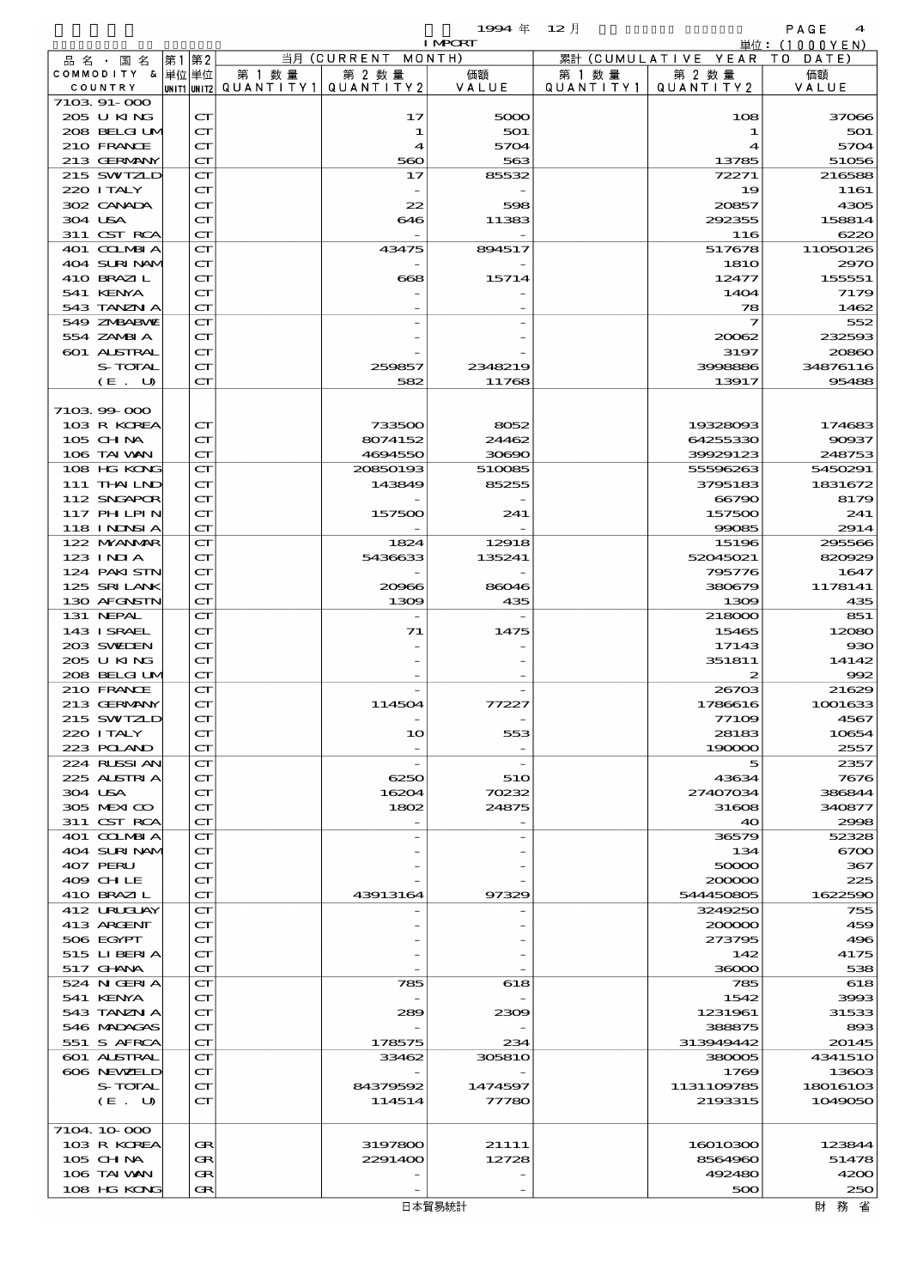|                            |                                                            |        |                                       | 1994 $#$         | - 12 月    |                                        | PAGE<br>$\boldsymbol{4}$ |
|----------------------------|------------------------------------------------------------|--------|---------------------------------------|------------------|-----------|----------------------------------------|--------------------------|
|                            |                                                            |        | 当月 (CURRENT MONTH)                    | <b>I MPORT</b>   |           |                                        | 単位:(1000YEN)             |
| 品名・国名<br>COMMODITY & 単位単位  | 第1 第2                                                      | 第 1 数量 | 第 2 数量                                | 価額               | 第 1 数 量   | 累計 (CUMULATIVE YEAR TO DATE)<br>第 2 数量 | 価額                       |
| COUNTRY                    |                                                            |        | unit1 unit2  Q∪ANT   TY1  Q∪ANT   TY2 | VALUE            | QUANTITY1 | QUANTITY 2                             | VALUE                    |
| 7103 91-000                |                                                            |        |                                       |                  |           |                                        |                          |
| 205 U KING<br>208 BELGI UM | $\mathbf{C}\mathbf{\Gamma}$<br>$\mathbf{C}\mathbf{\Gamma}$ |        | 17<br>1                               | 5000<br>501      |           | 108<br>1                               | 37066<br>501             |
| 210 FRANCE                 | $\mathbf{C}\mathbf{\Gamma}$                                |        | $\boldsymbol{4}$                      | 5704             |           | 4                                      | 5704                     |
| 213 GERMANY                | CT                                                         |        | 560                                   | 563              |           | 13785                                  | 51056                    |
| 215 SWIZLD                 | $\mathbf{C}\mathbf{\Gamma}$                                |        | 17                                    | 85532            |           | 72271                                  | 216588                   |
| 220 I TALY                 | $\mathbf{C}\mathbf{\Gamma}$                                |        |                                       |                  |           | 19                                     | 1161                     |
| 302 CANADA<br>304 USA      | $\mathbf{C}\mathbf{\Gamma}$<br>$\mathbf{C}\mathbf{\Gamma}$ |        | 22<br>646                             | 598<br>11383     |           | 20857<br>292355                        | 4305<br>158814           |
| 311 CST RCA                | $\mathbf{C}\mathbf{\Gamma}$                                |        |                                       |                  |           | 116                                    | 6220                     |
| 401 COLMBIA                | $\mathbf{C}\mathbf{\Gamma}$                                |        | 43475                                 | 894517           |           | 517678                                 | 11050126                 |
| 404 SURINAMI               | $\mathbf{C}\mathbf{\Gamma}$                                |        |                                       |                  |           | <b>1810</b>                            | 297C                     |
| 410 BRAZIL<br>541 KENYA    | $\mathbf{C}\mathbf{\Gamma}$                                |        | 668                                   | 15714            |           | 12477<br>1404                          | 155551                   |
| 543 TANZN A                | $\mathbf{C}\mathbf{\Gamma}$<br>$\mathbf{C}\mathbf{\Gamma}$ |        |                                       |                  |           | 78                                     | 7179<br>1462             |
| 549 ZMBABMZ                | $\mathbf{C}\mathbf{\Gamma}$                                |        |                                       |                  |           | 7                                      | 552                      |
| 554 ZAMBI A                | $\mathbf{C}\mathbf{\Gamma}$                                |        |                                       |                  |           | 20062                                  | 232593                   |
| 601 ALSTRAL                | $\mathbf{C}\mathbf{\Gamma}$                                |        |                                       |                  |           | 3197                                   | 20860                    |
| S-TOTAL<br>(E. U)          | $\mathbf{C}\mathbf{\Gamma}$<br>$\mathbf{C}\mathbf{\Gamma}$ |        | 259857<br>582                         | 2348219<br>11768 |           | 3998886<br>13917                       | 34876116<br>95488        |
|                            |                                                            |        |                                       |                  |           |                                        |                          |
| 710399000                  |                                                            |        |                                       |                  |           |                                        |                          |
| 103 R KOREA                | $\mathbf{C}\mathbf{\Gamma}$                                |        | 733500                                | 8052             |           | 19328093                               | 174683                   |
| $105$ CHNA                 | $\mathbf{C}\mathbf{\Gamma}$                                |        | 8074152                               | 24462            |           | 64255330                               | 90937                    |
| 106 TAI VAN<br>108 HG KONG | CT<br>$\mathbf{C}\mathbf{\Gamma}$                          |        | 4694550<br>20850193                   | 30690<br>510085  |           | 39929123<br>55596263                   | 248753<br>5450291        |
| 111 THAILND                | $\mathbf{C}\mathbf{\Gamma}$                                |        | 143849                                | 85255            |           | 3795183                                | 1831672                  |
| 112 SNGAPOR                | $\mathbf{C}\mathbf{\Gamma}$                                |        |                                       |                  |           | 66790                                  | 8179                     |
| 117 PHLPIN                 | $\mathbf{C}\mathbf{\Gamma}$                                |        | 157500                                | 241              |           | 157500                                 | 241                      |
| 118 INNSI A<br>122 MYANAR  | $\mathbf{C}\mathbf{\Gamma}$<br>$\mathbf{C}\mathbf{\Gamma}$ |        | 1824                                  | 12918            |           | 99085<br>15196                         | 2914<br>295566           |
| 123 INIA                   | $\mathbf{C}\mathbf{\Gamma}$                                |        | 5436633                               | 135241           |           | 52045021                               | 820929                   |
| 124 PAKISTN                | $\mathbf{C}\mathbf{\Gamma}$                                |        |                                       |                  |           | 795776                                 | 1647                     |
| 125 SRILANK                | $\mathbf{C}\mathbf{\Gamma}$                                |        | 20966                                 | 86046            |           | 380679                                 | 1178141                  |
| 130 AFGNSTN                | $\mathbf{C}\mathbf{\Gamma}$                                |        | 1309                                  | 435              |           | 1309                                   | 435                      |
| 131 NEPAL<br>143 I SRAEL   | $\mathbf{C}\mathbf{\Gamma}$<br>$\mathbf{C}\mathbf{\Gamma}$ |        | 71                                    | 1475             |           | 218000<br>15465                        | 851<br>12080             |
| 203 SWIDEN                 | $\mathbf{C}\mathbf{\Gamma}$                                |        |                                       |                  |           | 17143                                  | $_{\rm \bf 93C}$         |
| 205 U KING                 | $\mathbf{C}\mathbf{\Gamma}$                                |        |                                       |                  |           | 351811                                 | 14142                    |
| 208 BELGI UM               | $\mathbf{C}\mathbf{\Gamma}$                                |        |                                       |                  |           | 2                                      | 992                      |
| 210 FRANCE<br>213 GERMANY  | $\mathbf{C}\mathbf{\Gamma}$<br>$\mathbf{C}\mathbf{\Gamma}$ |        | 114504                                |                  |           | 26703<br>1786616                       | 21629<br>1001633         |
| 215 SWTZLD                 | $\mathbf{C}\mathbf{\Gamma}$                                |        |                                       |                  |           | 77109                                  | 4567                     |
| 220 I TALY                 | $\mathbf{C}\mathbf{\Gamma}$                                |        | 1 <sub>O</sub>                        | 553              |           | 28183                                  | 10654                    |
| 223 POLAND                 | $\mathbf{C}\mathbf{\Gamma}$                                |        |                                       |                  |           | 190000                                 | 2557                     |
| 224 RUSSI AN               | $\mathbf{C}\mathbf{\Gamma}$                                |        |                                       |                  |           | 5                                      | 2357                     |
| 225 ALSTRIA<br>304 USA     | $\mathbf{C}\mathbf{\Gamma}$<br>$\mathbf{C}\mathbf{\Gamma}$ |        | 6250<br>16204                         | 510<br>70232     |           | 43634<br>27407034                      | <b>7676</b><br>386844    |
| 305 MEXICO                 | $\mathbf{C}\mathbf{\Gamma}$                                |        | 1802                                  | 24875            |           | 31608                                  | 340877                   |
| 311 CST RCA                | $\mathbf{C}\mathbf{\Gamma}$                                |        |                                       |                  |           | 40                                     | 2998                     |
| 401 COLMBIA                | $\mathbf{C}\mathbf{\Gamma}$                                |        |                                       |                  |           | 36579                                  | 52328                    |
| 404 SURINAMI<br>407 PERU   | $\mathbf{C}\mathbf{\Gamma}$<br>$\mathbf{C}\mathbf{\Gamma}$ |        |                                       |                  |           | 134<br>50000                           | 6700<br>367              |
| 409 CH LE                  | $\mathbf{C}\mathbf{\Gamma}$                                |        |                                       |                  |           | 200000                                 | 225                      |
| 410 BRAZIL                 | $\mathbf{C}\mathbf{\Gamma}$                                |        | 43913164                              | 97329            |           | 544450805                              | 1622590                  |
| 412 URUCLAY                | $\mathbf{C}\mathbf{\Gamma}$                                |        |                                       |                  |           | 3249250                                | 755                      |
| 413 ARCENT                 | $\mathbf{C}\mathbf{\Gamma}$                                |        |                                       |                  |           | 200000                                 | 459                      |
| 506 EGYPT<br>515 LIBERIA   | $\mathbf{C}\mathbf{\Gamma}$<br>$\mathbf{C}\mathbf{\Gamma}$ |        |                                       |                  |           | 273795<br>142                          | 496<br>4175              |
| 517 GHNA                   | $\mathbf{C}\mathbf{\Gamma}$                                |        |                                       |                  |           | 36000                                  | 538                      |
| 524 N GERIA                | $\mathbf{C}\mathbf{\Gamma}$                                |        | 785                                   | 618              |           | 785                                    | 618                      |
| 541 KENYA                  | $\mathbf{C}\mathbf{\Gamma}$                                |        |                                       |                  |           | 1542                                   | 3993                     |
| 543 TANZN A<br>546 MADAGAS | $\mathbf{C}\mathbf{\Gamma}$<br>$\mathbf{C}\mathbf{\Gamma}$ |        | 289                                   | 2309             |           | 1231961<br>388875                      | 31533<br>893             |
| 551 S AFRCA                | $\mathbf{C}\mathbf{\Gamma}$                                |        | 178575                                | 234              |           | 313949442                              | 20145                    |
| <b>601 ALSTRAL</b>         | $\mathbf{C}\mathbf{\Gamma}$                                |        | 33462                                 | 305810           |           | 380005                                 | 434151C                  |
| 606 NEWELD                 | $\mathbf{C}\mathbf{\Gamma}$                                |        |                                       |                  |           | 1769                                   | 13603                    |
| S-TOTAL<br>(E. U)          | $\mathbf{C}\mathbf{\Gamma}$<br>$\mathbf{C}\mathbf{\Gamma}$ |        | 84379592<br>114514                    | 1474597<br>77780 |           | 1131109785<br>2193315                  | 18016103<br>1049050      |
|                            |                                                            |        |                                       |                  |           |                                        |                          |
| 7104 10 000                |                                                            |        |                                       |                  |           |                                        |                          |
| 103 R KOREA                | Œ                                                          |        | 3197800                               | 21111            |           | 16010300                               | 123844                   |
| 105 CH NA                  | Œ                                                          |        | 2291400                               | 12728            |           | 8564960                                | 51478                    |
| 106 TAI VAN<br>108 HG KONG | Œ<br>Œ                                                     |        |                                       |                  |           | 492480<br>500                          | 4200<br>25C              |
|                            |                                                            |        |                                       |                  |           |                                        |                          |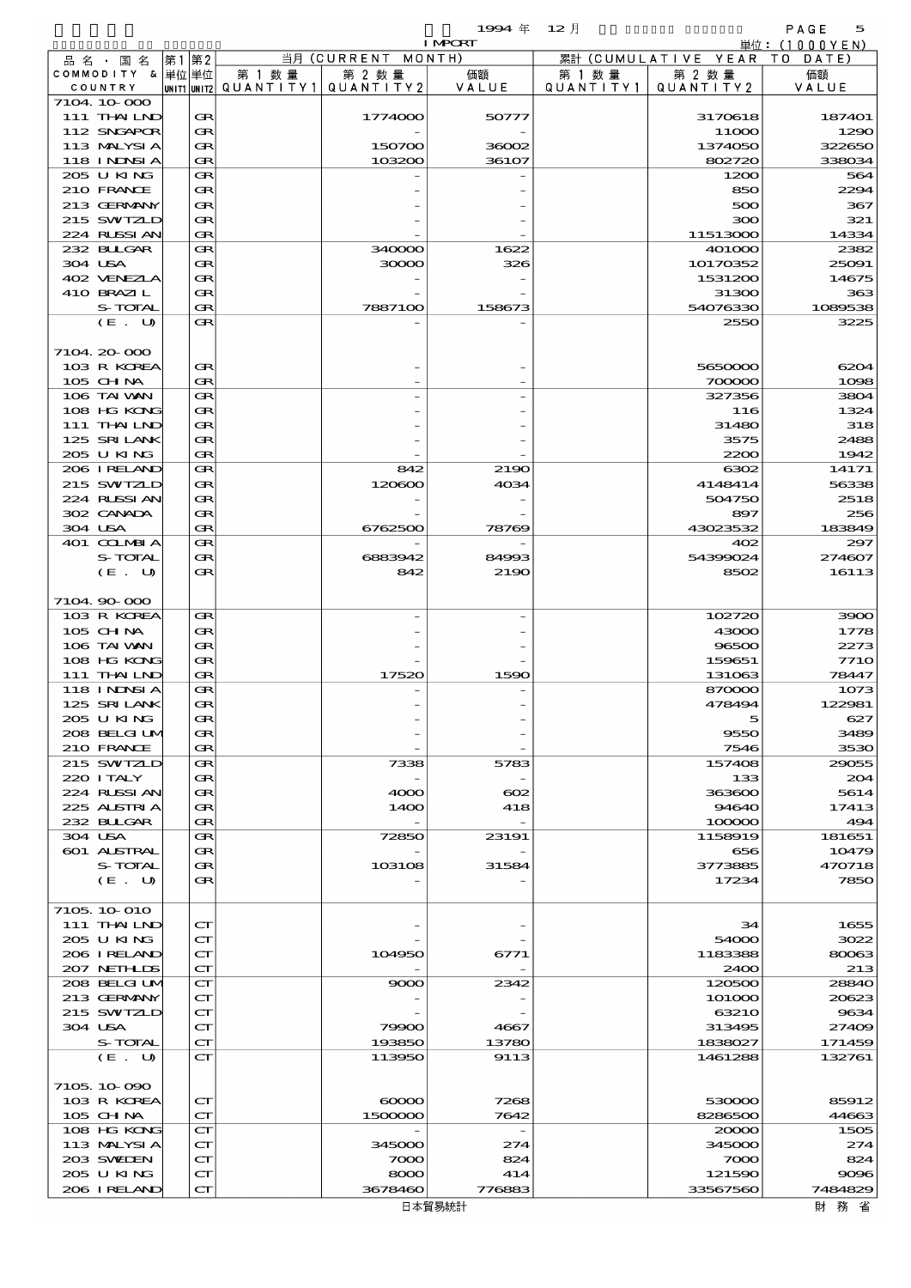品別国別表 輸 入 1994 12 確定 (Fixed Annual) 5

| $\cdots$<br>-- | $   -$ |  |
|----------------|--------|--|
|                |        |  |
|                |        |  |

|                    |    |                             |                                 |                    | <b>I MPCRT</b>    |           |                              | 単位: (1000YEN) |
|--------------------|----|-----------------------------|---------------------------------|--------------------|-------------------|-----------|------------------------------|---------------|
| 品名・国名              | 第1 | 第2                          |                                 | 当月 (CURRENT MONTH) |                   |           | 累計 (CUMULATIVE YEAR TO DATE) |               |
| COMMODITY & 単位単位   |    |                             | 第 1 数量                          | 第 2 数量             | 価額                | 第 1 数 量   | 第 2 数量                       | 価額            |
| COUNTRY            |    |                             | UNIT1 UNIT2 QUANTITY1 QUANTITY2 |                    | VALUE             | QUANTITY1 | QUANTITY2                    | VALUE         |
| 7104 10 000        |    |                             |                                 |                    |                   |           |                              |               |
| 111 THAILND        |    | Œ                           |                                 | 1774000            | 50777             |           | 3170618                      | 187401        |
| 112 SNGAPOR        |    | Œ                           |                                 |                    |                   |           | 11000                        | 1290          |
| 113 MALYSIA        |    | Œ                           |                                 | 150700             | 36002             |           | 1374050                      | 322650        |
| <b>118 INNSIA</b>  |    | Œ                           |                                 | 103200             | 36107             |           | 802720                       | 338034        |
| 205 U KING         |    | Œ                           |                                 |                    |                   |           | 1200                         | 564           |
| 210 FRANCE         |    | œ                           |                                 |                    |                   |           | 850                          | 2294          |
| 213 GERMANY        |    | Œ                           |                                 |                    |                   |           | 500                          | 367           |
| 215 SWIZLD         |    | Œ                           |                                 |                    |                   |           | 300                          | 321           |
| 224 RUSSIAN        |    | Œ                           |                                 |                    |                   |           | 11513000                     | 14334         |
| 232 BULGAR         |    | Œ                           |                                 | 340000             | 1622              |           | 401000                       | 2382          |
| 304 USA            |    | Œ                           |                                 | 30000              | 326               |           | 10170352                     | 25091         |
| 402 VENEZLA        |    | Œ                           |                                 |                    |                   |           | 1531200                      | 14675         |
| 410 BRAZIL         |    | Œ                           |                                 |                    |                   |           | 31300                        | 363           |
| S-TOTAL            |    | Œ                           |                                 | 7887100            | 158673            |           | 54076330                     | 1089538       |
| (E. U)             |    | Œ                           |                                 |                    |                   |           | 2550                         | 3225          |
|                    |    |                             |                                 |                    |                   |           |                              |               |
| 7104 20 000        |    |                             |                                 |                    |                   |           |                              |               |
| 103 R KOREA        |    | œ                           |                                 |                    |                   |           | 5650000                      | 6204          |
| $105$ CHNA         |    | Œ                           |                                 |                    |                   |           | 700000                       | 1098          |
| 106 TAI VAN        |    | Œ                           |                                 |                    |                   |           | 327356                       | 3804          |
| 108 HG KONG        |    | Œ                           |                                 |                    |                   |           | 116                          | 1324          |
| 111 THAILND        |    | Œ                           |                                 |                    |                   |           | 31480                        | 318           |
| 125 SRILANK        |    | Œ                           |                                 |                    |                   |           | 3575                         | 2488          |
| 205 U KING         |    | Œ                           |                                 |                    |                   |           | 2200                         | 1942          |
| 206 IRELAND        |    | Œ                           |                                 | 842                | 2190              |           | 6302                         | 14171         |
| 215 SWIZLD         |    | Œ                           |                                 | 120600             | 4034              |           | 4148414                      | 56338         |
| 224 RUSSIAN        |    | Œ                           |                                 |                    |                   |           | 504750                       | 2518          |
| 302 CANADA         |    | Œ                           |                                 |                    |                   |           | 897                          | 256           |
| 304 USA            |    | Œ                           |                                 | 6762500            | 78769             |           | 43023532                     | 183849        |
| 401 COLMBIA        |    | Œ                           |                                 |                    |                   |           | 402                          | 297           |
| S-TOTAL            |    | Œ                           |                                 | 6883942            | 84993             |           | 54399024                     | 274607        |
| (E. U)             |    | Œ                           |                                 | 842                | 2190              |           | 8502                         | 16113         |
|                    |    |                             |                                 |                    |                   |           |                              |               |
| 7104.90-000        |    |                             |                                 |                    |                   |           |                              |               |
| 103 R KOREA        |    | Œ                           |                                 |                    |                   |           | 102720                       | 3900          |
| 105 CH NA          |    | Œ                           |                                 |                    |                   |           | 43000                        | 1778          |
| 106 TAI VAN        |    | Œ                           |                                 |                    |                   |           | 96500                        | 2273          |
| 108 HG KONG        |    | Œ                           |                                 |                    |                   |           | 159651                       | <b>7710</b>   |
| 111 THAILND        |    | Œ                           |                                 | 17520              | 1590              |           | 131063                       | 78447         |
| <b>118 INNSI A</b> |    | Œ                           |                                 |                    |                   |           | 870000                       | 1073          |
| 125 SRILANK        |    | Œ                           |                                 |                    |                   |           | 478494                       | 122981        |
| 205 U KING         |    | Œ                           |                                 |                    |                   |           |                              | 627           |
| 208 BELGI UM       |    | Œ                           |                                 |                    |                   |           | 9550                         | 3489          |
| 210 FRANCE         |    | Œ                           |                                 |                    |                   |           | 7546                         | 3530          |
| 215 SWIZLD         |    | Œ                           |                                 | 7338               | 5783              |           | 157408                       | 29055         |
| 220 I TALY         |    | Œ                           |                                 |                    |                   |           | 133                          | 204           |
| 224 RUSSI AN       |    | Œ                           |                                 | 4000               | $_{\rm \alpha z}$ |           | 363600                       | 5614          |
| 225 ALSTRIA        |    | Œ                           |                                 | 1400               | 418               |           | 94640                        | 17413         |
| 232 BULGAR         |    | Œ                           |                                 |                    |                   |           | 100000                       | 494           |
| 304 USA            |    | Œ                           |                                 | 72850              | 23191             |           | 1158919                      | 181651        |
| 601 ALSTRAL        |    | Œ                           |                                 |                    |                   |           | 656                          | 10479         |
| S-TOTAL            |    | Œ                           |                                 | 103108             | 31584             |           | 3773885                      | 470718        |
| (E. U)             |    | Œ                           |                                 |                    |                   |           | 17234                        | 7850          |
|                    |    |                             |                                 |                    |                   |           |                              |               |
| 7105 10 010        |    |                             |                                 |                    |                   |           |                              |               |
| 111 THAILND        |    | $\mathbf{C}\mathbf{\Gamma}$ |                                 |                    |                   |           | 34                           | 1655          |
| 205 U KING         |    | $\mathbf{C}\mathbf{\Gamma}$ |                                 |                    |                   |           | 54000                        | 3022          |
| 206 IRELAND        |    | $\mathbf{C}\mathbf{\Gamma}$ |                                 | 104950             | 6771              |           | 1183388                      | 80063         |
| 207 NETHLIS        |    | $\mathbf{C}\mathbf{\Gamma}$ |                                 |                    |                   |           | 2400                         | 213           |
| 208 BELGI UM       |    | $\mathbf{C}\mathbf{\Gamma}$ |                                 | 9000               | 2342              |           | 120500                       | 28840         |
| 213 GERMANY        |    | $\mathbf{C}\mathbf{\Gamma}$ |                                 |                    |                   |           | 101000                       | 20623         |
| 215 SWIZLD         |    | $\mathbf{C}\mathbf{\Gamma}$ |                                 |                    |                   |           | 63210                        | 9634          |
| 304 USA            |    | ${\bf C}\Gamma$             |                                 | 79900              | 4667              |           | 313495                       | 27409         |
| S-TOTAL            |    | $\mathbf{C}\mathbf{\Gamma}$ |                                 | 193850             | 13780             |           | 1838027                      | 171459        |
| (E. U)             |    | $\mathbf{C}\mathbf{\Gamma}$ |                                 | 113950             | 9113              |           | 1461288                      | 132761        |
|                    |    |                             |                                 |                    |                   |           |                              |               |
| 7105 10 090        |    |                             |                                 |                    |                   |           |                              |               |
| 103 R KOREA        |    | $\mathbf{C}\mathbf{\Gamma}$ |                                 | $\infty$           | 7268              |           | 530000                       | 85912         |
| 105 CH NA          |    | $\mathbf{C}\mathbf{\Gamma}$ |                                 | 1500000            | 7642              |           | 8286500                      | 44663         |
| 108 HG KONG        |    | $\mathbf{C}\mathbf{\Gamma}$ |                                 |                    |                   |           | 20000                        | 1505          |
| 113 MALYSIA        |    | $\mathbf{C}\mathbf{\Gamma}$ |                                 | 345000             | 274               |           | 345000                       | 274           |
| 203 SWIDEN         |    | $\mathbf{C}\mathbf{\Gamma}$ |                                 | 7000               | 824               |           | 7000                         | 824           |
| 205 U KING         |    | $\mathbf{C}\mathbf{\Gamma}$ |                                 | 8000               | 414               |           | 121590                       | 9096          |
| 206 IRELAND        |    | $\mathbf{C}\mathbf{\Gamma}$ |                                 | 3678460            | 776883            |           | 33567560                     | 7484829       |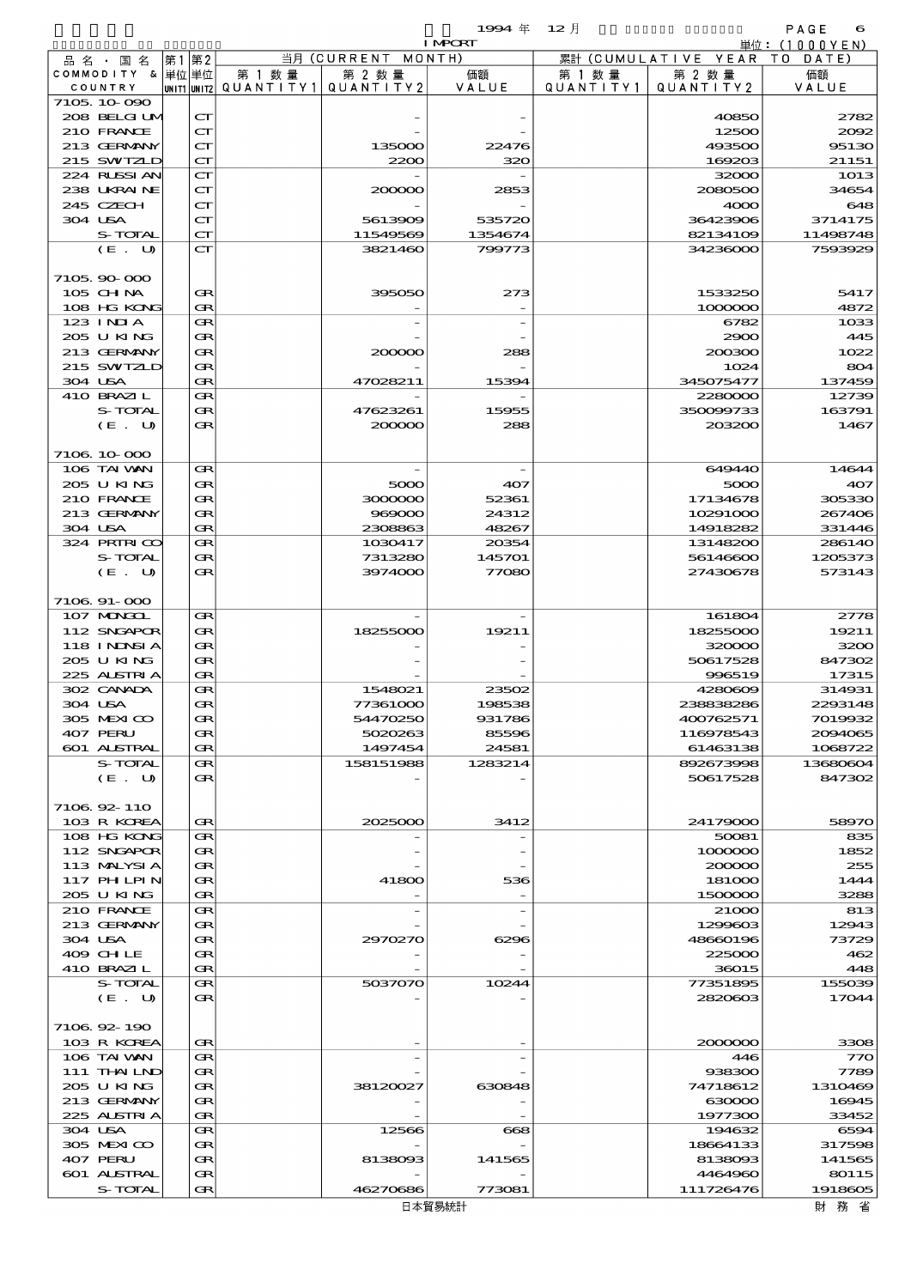$1$ SS4  $\#$  12  $\bar{e}$  and  $\bar{e}$  and  $\bar{e}$  and  $\bar{e}$  and  $\bar{e}$  and  $\bar{e}$  and  $\bar{e}$  and  $\bar{e}$  and  $\bar{e}$  and  $\bar{e}$  and  $\bar{e}$  and  $\bar{e}$  and  $\bar{e}$  and  $\bar{e}$  and  $\bar{e}$  and  $\bar{e}$  and  $\bar{e}$  and  $\$ 

| 1.774 | ⊷ |  |
|-------|---|--|
|       |   |  |

|                            |                                   |        |                                 | <b>I MPORT</b>    |           |                              | 単位: <u>(1000YEN)</u> |
|----------------------------|-----------------------------------|--------|---------------------------------|-------------------|-----------|------------------------------|----------------------|
| 品 名 ・ 国 名                  | 第1 第2                             |        | 当月 (CURRENT MONTH)              |                   |           | 累計 (CUMULATIVE YEAR TO DATE) |                      |
| COMMODITY & 単位 単位          |                                   | 第 1 数量 | 第 2 数量                          | 価額                | 第 1 数 量   | 第 2 数量                       | 価額                   |
| COUNTRY<br>7105 10 090     |                                   |        | UNIT1 UNIT2 QUANTITY1 QUANTITY2 | VALUE             | QUANTITY1 | QUANTITY 2                   | VALUE                |
| 208 BELGI UM               | $\mathbf{C}\mathbf{\Gamma}$       |        |                                 |                   |           | 40850                        | 2782                 |
| 210 FRANCE                 | $\mathbf{C}\mathbf{\Gamma}$       |        |                                 |                   |           | 12500                        | 2002                 |
| 213 GERMANY                | $\mathbf{C}\mathbf{\Gamma}$       |        | 135000                          | 22476             |           | 493500                       | 95130                |
| 215 SWIZLD                 | $\mathbf{C}\mathbf{\Gamma}$       |        | 2200                            | 320               |           | 169203                       | 21151                |
| 224 RUSSI AN               | CT                                |        |                                 |                   |           | 32000                        | 1013                 |
| 238 UKRAINE                | $\mathbf{C}\mathbf{\Gamma}$       |        | 200000                          | 2853              |           | 2080500                      | 34654                |
| 245 CZECH                  | $\mathbf{C}\mathbf{\Gamma}$       |        |                                 |                   |           | 4000                         | 648                  |
| 304 USA<br>S-TOTAL         | $\mathbf{C}\mathbf{\Gamma}$<br>CT |        | 5613909                         | 535720            |           | 36423906                     | 3714175              |
| (E. U)                     | CT                                |        | 11549569<br>3821460             | 1354674<br>799773 |           | 82134109<br>34236000         | 11498748<br>7593929  |
|                            |                                   |        |                                 |                   |           |                              |                      |
| 7105,90,000                |                                   |        |                                 |                   |           |                              |                      |
| 105 CH NA                  | Œ                                 |        | 395050                          | 273               |           | 1533250                      | 5417                 |
| 108 HG KONG                | $\bf G$                           |        |                                 |                   |           | 1000000                      | 4872                 |
| $123$ $1$ NIA              | $\bf G$                           |        |                                 |                   |           | 6782                         | 1033                 |
| 205 U KING                 | Œ                                 |        |                                 |                   |           | 2900                         | 445                  |
| 213 GERMANY                | $\bf G$                           |        | 200000                          | 288               |           | 200300                       | 1022                 |
| 215 SWIZLD<br>304 USA      | Œ<br>$\bf G$                      |        | 47028211                        | 15394             |           | 1024<br>345075477            | 804<br>137459        |
| 410 BRAZIL                 | $\bf G$                           |        |                                 |                   |           | 2280000                      | 12739                |
| S-TOTAL                    | Œ                                 |        | 47623261                        | 15955             |           | 350099733                    | 163791               |
| (E. U)                     | $G_{R}$                           |        | 200000                          | 288               |           | 203200                       | 1467                 |
|                            |                                   |        |                                 |                   |           |                              |                      |
| 7106 10 000                |                                   |        |                                 |                   |           |                              |                      |
| 106 TAI VAN                | Œ                                 |        |                                 |                   |           | 649440                       | 14644                |
| 205 U KING                 | Œ                                 |        | 5000                            | 407               |           | 5000                         | 407                  |
| 210 FRANCE                 | Œ                                 |        | 3000000                         | 52361             |           | 17134678                     | 305330               |
| 213 GERMANY<br>304 USA     | Œ<br>$\bf G$                      |        | 969000<br>2308863               | 24312<br>48267    |           | 10291000<br>14918282         | 267406<br>331446     |
| 324 PRIRICO                | Œ                                 |        | 1030417                         | 20354             |           | 13148200                     | 286140               |
| S-TOTAL                    | Œ                                 |        | 7313280                         | 145701            |           | 56146600                     | 1205373              |
| (E. U)                     | $G_{R}$                           |        | 3974000                         | 77080             |           | 27430678                     | 573143               |
|                            |                                   |        |                                 |                   |           |                              |                      |
| $710691 - 000$             |                                   |        |                                 |                   |           |                              |                      |
| 107 MINGOL                 | Œ                                 |        |                                 |                   |           | 161804                       | 2778                 |
| 112 SNGAPOR                | Œ                                 |        | 18255000                        | 19211             |           | 18255000                     | 19211                |
| 118 I NDSI A<br>205 U KING | $\bf{R}$<br>$\bf G$               |        |                                 |                   |           | 320000                       | 3200<br>847302       |
| 225 ALSTRIA                | $\bf G$                           |        |                                 |                   |           | 50617528<br>996519           | 17315                |
| 302 CANADA                 | $\bf G$                           |        | 1548021                         | 23502             |           | 4280609                      | 314931               |
| 304 USA                    | $G_{R}$                           |        | 77361000                        | 198538            |           | 238838286                    | 2293148              |
| 305 MEXICO                 | <b>GR</b>                         |        | 54470250                        | 931786            |           | 400762571                    | 7019932              |
| 407 PERU                   | Œ                                 |        | 5020263                         | 85596             |           | 116978543                    | 2094065              |
| <b>601 ALSTRAL</b>         | Œ                                 |        | 1497454                         | 24581             |           | 61463138                     | 1068722              |
| S-TOTAL                    | Œ                                 |        | 158151988                       | 1283214           |           | 892673998                    | 13680604             |
| (E. U)                     | Œ                                 |        |                                 |                   |           | 50617528                     | 847302               |
| 7106 92 110                |                                   |        |                                 |                   |           |                              |                      |
| 103 R KOREA                | Œ                                 |        | 2025000                         | 3412              |           | 24179000                     | 58970                |
| 108 HG KONG                | Œ                                 |        |                                 |                   |           | 50081                        | 835                  |
| 112 SNGAPOR                | Œ                                 |        |                                 |                   |           | 1000000                      | 1852                 |
| 113 MALYSIA                | Œ                                 |        |                                 |                   |           | 200000                       | 255                  |
| 117 PHLPIN                 | Œ                                 |        | 41800                           | 536               |           | 181000                       | 1444                 |
| 205 U KING                 | $\bf G$                           |        |                                 |                   |           | 1500000                      | 3288                 |
| 210 FRANCE                 | Œ                                 |        |                                 |                   |           | 21000                        | 813                  |
| 213 GERMANY<br>304 USA     | Œ<br>Œ                            |        | 2970270                         | 6296              |           | 1299603<br>48660196          | 12943<br>73729       |
| 409 CHLE                   | Œ                                 |        |                                 |                   |           | 225000                       | 462                  |
| 410 BRAZIL                 | $\bf G$                           |        |                                 |                   |           | 36015                        | 448                  |
| S-TOTAL                    | Œ                                 |        | 5037070                         | 10244             |           | 77351895                     | 155039               |
| (E. U)                     | Œ                                 |        |                                 |                   |           | 2820603                      | 17044                |
|                            |                                   |        |                                 |                   |           |                              |                      |
| 7106 92 190                |                                   |        |                                 |                   |           |                              |                      |
| 103 R KOREA                | Œ<br>Œ                            |        |                                 |                   |           | 2000000                      | 3308                 |
| 106 TAI WAN<br>111 THAILND | Œ                                 |        |                                 |                   |           | 446<br>938300                | 770<br>7789          |
| 205 U KING                 | Œ                                 |        | 38120027                        | 630848            |           | 74718612                     | 1310469              |
| 213 GERMANY                | Œ                                 |        |                                 |                   |           | 630000                       | 16945                |
| 225 ALSTRIA                | $\bf{R}$                          |        |                                 |                   |           | 1977300                      | 33452                |
| 304 USA                    | Œ                                 |        | 12566                           | 668               |           | 194632                       | 6594                 |
| 305 MEXICO                 | Œ                                 |        |                                 |                   |           | 18664133                     | 317598               |
| 407 PERU                   | Œ                                 |        | 8138093                         | 141565            |           | 8138093                      | 141565               |
| 601 ALSTRAL                | Œ                                 |        |                                 |                   |           | 4464960                      | 80115                |
| S-TOTAL                    | Œ                                 |        | 46270686                        | 773081            |           | 111726476                    | 1918605              |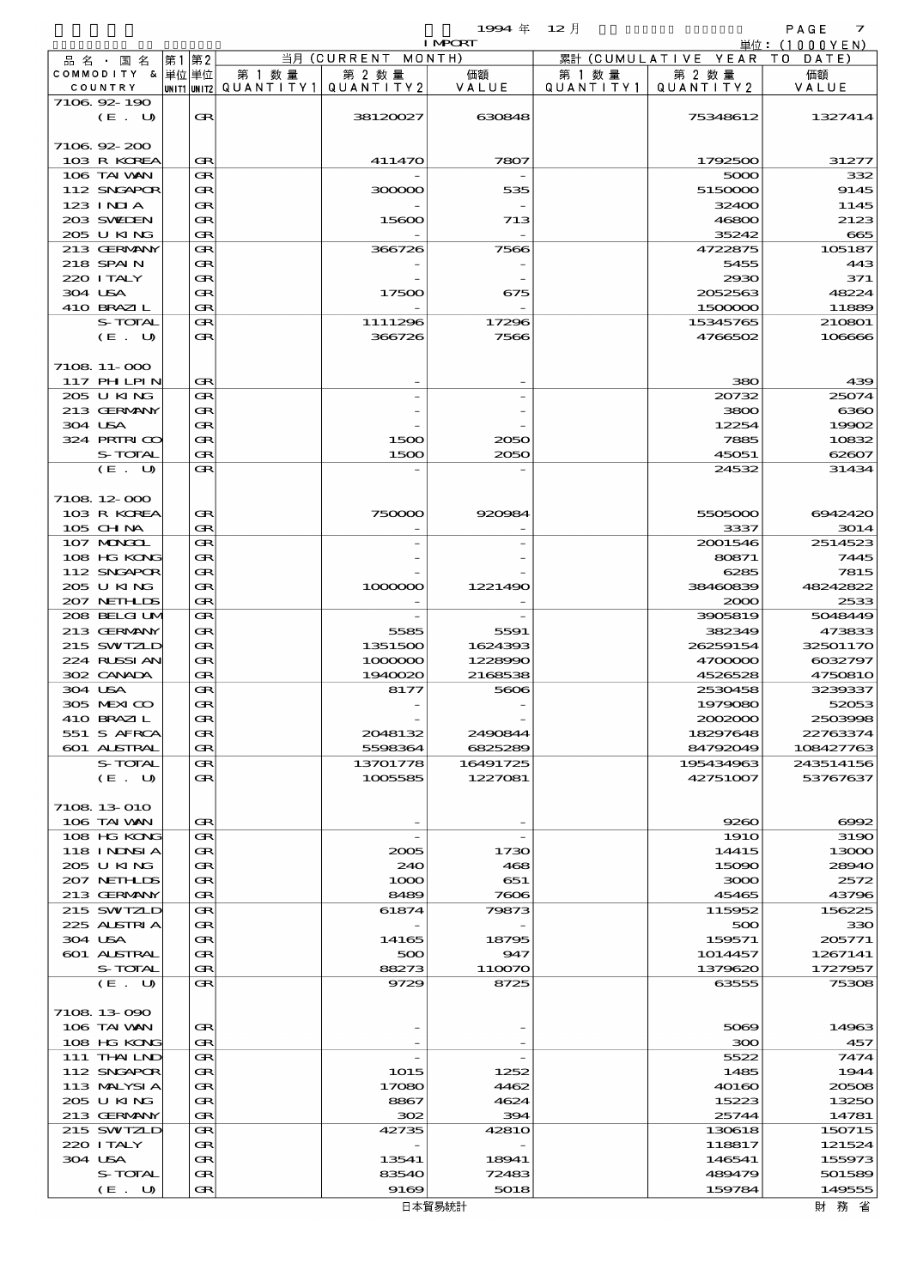$1994 \& 12 \quad \frac{1}{2}$ 

| $-77$ | / ⊶⊥ |
|-------|------|
|       |      |

|                            |       |        |                                       |                    | <b>I MPORT</b> |           |                              | 単位: (1000YEN) |
|----------------------------|-------|--------|---------------------------------------|--------------------|----------------|-----------|------------------------------|---------------|
| 品名・国名                      | 第1 第2 |        |                                       | 当月 (CURRENT MONTH) |                |           | 累計 (CUMULATIVE YEAR TO DATE) |               |
| COMMODITY & 単位 単位          |       |        | 第 1 数量                                | 第 2 数量             | 価額             | 第 1 数 量   | 第 2 数量                       | 価額            |
| COUNTRY                    |       |        | unit1 unit2  QUANT   TY1  QUANT   TY2 |                    | VALUE          | QUANTITY1 | QUANTITY 2                   | VALUE         |
| 7106 92 190                |       |        |                                       |                    |                |           |                              |               |
| (E. U)                     |       | Œ      |                                       | 38120027           | 630848         |           | 75348612                     | 1327414       |
|                            |       |        |                                       |                    |                |           |                              |               |
| 7106 92 200                |       |        |                                       |                    |                |           |                              |               |
| 103 R KOREA                |       | Œ      |                                       | 411470             | 7807           |           | 1792500                      | 31277         |
| 106 TAI VAN<br>112 SNGAPOR |       | Œ      |                                       |                    |                |           | 5000                         | 332<br>9145   |
|                            |       | Œ      |                                       | 300000             | 535            |           | 5150000                      |               |
| 123 INIA<br>203 SWIEN      |       | Œ      |                                       | 15600              |                |           | 32400<br>46800               | 1145<br>2123  |
| 205 UKING                  |       | Œ<br>Œ |                                       |                    | 713            |           | 35242                        | 665           |
| 213 GERMANY                |       | Œ      |                                       | 366726             | 7566           |           | 4722875                      | 105187        |
| 218 SPAIN                  |       | Œ      |                                       |                    |                |           | 5455                         | 443           |
| 220 I TALY                 |       | Œ      |                                       |                    |                |           | 2930                         | 371           |
| 304 USA                    |       | Œ      |                                       | 17500              | 675            |           | 2052563                      | 48224         |
| 410 BRAZIL                 |       | Œ      |                                       |                    |                |           | 1500000                      | 11889         |
| S-TOTAL                    |       | Œ      |                                       | 1111296            | 17296          |           | 15345765                     | 210801        |
| (E. U)                     |       | Œ      |                                       | 366726             | 7566           |           | 4766502                      | 106666        |
|                            |       |        |                                       |                    |                |           |                              |               |
| 7108 11-000                |       |        |                                       |                    |                |           |                              |               |
| 117 PHLPIN                 |       | Œ      |                                       |                    |                |           | 380                          | 439           |
| 205 U KING                 |       | Œ      |                                       |                    |                |           | 20732                        | 25074         |
| 213 GERMANY                |       | Œ      |                                       |                    |                |           | 3800                         | 6360          |
| 304 USA                    |       | Œ      |                                       |                    |                |           | 12254                        | 19902         |
| 324 PRIRICO                |       | Œ      |                                       | 1500               | 2050           |           | 7885                         | 10832         |
| S-TOTAL                    |       | Œ      |                                       | 1500               | 2050           |           | 45051                        | 62607         |
| (E. U)                     |       | Œ      |                                       |                    |                |           |                              |               |
|                            |       |        |                                       |                    |                |           | 24532                        | 31434         |
| 7108 12 000                |       |        |                                       |                    |                |           |                              |               |
| 103 R KOREA                |       | Œ      |                                       | 750000             | 920984         |           | 5505000                      | 6942420       |
| $105$ CHNA                 |       | Œ      |                                       |                    |                |           | 3337                         | 3014          |
|                            |       |        |                                       |                    |                |           |                              |               |
| 107 MONGOL                 |       | Œ      |                                       |                    |                |           | 2001546                      | 2514523       |
| 108 HG KONG                |       | Œ      |                                       |                    |                |           | 80871                        | 7445          |
| 112 SNGAPOR                |       | Œ      |                                       |                    |                |           | 6285                         | 7815          |
| 205 U KING                 |       | Œ      |                                       | 1000000            | 1221490        |           | 38460839                     | 48242822      |
| 207 NETHLIS                |       | Œ      |                                       |                    |                |           | 2000                         | 2533          |
| 208 BELGI UM               |       | Œ      |                                       |                    |                |           | 3905819                      | 5048449       |
| 213 GERMANY                |       | Œ      |                                       | 5585               | 5591           |           | 382349                       | 473833        |
| 215 SWIZLD                 |       | Œ      |                                       | 1351500            | 1624393        |           | 26259154                     | 32501170      |
| 224 RUSSI AN               |       | Œ      |                                       | 1000000            | 1228990        |           | 4700000                      | 6032797       |
| 302 CANADA                 |       | Œ      |                                       | 1940020            | 2168538        |           | 4526528                      | 4750810       |
| 304 USA                    |       | Œ      |                                       | 8177               | 5606           |           | 2530458                      | 3239337       |
| 305 MEXICO                 |       | Œ      |                                       |                    |                |           | 1979080                      | 52053         |
| 410 BRAZIL                 |       | Œ      |                                       |                    |                |           | 2002000                      | 2503998       |
| 551 S AFRCA                |       | Œ      |                                       | 2048132            | 2490844        |           | 18297648                     | 22763374      |
| 601 ALSTRAL                |       | Œ      |                                       | 5598364            | 6825289        |           | 84792049                     | 108427763     |
| S-TOTAL                    |       | Œ      |                                       | 13701778           | 16491725       |           | 195434963                    | 243514156     |
| (E. U)                     |       | Œ      |                                       | 1005585            | 1227081        |           | 42751007                     | 53767637      |
|                            |       |        |                                       |                    |                |           |                              |               |
| 7108 13 010                |       |        |                                       |                    |                |           |                              |               |
| 106 TAI VAN                |       | Œ      |                                       |                    |                |           | 9260                         | 6002          |
| 108 HG KONG                |       | Œ      |                                       |                    |                |           | <b>1910</b>                  | 3190          |
| <b>118 INNSIA</b>          |       | Œ      |                                       | 2005               | 1730           |           | 14415                        | 13000         |
| 205 U KING                 |       | Œ      |                                       | 240                | 468            |           | 15090                        | 28940         |
| 207 NETHLIS                |       | Œ      |                                       | 1000               | 651            |           | 3000                         | 2572          |
| 213 GERMANY                |       | Œ      |                                       | 8489               | 7606           |           | 45465                        | 43796         |
| 215 SWIZLD                 |       | Œ      |                                       | 61874              | 79873          |           | 115952                       | 156225        |
| 225 ALSTRIA                |       | Œ      |                                       |                    |                |           | 500                          | 330           |
| 304 USA                    |       | Œ      |                                       | 14165              | 18795          |           | 159571                       | 205771        |
| 601 ALSTRAL                |       | Œ      |                                       | 500                | 947            |           | 1014457                      | 1267141       |
| S-TOTAL                    |       | Œ      |                                       | 88273              | 110070         |           | 1379620                      | 1727957       |
| (E. U)                     |       | Œ      |                                       | 9729               | 8725           |           | 63555                        | 75308         |
|                            |       |        |                                       |                    |                |           |                              |               |
| 7108 13 090                |       |        |                                       |                    |                |           |                              |               |
| 106 TAI VAN                |       | Œ      |                                       |                    |                |           | 5069                         | 14963         |
| 108 HG KONG                |       | Œ      |                                       |                    |                |           | 300                          | 457           |
| 111 THAILND                |       | Œ      |                                       |                    |                |           | 5522                         | 7474          |
| 112 SNGAPOR                |       | Œ      |                                       | 1015               | 1252           |           | 1485                         | 1944          |
| 113 MALYSIA                |       | Œ      |                                       | 17080              | 4462           |           | 40160                        | 20508         |
| 205 U KING                 |       | Œ      |                                       | 8867               | 4624           |           | 15223                        | 13250         |
| 213 GERMANY                |       | Œ      |                                       | 302                | 394            |           | 25744                        | 14781         |
| 215 SWIZLD                 |       | Œ      |                                       | 42735              | 4281O          |           | 130618                       | 150715        |
| 220 I TALY                 |       | Œ      |                                       |                    |                |           | 118817                       | 121524        |
| 304 USA                    |       | Œ      |                                       | 13541              | 18941          |           | 146541                       | 155973        |
| S-TOTAL                    |       | Œ      |                                       | 83540              | 72483          |           | 489479                       | 501589        |
| (E. U)                     |       | Œ      |                                       | 9169               | 5018           |           | 159784                       | 149555        |
|                            |       |        |                                       |                    |                |           |                              |               |

財務省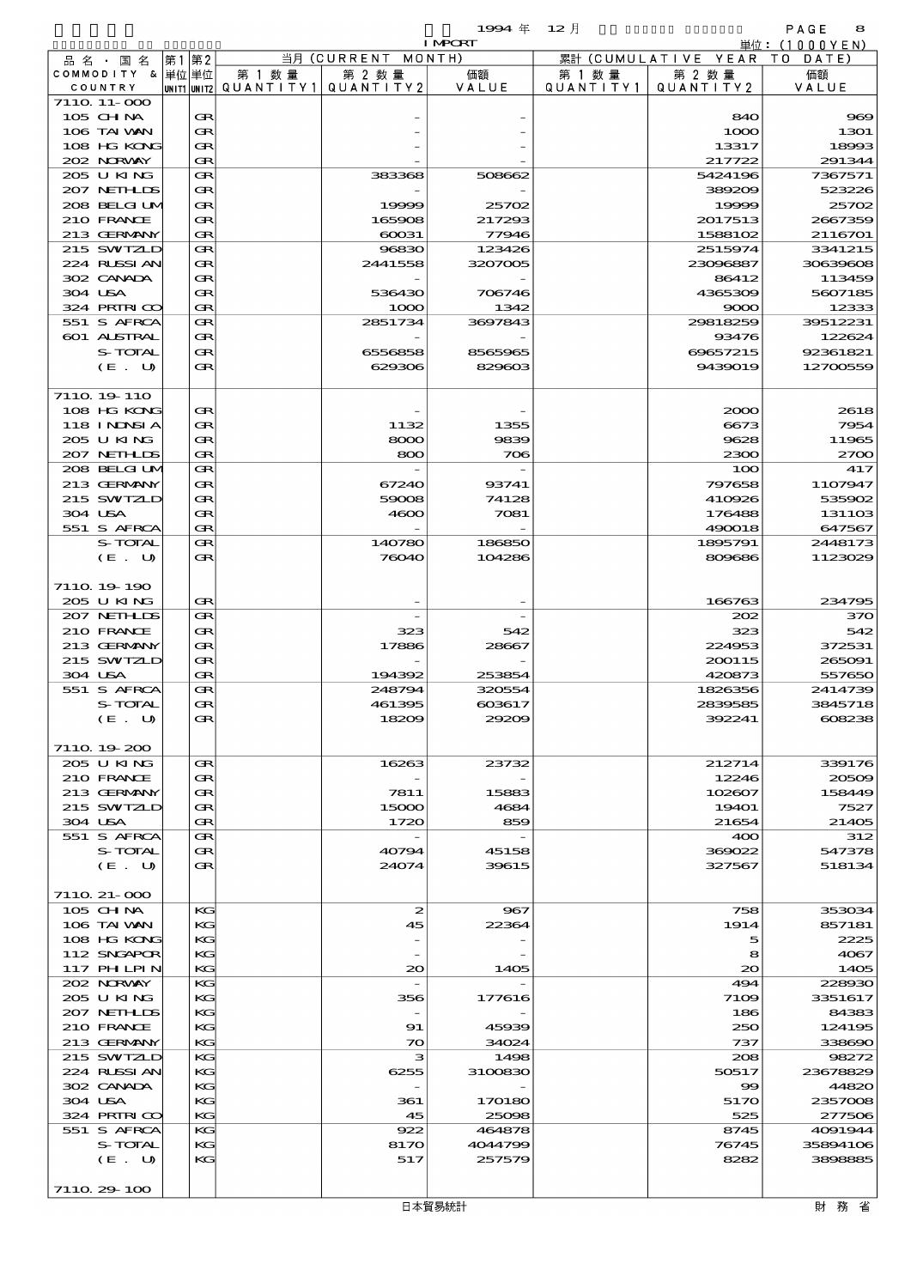|             |                             |      |          |        |                                       | 19994年 12月        |           |                                        | PAGE<br>8            |
|-------------|-----------------------------|------|----------|--------|---------------------------------------|-------------------|-----------|----------------------------------------|----------------------|
|             |                             |      |          |        |                                       | <b>I MPORT</b>    |           |                                        | 単位: (1000YEN)        |
|             | 品名・国名<br>COMMODITY & 単位単位   | 第1第2 |          | 第 1 数量 | 当月 (CURRENT MONTH)<br>第 2 数量          | 価額                | 第 1 数量    | 累計 (CUMULATIVE YEAR TO DATE)<br>第 2 数量 | 価額                   |
| COUNTRY     |                             |      |          |        | unit1 unit2  QUANT   TY1  QUANT   TY2 | VALUE             | QUANTITY1 | QUANTITY 2                             | VALUE                |
|             | 7110 11-000                 |      |          |        |                                       |                   |           |                                        |                      |
|             | $105$ CHNA                  |      | Œ        |        |                                       |                   |           | 840                                    | $\mathbf{p}$         |
|             | 106 TAI VAN                 |      | Œ        |        |                                       |                   |           | 1000                                   | 1301                 |
|             | 108 HG KONG<br>202 NORWAY   |      | Œ<br>Œ   |        |                                       |                   |           | 13317<br>217722                        | 18993<br>291344      |
|             | 205 U KING                  |      | Œ        |        | 383368                                | 508662            |           | 5424196                                | 7367571              |
|             | 207 NEIHLDS                 |      | Œ        |        |                                       |                   |           | 389209                                 | 523226               |
|             | 208 BELGI UM                |      | Œ        |        | 19999                                 | 25702             |           | 19999                                  | 25702                |
|             | 210 FRANCE                  |      | Œ        |        | 165908                                | 217293            |           | 2017513                                | 2667359              |
|             | 213 GERMANY                 |      | Œ        |        | 60031                                 | 77946             |           | 1588102                                | 2116701              |
|             | 215 SWIZLD<br>224 RUSSIAN   |      | Œ<br>Œ   |        | 96830<br>2441558                      | 123426<br>3207005 |           | 2515974<br>23096887                    | 3341215<br>30639606  |
|             | 302 CANADA                  |      | Œ        |        |                                       |                   |           | 86412                                  | 113459               |
| 304 USA     |                             |      | Œ        |        | 536430                                | 706746            |           | 4365309                                | 5607185              |
|             | 324 PRIRICO                 |      | Œ        |        | 1000                                  | 1342              |           | 9000                                   | 12333                |
|             | 551 S AFRCA                 |      | Œ        |        | 2851734                               | 3697843           |           | 29818259                               | 39512231             |
|             | 601 ALSTRAL                 |      | Œ        |        |                                       |                   |           | 93476                                  | 122624               |
|             | S-TOTAL<br>$(E_U U)$        |      | Œ<br>Œ   |        | 6556858<br>629306                     | 8565965<br>829603 |           | 69657215<br>9439019                    | 92361821<br>12700559 |
|             |                             |      |          |        |                                       |                   |           |                                        |                      |
|             | 7110 19 110                 |      |          |        |                                       |                   |           |                                        |                      |
|             | 108 HG KONG                 |      | Œ        |        |                                       |                   |           | 2000                                   | 2618                 |
|             | 118 I NJNSI A               |      | Œ        |        | 1132                                  | 1355              |           | 6673                                   | 7954                 |
|             | 205 U KING                  |      | Œ        |        | 8000                                  | 9839              |           | 9628                                   | 11965                |
|             | 207 NETHLIS<br>208 BELGI UM |      | Œ<br>Œ   |        | 800                                   | 706               |           | 2300<br>100                            | $z\pi$<br>417        |
|             | 213 GERMANY                 |      | Œ        |        | 67240                                 | 93741             |           | 797658                                 | 1107947              |
|             | 215 SWIZLD                  |      | Œ        |        | 59008                                 | 74128             |           | 410926                                 | 535902               |
| 304 USA     |                             |      | Œ        |        | 4600                                  | 7081              |           | 176488                                 | 1311O <sub>3</sub>   |
|             | 551 S AFRCA                 |      | Œ        |        |                                       |                   |           | 490018                                 | 647567               |
|             | S-TOTAL                     |      | Œ        |        | 140780                                | 186850            |           | 1895791                                | 2448173              |
|             | (E. U)                      |      | Œ        |        | 76040                                 | 104286            |           | 809686                                 | 1123029              |
|             | 7110 19 190                 |      |          |        |                                       |                   |           |                                        |                      |
|             | 205 U KING                  |      | Œ        |        |                                       |                   |           | 166763                                 | 234795               |
|             | 207 NETHLIS                 |      | Œ        |        |                                       |                   |           | 202                                    | 37C                  |
|             | 210 FRANCE                  |      | Œ        |        | 323                                   | 542               |           | 323                                    | 542                  |
|             | 213 GERMANY                 |      | Œ        |        | 17886                                 | 28667             |           | 224953                                 | 372531               |
| 304 USA     | 215 SWIZLD                  |      | Œ<br>Œ   |        | 194392                                | 253854            |           | 200115<br>420873                       | 265091<br>557650     |
|             | 551 S AFRCA                 |      | Œ        |        | 248794                                | 320554            |           | 1826356                                | 2414739              |
|             | S-TOTAL                     |      | Œ        |        | 461395                                | 603617            |           | 2839585                                | 3845718              |
|             | (E. U)                      |      | Œ        |        | 18209                                 | 29209             |           | 392241                                 | 608238               |
|             |                             |      |          |        |                                       |                   |           |                                        |                      |
|             | 7110 19 200<br>205 U KING   |      | Œ        |        | 16263                                 | 23732             |           | 212714                                 | 339176               |
|             | 210 FRANCE                  |      | Œ        |        |                                       |                   |           | 12246                                  | 20500                |
|             | 213 GERMANY                 |      | Œ        |        | 7811                                  | 15883             |           | 102607                                 | 158449               |
|             | 215 SWIZLD                  |      | Œ        |        | 15000                                 | 4684              |           | <b>19401</b>                           | 7527                 |
| 304 USA     |                             |      | Œ        |        | 1720                                  | 859               |           | 21654                                  | 2140E                |
|             | 551 S AFRCA                 |      | Œ        |        |                                       |                   |           | 400                                    | 312                  |
|             | S-TOTAL<br>(E. U)           |      | Œ<br>Œ   |        | 40794<br>24074                        | 45158<br>39615    |           | 369022<br>327567                       | 547378<br>518134     |
|             |                             |      |          |        |                                       |                   |           |                                        |                      |
|             | 7110 21-000                 |      |          |        |                                       |                   |           |                                        |                      |
|             | 105 CH NA                   |      | KG       |        | 2                                     | 967               |           | 758                                    | 353034               |
|             | 106 TAI VAN                 |      | KG       |        | 45                                    | 22364             |           | 1914                                   | 857181               |
|             | 108 HG KONG                 |      | KG       |        |                                       |                   |           | 5                                      | 2225                 |
|             | 112 SNGAPOR<br>117 PHLPIN   |      | KG<br>КG |        | $_{\infty}$                           | 1405              |           | 8<br>$\infty$                          | 4067<br>140E         |
|             | 202 NORVAY                  |      | КG       |        |                                       |                   |           | 494                                    | 228930               |
|             | 205 U KING                  |      | KG       |        | 356                                   | 177616            |           | 7109                                   | 3351617              |
|             | 207 NETHLIS                 |      | КG       |        |                                       |                   |           | 186                                    | 84383                |
|             | 210 FRANCE                  |      | KG       |        | 91                                    | 45939             |           | 250                                    | 124195               |
|             | 213 GERMANY<br>215 SWIZLD   |      | КG<br>КG |        | $\infty$<br>з                         | 34024             |           | 737<br>208                             | 338690               |
|             | 224 RUSSI AN                |      | KG       |        | 6255                                  | 1498<br>3100830   |           | 50517                                  | 98272<br>23678829    |
|             | 302 CANADA                  |      | КG       |        |                                       |                   |           | $\mathbf{S}$                           | 44820                |
| 304 USA     |                             |      | KG       |        | 361                                   | 170180            |           | 5170                                   | 2357008              |
|             | 324 PRIRICO                 |      | КG       |        | 45                                    | 25098             |           | 525                                    | 277506               |
|             | 551 S AFRCA                 |      | КG       |        | 922                                   | 464878            |           | 8745                                   | 4091944              |
|             | S-TOTAL<br>(E. U)           |      | KG<br>KG |        | 8170<br>517                           | 4044799<br>257579 |           | 76745<br>8282                          | 35894106<br>3808885  |
|             |                             |      |          |        |                                       |                   |           |                                        |                      |
| 7110 29 100 |                             |      |          |        |                                       |                   |           |                                        |                      |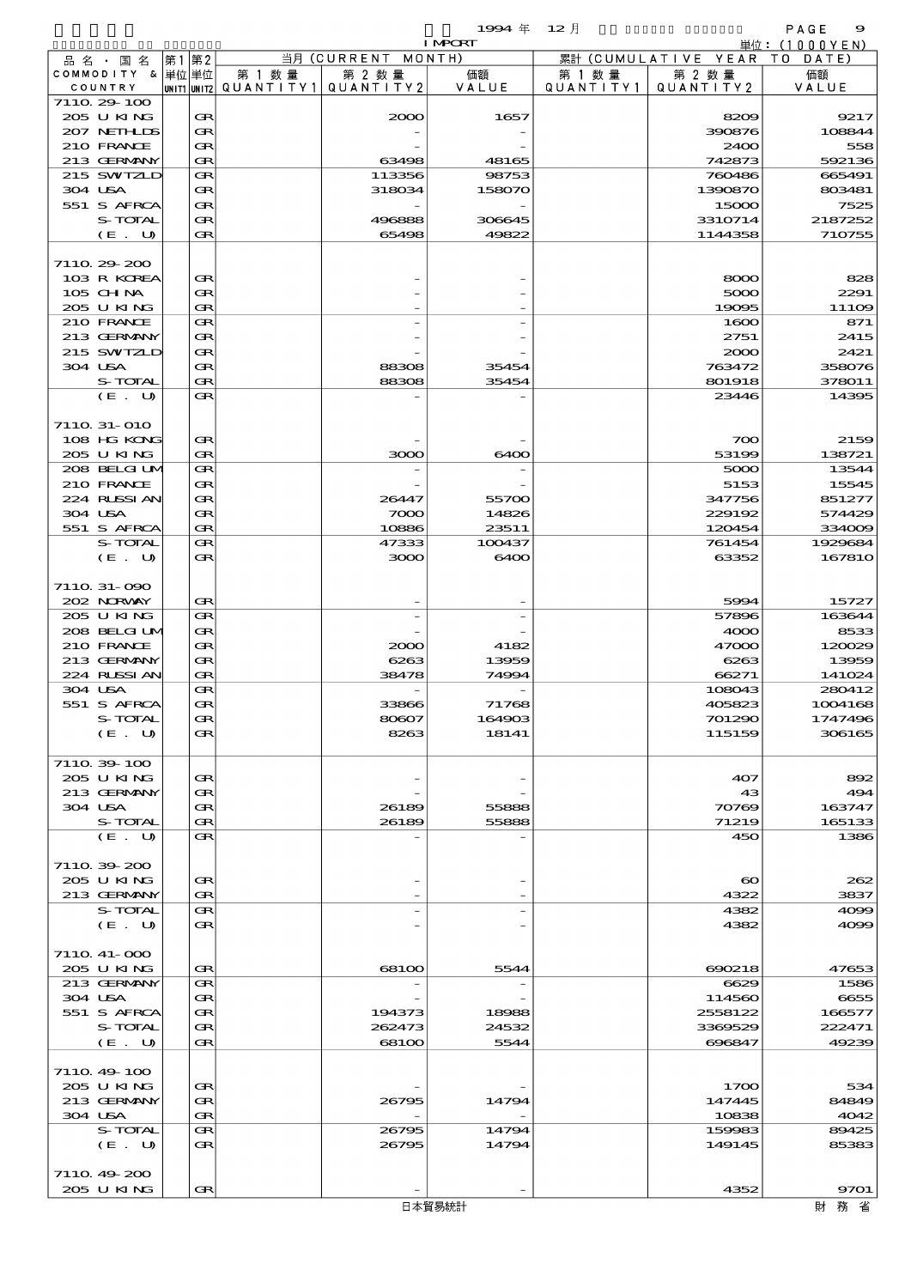品別国別表 輸 入 1994 12 確定 (Fixed Annual) 9

|                            |        |                                 |                    | <b>I MPORT</b> |           |                              | 単位:(1000YEN)      |
|----------------------------|--------|---------------------------------|--------------------|----------------|-----------|------------------------------|-------------------|
| 品名・国名                      | 第1第2   |                                 | 当月 (CURRENT MONTH) |                |           | 累計 (CUMULATIVE YEAR TO DATE) |                   |
| COMMODITY & 単位 単位          |        | 第 1 数量                          | 第 2 数量             | 価額<br>VALUE    | 第 1 数 量   | 第 2 数量                       | 価額<br>VALUE       |
| COUNTRY<br>7110 29 100     |        | UNIT1 UNIT2 QUANTITY1 QUANTITY2 |                    |                | QUANTITY1 | QUANTITY 2                   |                   |
| 205 U KING                 | Œ      |                                 | 2000               | 1657           |           | 8209                         | 9217              |
| 207 NETHLIS                | Œ      |                                 |                    |                |           | 390876                       | 108844            |
| 210 FRANCE                 | Œ      |                                 |                    |                |           | 2400                         | 558               |
| 213 GERMANY                | Œ      |                                 | 63498              | 48165          |           | 742873                       | 592136            |
| 215 SWIZLD                 | Œ      |                                 | 113356             | 98753          |           | 760486                       | 665491            |
| 304 USA<br>551 S AFRCA     | Œ<br>Œ |                                 | 318034             | 158070         |           | 1390870<br>15000             | 803481<br>7525    |
| S-TOTAL                    | Œ      |                                 | 496888             | 306645         |           | 3310714                      | 2187252           |
| (E. U)                     | Œ      |                                 | 65498              | 49822          |           | 1144358                      | <b>710755</b>     |
|                            |        |                                 |                    |                |           |                              |                   |
| 7110 29 200                |        |                                 |                    |                |           |                              |                   |
| 103 R KOREA                | Œ      |                                 |                    |                |           | 8000                         | 828               |
| $105$ CHNA                 | Œ      |                                 |                    |                |           | 5000                         | 2291              |
| 205 U KING<br>210 FRANCE   | Œ<br>Œ |                                 |                    |                |           | 19095<br>1600                | 11106<br>871      |
| 213 GERMANY                | Œ      |                                 |                    |                |           | 2751                         | 2415              |
| 215 SWIZLD                 | Œ      |                                 |                    |                |           | 2000                         | 2421              |
| 304 USA                    | Œ      |                                 | 88308              | 35454          |           | 763472                       | 358076            |
| S-TOTAL                    | Œ      |                                 | 88308              | 35454          |           | 801918                       | 378011            |
| (E. U)                     | Œ      |                                 |                    |                |           | 23446                        | 14395             |
|                            |        |                                 |                    |                |           |                              |                   |
| 711Q 31-010                |        |                                 |                    |                |           |                              |                   |
| 108 HG KONG                | Œ      |                                 |                    | 6400           |           | 700                          | 2159              |
| 205 U KING<br>208 BELGI UM | Œ<br>Œ |                                 | 3000               |                |           | 53199<br>5000                | 138721<br>13544   |
| 210 FRANCE                 | Œ      |                                 |                    |                |           | 5153                         | 15545             |
| 224 RUSSIAN                | Œ      |                                 | 26447              | 55700          |           | 347756                       | 851277            |
| 304 USA                    | Œ      |                                 | 7000               | 14826          |           | 229192                       | 574429            |
| 551 S AFRCA                | Œ      |                                 | 10886              | 23511          |           | 120454                       | 33400E            |
| S-TOTAL                    | Œ      |                                 | 47333              | 100437         |           | 761454                       | 1929684           |
| (E. U)                     | Œ      |                                 | 3000               | 6400           |           | 63352                        | 167810            |
|                            |        |                                 |                    |                |           |                              |                   |
| 7110 31-090<br>202 NORWAY  | Œ      |                                 |                    |                |           | 5994                         | 15727             |
| 205 U KING                 | Œ      |                                 |                    |                |           | 57896                        | 163644            |
| 208 BELGI UM               | Œ      |                                 |                    |                |           | 4000                         | 8533              |
| 210 FRANCE                 | Œ      |                                 | 2000               | 4182           |           | 47000                        | 120029            |
| 213 GERMANY                | Œ      |                                 | 6263               | 13959          |           | 6263                         | 13959             |
| 224 RUSSI AN               | Œ      |                                 | 38478              | 74994          |           | 66271                        | 141024            |
| 304 USA                    | Œ      |                                 |                    |                |           | 108043                       | 280412            |
| 551 S AFRCA                | Œ      |                                 | 33866              | 71768          |           | 405823                       | 1004168           |
| S-TOTAL                    | Œ<br>Œ |                                 | 80607<br>8263      | 164903         |           | 701290                       | 1747496<br>306165 |
| (E. U)                     |        |                                 |                    | 18141          |           | 115159                       |                   |
| 711039-100                 |        |                                 |                    |                |           |                              |                   |
| 205 U KING                 | Œ      |                                 |                    |                |           | 407                          | 892               |
| 213 GERMANY                | Œ      |                                 |                    |                |           | 43                           | 494               |
| 304 USA                    | Œ      |                                 | 26189              | 55888          |           | 70769                        | 163747            |
| S-TOTAL                    | Œ      |                                 | 26189              | 55888          |           | 71219                        | 165133            |
| (E. U)                     | Œ      |                                 |                    |                |           | 450                          | 1386              |
| 7110 39 200                |        |                                 |                    |                |           |                              |                   |
| 205 U KING                 | Œ      |                                 |                    |                |           | $\boldsymbol{\infty}$        | 262               |
| 213 GERMANY                | Œ      |                                 |                    |                |           | 4322                         | 3837              |
| S-TOTAL                    | Œ      |                                 |                    |                |           | 4382                         | 4000              |
| (E. U)                     | Œ      |                                 |                    |                |           | 4382                         | 4000              |
|                            |        |                                 |                    |                |           |                              |                   |
| 7110 41-000                |        |                                 |                    |                |           |                              |                   |
| 205 U KING                 | Œ      |                                 | 68100              | 5544           |           | 690218                       | 47653             |
| 213 GERMANY                | Œ      |                                 |                    |                |           | 6629                         | 1586              |
| 304 USA<br>551 S AFRCA     | Œ<br>Œ |                                 | 194373             | 18988          |           | 114560<br>2558122            | 6655<br>166577    |
| S-TOTAL                    | Œ      |                                 | 262473             | 24532          |           | 3369529                      | 222471            |
| (E. U)                     | Œ      |                                 | 68100              | 5544           |           | 696847                       | 49239             |
|                            |        |                                 |                    |                |           |                              |                   |
| 711049400                  |        |                                 |                    |                |           |                              |                   |
| 205 U KING                 | Œ      |                                 |                    |                |           | 1700                         | 534               |
| 213 GERMANY                | Œ      |                                 | 26795              | 14794          |           | 147445                       | 84849             |
| 304 USA                    | Œ      |                                 |                    |                |           | 10838                        | 4042              |
| S-TOTAL                    | Œ<br>Œ |                                 | 26795              | 14794<br>14794 |           | 159983<br>149145             | 89425<br>85383    |
| (E U)                      |        |                                 | 26795              |                |           |                              |                   |
| 7110 49 200                |        |                                 |                    |                |           |                              |                   |
|                            |        |                                 |                    |                |           |                              |                   |

205 U KING  $\left| \mathbf{R} \right|$  -  $\left| \begin{array}{ccc} - & - & - \end{array} \right|$  4352 9701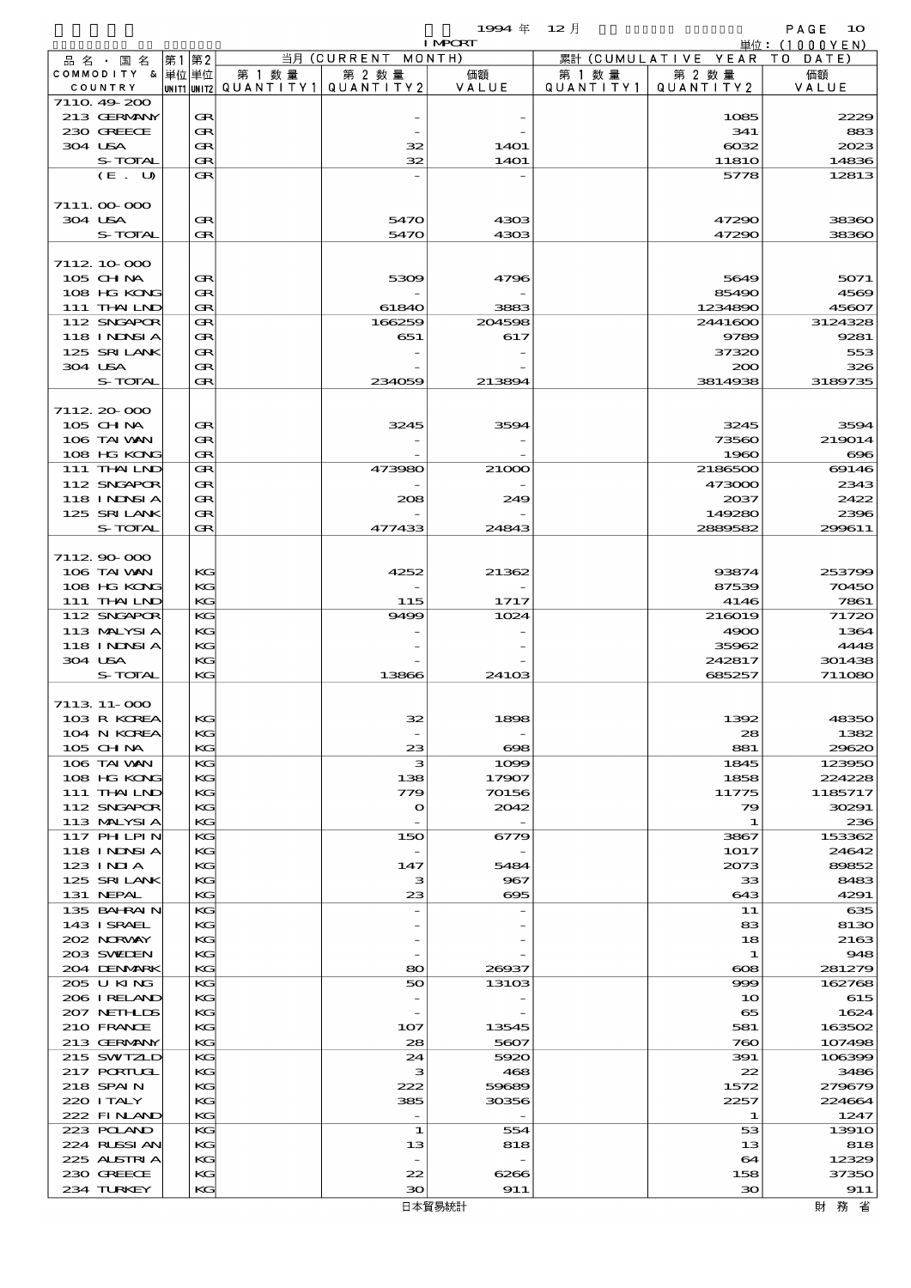|         |                             |       |          |                                      |                      | 1994 年           | $12$ 月               |                        | PAGE<br>10       |
|---------|-----------------------------|-------|----------|--------------------------------------|----------------------|------------------|----------------------|------------------------|------------------|
|         |                             |       |          |                                      |                      | <b>I MPORT</b>   |                      |                        | 単位: (1000YEN)    |
|         | 品 名 ・ 国 名                   | 第1 第2 |          |                                      | 当月 (CURRENT MONTH)   |                  |                      | 累計 (CUMULATIVE YEAR TO | DATE             |
|         | COMMODITY & 単位単位<br>COUNTRY |       |          | 第 1 数 量<br> unit1 unit2  Q∪ANT   TY1 | 第 2 数量<br>QUANTITY 2 | 価額<br>VALUE      | 第 1 数 量<br>QUANTITY1 | 第 2 数量<br>QUANTITY2    | 価額<br>VALUE      |
|         | 7110 49 200                 |       |          |                                      |                      |                  |                      |                        |                  |
|         | 213 GERMANY                 |       | Œ        |                                      |                      |                  |                      | 1085                   | 2229             |
|         | 230 GREECE                  |       | Œ        |                                      |                      |                  |                      | 341                    | 883              |
| 304 USA |                             |       | Œ        |                                      | 32                   | 14O1             |                      | $\cos z$               | 2023             |
|         | S-TOTAL                     |       | Œ        |                                      | 32                   | <b>14O1</b>      |                      | <b>11810</b>           | 14836            |
|         | (E. U)                      |       | Œ        |                                      |                      |                  |                      | 5778                   | 12813            |
|         |                             |       |          |                                      |                      |                  |                      |                        |                  |
|         | 7111.00000                  |       |          |                                      |                      |                  |                      |                        |                  |
| 304 USA | S-TOTAL                     |       | Œ<br>Œ   |                                      | 5470<br>5470         | 4303<br>4303     |                      | 47290<br>47290         | 38360<br>38360   |
|         |                             |       |          |                                      |                      |                  |                      |                        |                  |
|         | 7112 10 000                 |       |          |                                      |                      |                  |                      |                        |                  |
|         | $105$ CHNA                  |       | œ        |                                      | 5309                 | 4796             |                      | 5649                   | 5071             |
|         | 108 HG KONG                 |       | Œ        |                                      |                      |                  |                      | 85490                  | 4569             |
|         | 111 THAILND                 |       | Œ        |                                      | 61840                | 3883             |                      | 1234890                | 45607            |
|         | 112 SNGAPOR                 |       | Œ        |                                      | 166259               | 204598           |                      | 2441600                | 3124328          |
|         | 118 I NDSI A                |       | Œ        |                                      | 651                  | 617              |                      | 9789                   | 9281             |
|         | 125 SRILANK                 |       | Œ        |                                      |                      |                  |                      | 37320                  | 553              |
| 304 USA |                             |       | Œ        |                                      |                      |                  |                      | 200                    | 326              |
|         | S-TOTAL                     |       | Œ        |                                      | 234059               | 213894           |                      | 3814938                | 3189735          |
|         |                             |       |          |                                      |                      |                  |                      |                        |                  |
|         | 7112.20-000<br>$105$ CHNA   |       | œ        |                                      | 3245                 | 3594             |                      | 3245                   | 3594             |
|         | 106 TAI VAN                 |       | Œ        |                                      |                      |                  |                      | 73560                  | 219014           |
|         | 108 HG KONG                 |       | Œ        |                                      |                      |                  |                      | 1960                   | $\infty$         |
|         | 111 THAILND                 |       | Œ        |                                      | 473980               | 21000            |                      | 2186500                | 69146            |
|         | 112 SNGAPOR                 |       | Œ        |                                      |                      |                  |                      | 473000                 | 2343             |
|         | <b>118 INDSIA</b>           |       | Œ        |                                      | 208                  | 249              |                      | 2037                   | 2422             |
|         | 125 SRILANK                 |       | Œ        |                                      |                      |                  |                      | 149280                 | 2396             |
|         | S-TOTAL                     |       | Œ        |                                      | 477433               | 24843            |                      | 2889582                | 299611           |
|         |                             |       |          |                                      |                      |                  |                      |                        |                  |
|         | 711290000                   |       |          |                                      |                      |                  |                      |                        |                  |
|         | 106 TAI WAN                 |       | KG       |                                      | 4252                 | 21362            |                      | 93874                  | 253799           |
|         | 108 HG KONG                 |       | KG       |                                      |                      |                  |                      | 87539                  | 70450            |
|         | 111 THAILND<br>112 SNGAPOR  |       | KG<br>KG |                                      | 115<br>9499          | 1717<br>1024     |                      | 4146<br>216019         | 7861<br>71720    |
|         | 113 MALYSIA                 |       | KG       |                                      |                      |                  |                      | 4900                   | 1364             |
|         | <b>118 INDSIA</b>           |       | KG       |                                      |                      |                  |                      | 35962                  | 4448             |
| 304 USA |                             |       | KG       |                                      |                      |                  |                      | 242817                 | 301438           |
|         | S-TOTAL                     |       | KG       |                                      | 13866                | 24103            |                      | 685257                 | 711080           |
|         |                             |       |          |                                      |                      |                  |                      |                        |                  |
|         | 7113 11-000                 |       |          |                                      |                      |                  |                      |                        |                  |
|         | 103 R KOREA                 |       | КG       |                                      | 32                   | 1898             |                      | 1392                   | 48350            |
|         | 104 N KOREA                 |       | KG       |                                      |                      |                  |                      | 28                     | 1382             |
|         | 105 CH NA                   |       | КG<br>KG |                                      | 23                   | $\infty$<br>1000 |                      | 881                    | 29620            |
|         | 106 TAI VAN<br>108 HG KONG  |       | KG       |                                      | з<br>138             | 17907            |                      | 1845<br>1858           | 123950<br>224228 |
|         | 111 THAILND                 |       | KС       |                                      | 779                  | 70156            |                      | 11775                  | 1185717          |
|         | 112 SNGAPOR                 |       | KG       |                                      | $\mathbf o$          | 2042             |                      | 79                     | 30291            |
|         | 113 MALYSIA                 |       | KG       |                                      |                      |                  |                      | 1                      | 236              |
|         | 117 PH LPIN                 |       | KG       |                                      | 150                  | 6779             |                      | 3867                   | 153362           |
|         | 118 I NJNSI A               |       | KG       |                                      |                      |                  |                      | 1017                   | 24642            |
|         | 123 INIA                    |       | KС       |                                      | 147                  | 5484             |                      | 2073                   | 89852            |
|         | 125 SRILANK                 |       | KG       |                                      | з                    | 967              |                      | 33                     | 8483             |
|         | 131 NEPAL                   |       | KG       |                                      | 23                   | $\infty$         |                      | 643                    | 4291             |
|         | 135 BAHRAIN                 |       | KG       |                                      |                      |                  |                      | 11                     | 635              |
|         | 143 ISRAEL<br>202 NORVAY    |       | KG<br>KС |                                      |                      |                  |                      | 83<br>18               | 8130             |
|         | 203 SWIJEN                  |       | KG       |                                      |                      |                  |                      | 1                      | 2163<br>948      |
|         | 204 DENMARK                 |       | КG       |                                      | 80                   | 26937            |                      | ങ                      | 281279           |
|         | 205 U KING                  |       | KG       |                                      | 50                   | 13103            |                      | 999                    | 162768           |
|         | 206 I RELAND                |       | KG       |                                      |                      |                  |                      | 10                     | 615              |
|         | 207 NETHLIS                 |       | KG       |                                      |                      |                  |                      | 65                     | 1624             |
|         | 210 FRANCE                  |       | KG       |                                      | 107                  | 13545            |                      | 581                    | 163502           |
|         | 213 GERMANY                 |       | KG       |                                      | 28                   | 5607             |                      | 760                    | 107498           |
|         | 215 SWIZLD                  |       | KG       |                                      | 24                   | 5920             |                      | 391                    | 106399           |
|         | 217 PORTUGL                 |       | KG       |                                      | з                    | 468              |                      | 22                     | 3486             |
|         | 218 SPAIN                   |       | KG       |                                      | 222                  | 59689            |                      | 1572                   | 279679           |
|         | 220 I TALY                  |       | KG       |                                      | 385                  | 30356            |                      | 2257                   | 224664           |
|         | 222 FINAND<br>223 POLAND    |       | KG<br>KG |                                      | $\overline{a}$<br>1  | 554              |                      | 1<br>53                | 1247<br>1391O    |
|         | 224 RUSSI AN                |       | KG       |                                      | 13                   | 818              |                      | 13                     | 818              |
|         | 225 ALSTRIA                 |       | KG       |                                      |                      |                  |                      | 64                     | 12329            |
|         | 230 GREECE                  |       | KG       |                                      | 22                   | 6266             |                      | 158                    | 37350            |
|         |                             |       |          |                                      |                      |                  |                      |                        |                  |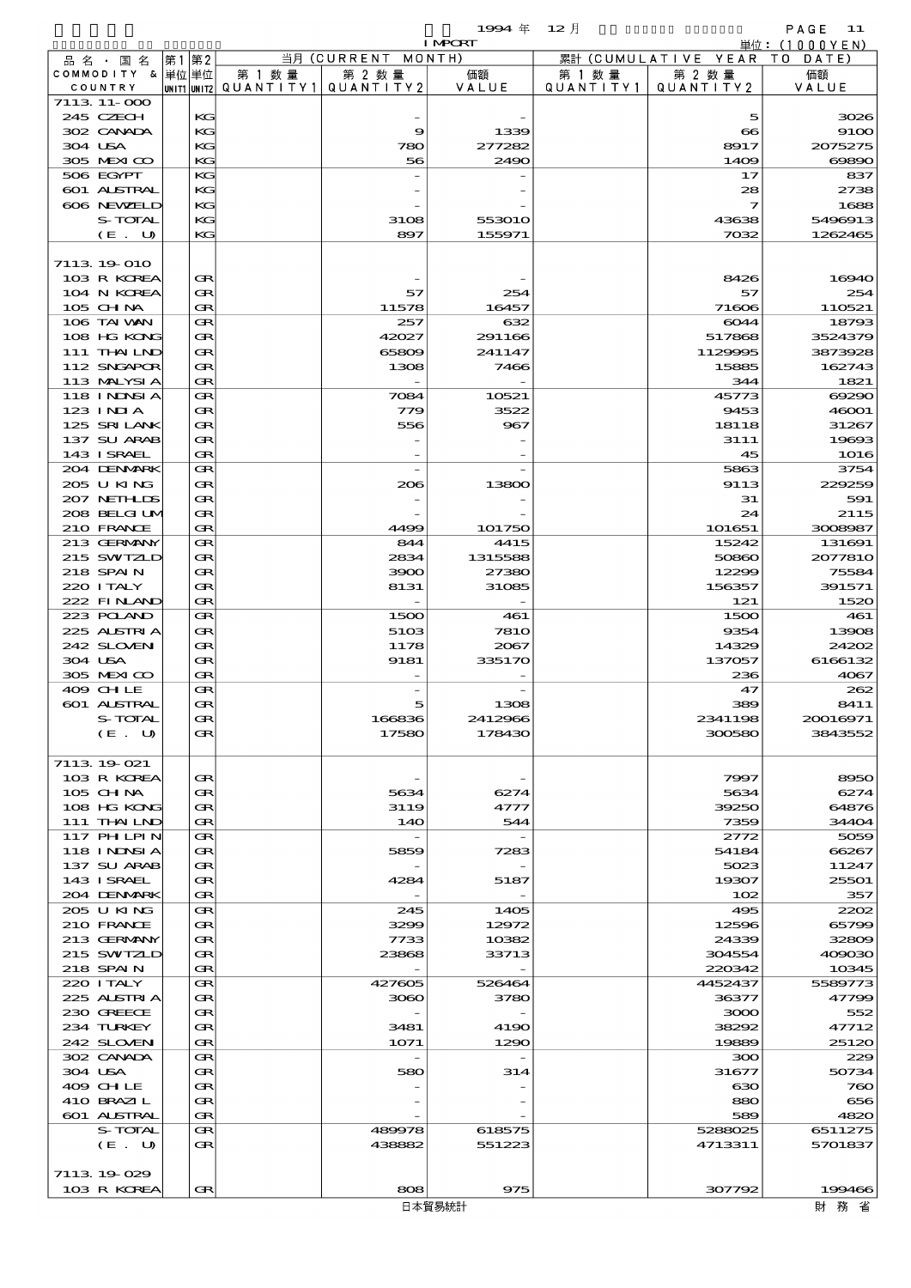$1994 \& 12 \quad \frac{1}{2}$ 

|         |                           |    |          |                                         |                    | <b>I MPORT</b> |           |                              | 単位: (1000YEN)   |
|---------|---------------------------|----|----------|-----------------------------------------|--------------------|----------------|-----------|------------------------------|-----------------|
|         | 品 名 ・ 国 名                 | 第1 | 第2       |                                         | 当月 (CURRENT MONTH) |                |           | 累計 (CUMULATIVE YEAR TO DATE) |                 |
|         | COMMODITY & 単位単位          |    |          | 第 1 数 量                                 | 第 2 数量             | 価額             | 第 1 数 量   | 第 2 数量                       | 価額              |
|         | COUNTRY                   |    |          | UNIT1 UNIT2   QUANT   TY1   QUANT   TY2 |                    | VALUE          | QUANTITY1 | QUANTITY2                    | VALUE           |
|         | 7113 11-000               |    |          |                                         |                    |                |           |                              |                 |
|         | 245 CZECH                 |    | KG<br>KG |                                         |                    |                |           | 5                            | 3026            |
|         | 302 CANADA<br>304 USA     |    | KG       |                                         | 9<br>780           | 1339<br>277282 |           | $\infty$<br>8917             | 9100<br>2075275 |
|         | 305 MEXICO                |    | KG       |                                         | 56                 | 2490           |           | 1409                         | 60890           |
|         | 506 EGYPT                 |    | KG       |                                         |                    |                |           | 17                           | 837             |
|         | 601 ALSTRAL               |    | KG       |                                         |                    |                |           | 28                           | 2738            |
|         | 606 NEWELD                |    | KG       |                                         |                    |                |           | $\overline{\mathbf{z}}$      | 1688            |
|         | S-TOTAL                   |    | KG       |                                         | 3108               | 553010         |           | 43638                        | 5496913         |
|         | (E. U)                    |    | KG       |                                         | 897                | 155971         |           | 7032                         | 1262465         |
|         |                           |    |          |                                         |                    |                |           |                              |                 |
|         | 7113 19 010               |    |          |                                         |                    |                |           |                              |                 |
|         | 103 R KOREA               |    | Œ        |                                         |                    |                |           | 8426                         | 16940           |
|         | 104 N KOREA               |    | Œ        |                                         | 57                 | 254            |           | 57                           | 254             |
|         | 105 CH NA                 |    | Œ        |                                         | 11578              | 16457          |           | 71606                        | 110521          |
|         | 106 TAI VAN               |    | Œ        |                                         | 257                | 632            |           | 6044                         | 18793           |
|         | 108 HG KONG               |    | Œ        |                                         | 42027              | 291166         |           | 517868                       | 3524379         |
|         | 111 THAILND               |    | Œ        |                                         | 65809              | 241147         |           | 1129995                      | 3873928         |
|         | 112 SNGAPOR               |    | Œ        |                                         | 1308               | 7466           |           | 15885                        | 162743          |
|         | 113 MALYSIA               |    | Œ        |                                         |                    |                |           | 344                          | 1821            |
|         | 118 I NJNSI A             |    | Œ        |                                         | 7084               | 10521          |           | 45773                        | 69290           |
|         | $123$ INIA                |    | Œ        |                                         | 779                | 3522           |           | 9453                         | 46001           |
|         | 125 SRILANK               |    | Œ        |                                         | 556                | 967            |           | 18118                        | 31267           |
|         | 137 SU ARAB               |    | Œ        |                                         |                    |                |           | 3111                         | 19693           |
|         | 143 ISRAEL<br>204 DENMARK |    | Œ<br>Œ   |                                         |                    |                |           | 45                           | 1016            |
|         | 205 U KING                |    | Œ        |                                         | 206                | 13800          |           | 5863<br>9113                 | 3754<br>229259  |
|         | 207 NETHLIS               |    | Œ        |                                         |                    |                |           | 31                           | 591             |
|         | 208 BELGI UM              |    | Œ        |                                         |                    |                |           | 24                           | 2115            |
|         | 210 FRANCE                |    | Œ        |                                         | 4499               | 101750         |           | 101651                       | 3008987         |
|         | 213 GERMANY               |    | Œ        |                                         | 844                | 4415           |           | 15242                        | 131691          |
|         | 215 SWIZLD                |    | Œ        |                                         | 2834               | 1315588        |           | 50860                        | 2077810         |
|         | 218 SPAIN                 |    | Œ        |                                         | 3900               | 27380          |           | 12299                        | 75584           |
|         | 220 I TALY                |    | Œ        |                                         | 8131               | 31085          |           | 156357                       | 391571          |
|         | 222 FINLAND               |    | Œ        |                                         |                    |                |           | 121                          | 1520            |
|         | 223 POLAND                |    | Œ        |                                         | 1500               | 461            |           | 1500                         | 461             |
|         | 225 ALSTRIA               |    | Œ        |                                         | 5103               | <b>7810</b>    |           | 9354                         | 13908           |
|         | 242 SLOVEN                |    | Œ        |                                         | 1178               | 2067           |           | 14329                        | 24202           |
|         | 304 USA                   |    | Œ        |                                         | 9181               | 335170         |           | 137057                       | 6166132         |
|         | 305 MEXICO                |    | Œ        |                                         |                    |                |           | 236                          | 4067            |
|         | 409 CHLE                  |    | Œ        |                                         |                    |                |           | 47                           | 262             |
|         | <b>601 ALSTRAL</b>        |    | Œ        |                                         | 5                  | 1308           |           | 389                          | 8411            |
|         | S-TOTAL                   |    | Œ        |                                         | 166836             | 2412966        |           | 2341198                      | 20016971        |
|         | (E U)                     |    | Œ        |                                         | 17580              | 178430         |           | 300580                       | 3843552         |
|         |                           |    |          |                                         |                    |                |           |                              |                 |
|         | 7113 19 021               |    |          |                                         |                    |                |           |                              |                 |
|         | 103 R KOREA<br>105 CH NA  |    | Œ<br>Œ   |                                         | 5634               | 6274           |           | 7997<br>5634                 | 8950<br>6274    |
|         | 108 HG KONG               |    | œ        |                                         | 3119               | 4777           |           | 39250                        | 64876           |
|         | 111 THAILND               |    | Œ        |                                         | 140                | 544            |           | 7359                         | 34404           |
|         | <b>117 PHLPIN</b>         |    | Œ        |                                         |                    |                |           | 2772                         | 5059            |
|         | <b>118 INNSIA</b>         |    | Œ        |                                         | 5859               | 7283           |           | 54184                        | 66267           |
|         | 137 SU ARAB               |    | Œ        |                                         |                    |                |           | 5023                         | 11247           |
|         | 143 ISRAEL                |    | œ        |                                         | 4284               | 5187           |           | 19307                        | 25501           |
|         | 204 DENMARK               |    | Œ        |                                         |                    |                |           | 102                          | 357             |
|         | 205 U KING                |    | Œ        |                                         | 245                | 1405           |           | 495                          | 2202            |
|         | 210 FRANCE                |    | Œ        |                                         | 3299               | 12972          |           | 12596                        | 65799           |
|         | 213 GERMANY               |    | Œ        |                                         | 7733               | 10382          |           | 24339                        | 32809           |
|         | 215 SWIZLD                |    | œ        |                                         | 23868              | 33713          |           | 304554                       | 409030          |
|         | 218 SPAIN                 |    | Œ        |                                         |                    |                |           | 220342                       | 10345           |
|         | 220 I TALY                |    | Œ        |                                         | 427605             | 526464         |           | 4452437                      | 5589773         |
|         | 225 ALSTRIA               |    | Œ        |                                         | 3060               | 3780           |           | 36377                        | 47799           |
|         | 230 GREECE                |    | Œ        |                                         |                    |                |           | 3000                         | 552             |
|         | 234 TURKEY<br>242 SLOVEN  |    | œ<br>Œ   |                                         | 3481<br>1071       | 4190<br>1290   |           | 38292<br>19889               | 47712           |
|         | 302 CANADA                |    | Œ        |                                         |                    |                |           | ဆဝ                           | 25120<br>229    |
| 304 USA |                           |    | Œ        |                                         | 580                | 314            |           | 31677                        | 50734           |
|         | 409 CH LE                 |    | Œ        |                                         |                    |                |           | ഓ                            | 760             |
|         | 410 BRAZIL                |    | œ        |                                         |                    |                |           | 880                          | 656             |
|         | <b>601 ALSTRAL</b>        |    | Œ        |                                         |                    |                |           | 589                          | 4820            |
|         | S-TOTAL                   |    | Œ        |                                         | 489978             | 618575         |           | 5288025                      | 6511275         |
|         | (E. U)                    |    | Œ        |                                         | 438882             | 551223         |           | 4713311                      | 5701837         |
|         |                           |    |          |                                         |                    |                |           |                              |                 |
|         | 7113 19 029               |    |          |                                         |                    |                |           |                              |                 |
|         | 103 R KOREA               |    | Œ        |                                         | 808                | 975            |           | 307792                       | 199466          |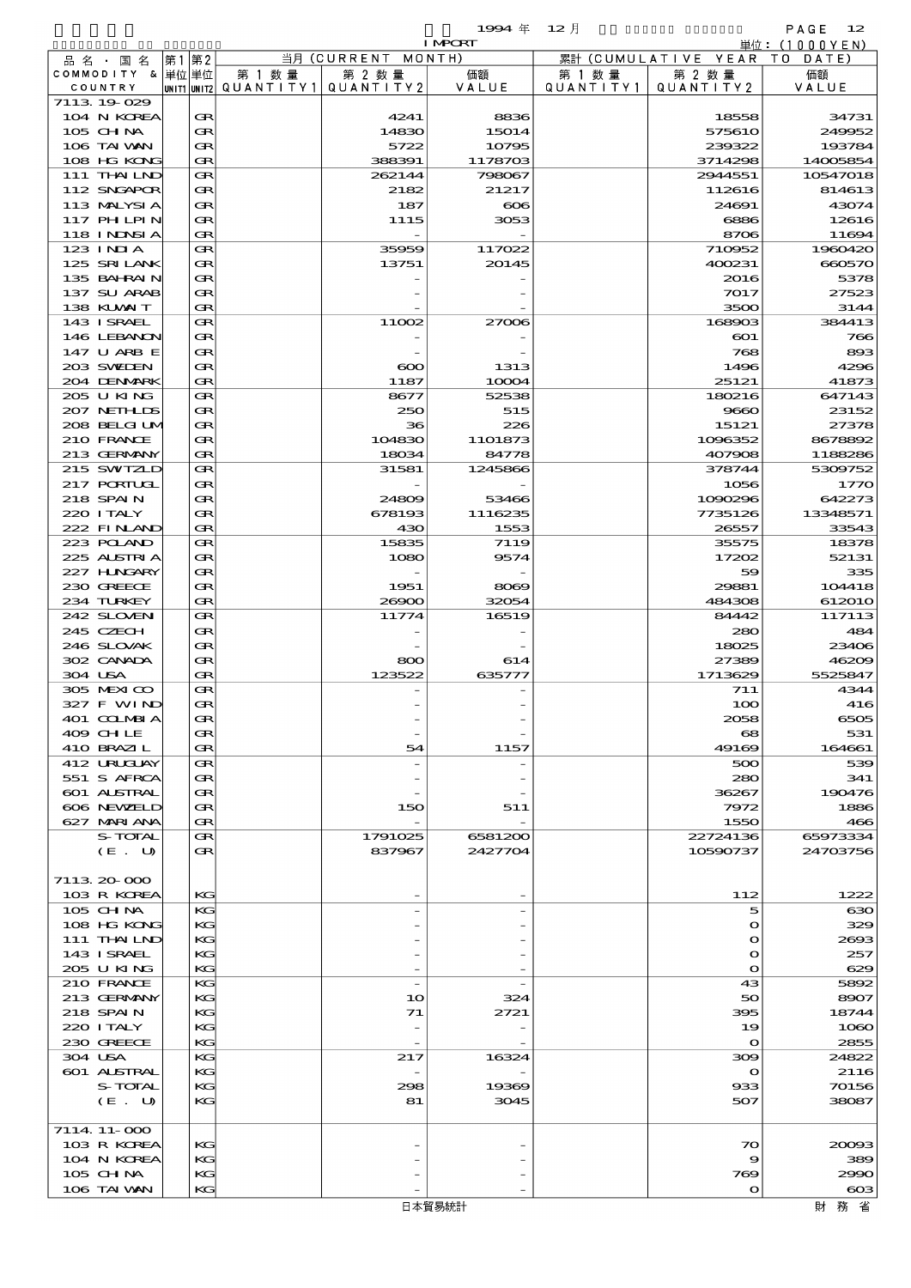$1994 \& 12 \quad \frac{1}{2}$ 

|                  |      |                                       |                    | <b>I MPCRT</b> |           |                              | 単位: <u>(1000YEN)</u> |
|------------------|------|---------------------------------------|--------------------|----------------|-----------|------------------------------|----------------------|
| 品名・国名            | 第1第2 |                                       | 当月 (CURRENT MONTH) |                |           | 累計 (CUMULATIVE YEAR TO DATE) |                      |
| COMMODITY & 単位単位 |      | 第 1 数量                                | 第 2 数量             | 価額             | 第 1 数量    | 第 2 数量                       | 価額                   |
| COUNTRY          |      | UNIT1 UNIT2  QUANT I TY1  QUANT I TY2 |                    | VALUE          | QUANTITY1 | QUANTITY 2                   | VALUE                |
| 7113 19 029      |      |                                       |                    |                |           |                              |                      |
| 104 N KOREA      | Œ    |                                       | 4241               | 8836           |           | 18558                        | 34731                |
| 105 CHNA         | Œ    |                                       | 14830              | 15014          |           | 575610                       | 249952               |
| 106 TAI VAN      | Œ    |                                       | 5722               | 10795          |           | 239322                       | 193784               |
| 108 HG KONG      | Œ    |                                       | 388391             | 1178703        |           | 3714298                      | 14005854             |
| 111 THAILND      | Œ    |                                       | 262144             | 798067         |           | 2944551                      | 10547018             |
| 112 SNGAPOR      | Œ    |                                       | 2182               | 21217          |           | 112616                       | 814613               |
|                  |      |                                       |                    |                |           |                              |                      |
| 113 MALYSIA      | Œ    |                                       | 187                | $\infty$       |           | 24691                        | 43074                |
| 117 PH LPIN      | Œ    |                                       | 1115               | 3053           |           | 6886                         | 12616                |
| 118 INNSI A      | Œ    |                                       |                    |                |           | 8706                         | 11694                |
| $123$ $1$ NIA    | Œ    |                                       | 35959              | 117022         |           | 710952                       | 1960420              |
| 125 SRILANK      | Œ    |                                       | 13751              | 20145          |           | 400231                       | 660570               |
| 135 BAHRAIN      | Œ    |                                       |                    |                |           | 2016                         | 5378                 |
| 137 SU ARAB      | Œ    |                                       |                    |                |           | 7017                         | 27523                |
| 138 KLVXIT       | Œ    |                                       |                    |                |           | 3500                         | 3144                 |
| 143 ISRAEL       | Œ    |                                       | 11002              | 27006          |           | 168903                       | 384413               |
| 146 LEBANON      | Œ    |                                       |                    |                |           | $_{\rm CO1}$                 | 766                  |
| 147 U ARB E      | Œ    |                                       |                    |                |           | 768                          | 893                  |
|                  |      |                                       |                    |                |           |                              |                      |
| 203 SWIEN        | Œ    |                                       | $\infty$           | 1313           |           | 1496                         | 4296                 |
| 204 DENMARK      | Œ    |                                       | 1187               | 10004          |           | 25121                        | 41873                |
| 205 U KING       | Œ    |                                       | 8677               | 52538          |           | 180216                       | 647143               |
| 207 NETHLIS      | Œ    |                                       | 250                | 515            |           | 9660                         | 23152                |
| 208 BELGI UM     | Œ    |                                       | 36                 | 226            |           | 15121                        | 27378                |
| 210 FRANCE       | Œ    |                                       | 104830             | 1101873        |           | 1096352                      | 8678892              |
| 213 GERMANY      | Œ    |                                       | 18034              | 84778          |           | 407908                       | 1188286              |
| 215 SWIZLD       | Œ    |                                       | 31581              | 1245866        |           | 378744                       | 5309752              |
| 217 PORTUGL      | Œ    |                                       |                    |                |           | 1056                         | 1770                 |
| 218 SPAIN        | Œ    |                                       | 24809              | 53466          |           | 1090296                      | 642273               |
| 220 I TALY       | Œ    |                                       | 678193             | 1116235        |           | 7735126                      | 13348571             |
| 222 FINAND       | Œ    |                                       | 430                | 1553           |           | 26557                        | 33543                |
|                  |      |                                       |                    |                |           |                              |                      |
| 223 POLAND       | Œ    |                                       | 15835              | 7119           |           | 35575                        | 18378                |
| 225 ALSTRIA      | Œ    |                                       | 1080               | 9574           |           | 17202                        | 52131                |
| 227 H.NGARY      | Œ    |                                       |                    |                |           | 59                           | 335                  |
| 230 GREECE       | Œ    |                                       | 1951               | 8069           |           | 29881                        | 104418               |
| 234 TURKEY       | Œ    |                                       | 26900              | 32054          |           | 484308                       | 612010               |
| 242 SLOVEN       | Œ    |                                       | 11774              | 16519          |           | 84442                        | 117113               |
| 245 CZECH        | Œ    |                                       |                    |                |           | 280                          | 484                  |
| 246 SLOVAK       | Œ    |                                       |                    |                |           | 18025                        | 23406                |
| 302 CANADA       | Œ    |                                       | 800                | 614            |           | 27389                        | 46209                |
| 304 USA          | Œ    |                                       | 123522             | 635777         |           | 1713629                      | 5525847              |
| 305 MEXICO       | Œ    |                                       |                    |                |           | 711                          | 4344                 |
| 327 F WIND       | Œ    |                                       |                    |                |           | 100                          | 416                  |
| 401 COLMBIA      | Œ    |                                       |                    |                |           | 2058                         | 6505                 |
|                  |      |                                       |                    |                |           |                              |                      |
| 409 CHLE         | Œ    |                                       |                    |                |           | 68                           | 531                  |
| 410 BRAZIL       | Œ    |                                       | 54                 | 1157           |           | 49169                        | 164661               |
| 412 URUCUAY      | Œ    |                                       |                    |                |           | 500                          | 539                  |
| 551 S AFRCA      | Œ    |                                       |                    |                |           | 280                          | 341                  |
| 601 ALSTRAL      | Œ    |                                       |                    |                |           | 36267                        | 190476               |
| 606 NEWELD       | Œ    |                                       | 150                | 511            |           | 7972                         | 1886                 |
| 627 MARI ANA     | Œ    |                                       |                    |                |           | 1550                         | 466                  |
| S-TOTAL          | Œ    |                                       | 1791025            | 6581200        |           | 22724136                     | 65973334             |
| (E. U)           | Œ    |                                       | 837967             | 2427704        |           | 10590737                     | 24703756             |
|                  |      |                                       |                    |                |           |                              |                      |
| 7113 20 000      |      |                                       |                    |                |           |                              |                      |
| 103 R KOREA      | KG   |                                       |                    |                |           | 112                          | 1222                 |
| 105 CHNA         | KG   |                                       |                    |                |           | 5                            | $_{\rm{630}}$        |
|                  |      |                                       |                    |                |           |                              |                      |
| 108 HG KONG      | KG   |                                       |                    |                |           | $\mathbf o$                  | 329                  |
| 111 THAILND      | KG   |                                       |                    |                |           | $\mathbf o$                  | 2693                 |
| 143 ISRAEL       | KG   |                                       |                    |                |           | $\mathbf o$                  | 257                  |
| 205 U KING       | KG   |                                       |                    |                |           | $\mathbf{o}$                 | 629                  |
| 210 FRANCE       | KG   |                                       | $\overline{a}$     |                |           | 43                           | 5892                 |
| 213 GERMANY      | KG   |                                       | 10                 | 324            |           | 50                           | 8907                 |
| 218 SPAIN        | KG   |                                       | 71                 | 2721           |           | 395                          | 18744                |
| 220 I TALY       | KG   |                                       |                    |                |           | 19                           | 1060                 |
| 230 GREECE       | KG   |                                       |                    |                |           | $\mathbf{o}$                 | 2855                 |
| 304 USA          | KG   |                                       | 217                | 16324          |           | 309                          | 24822                |
| 601 ALSTRAL      | KG   |                                       |                    |                |           | $\mathbf o$                  | 2116                 |
| S-TOTAL          | KG   |                                       | 298                | 19369          |           | 933                          | 70156                |
| (E. U)           | KG   |                                       | 81                 | 3045           |           | 507                          | 38087                |
|                  |      |                                       |                    |                |           |                              |                      |
|                  |      |                                       |                    |                |           |                              |                      |
| 7114 11 000      |      |                                       |                    |                |           |                              |                      |
| 103 R KOREA      | KG   |                                       |                    |                |           | 70                           | 20093                |
| 104 N KOREA      | KG   |                                       |                    |                |           | 9                            | 389                  |
| 105 CHNA         | KG   |                                       |                    |                |           | 769                          | 2990                 |
| 106 TAI VAN      | KG   |                                       |                    |                |           | $\mathbf{o}$                 | $\infty$             |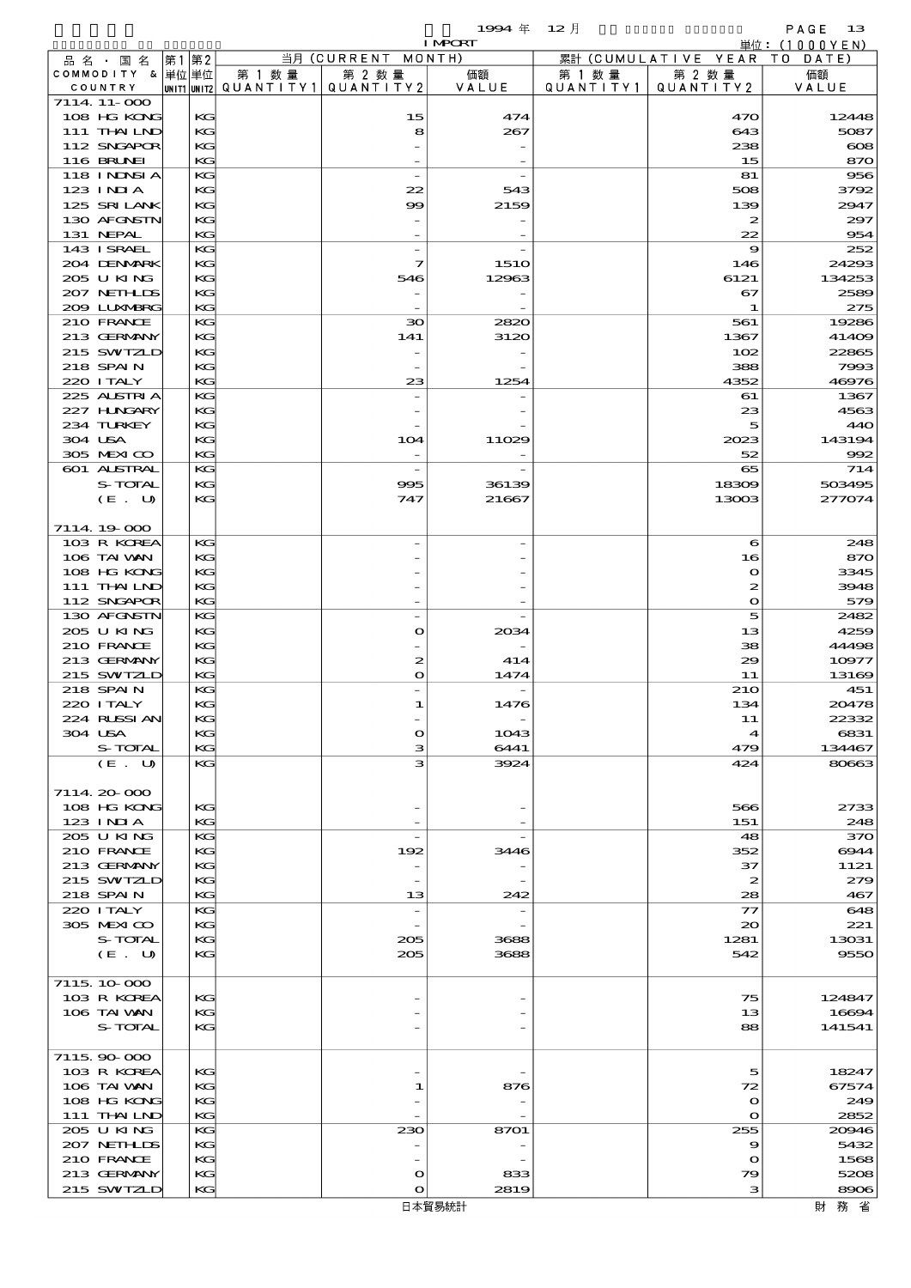$1994 \text{ } \# \text{ } 12 \text{ } \frac{1}{2}$  PAGE 13

|                                    |          |                                                  |                          | <b>I MPORT</b> |                       |                              | 単位: (1000 Y E N) |
|------------------------------------|----------|--------------------------------------------------|--------------------------|----------------|-----------------------|------------------------------|------------------|
| 品 名 ・ 国 名                          | 第1 第2    |                                                  | 当月 (CURRENT MONTH)       |                |                       | 累計 (CUMULATIVE YEAR TO DATE) |                  |
| COMMODITY & 単位 単位<br>COUNTRY       |          | 第 1 数量<br> unit1 unit2  QUANT   TY1  QUANT   TY2 | 第 2 数量                   | 価額<br>VALUE    | 第 1 数 量<br>QUANTITY11 | 第 2 数量<br>QUANTITY 2         | 価額<br>VALUE      |
| 7114 11 000                        |          |                                                  |                          |                |                       |                              |                  |
| 108 HG KONG                        | KG       |                                                  | 15                       | 474            |                       | 470                          | 12448            |
| 111 THAILND                        | KG       |                                                  | 8                        | 267            |                       | 643                          | 5087             |
| 112 SNGAPOR                        | KG       |                                                  |                          |                |                       | 238                          | $\infty$         |
| <b>116 BRUNEI</b><br>118 I NINSI A | KG<br>KG |                                                  |                          |                |                       | 15<br>81                     | 870<br>956       |
| $123$ INIA                         | KG       |                                                  | 22                       | 543            |                       | 508                          | 3792             |
| 125 SRILANK                        | KG       |                                                  | 99                       | 2159           |                       | 139                          | 2947             |
| 130 AFGNSTN                        | KG       |                                                  |                          |                |                       | $\boldsymbol{z}$             | 297              |
| 131 NEPAL                          | KG<br>KG |                                                  |                          |                |                       | 22<br>9                      | 954<br>252       |
| 143 ISRAEL<br>204 DENMARK          | KG       |                                                  | 7                        | <b>1510</b>    |                       | 146                          | 24293            |
| 205 U KING                         | KG       |                                                  | 546                      | 12963          |                       | 6121                         | 134253           |
| 207 NETHLIS                        | KG       |                                                  |                          |                |                       | 67                           | 2589             |
| 200 LUNABRG                        | KG       |                                                  |                          |                |                       | 1                            | 275              |
| 210 FRANCE<br>213 GERMANY          | KG<br>KG |                                                  | 30<br>141                | 2820<br>3120   |                       | 561<br>1367                  | 19286<br>41409   |
| 215 SWIZLD                         | KG       |                                                  |                          |                |                       | 102                          | 22865            |
| 218 SPAIN                          | KG       |                                                  |                          |                |                       | 388                          | 7993             |
| 220 I TALY                         | KG       |                                                  | 23                       | 1254           |                       | 4352                         | 46976            |
| 225 ALSTRIA                        | KG       |                                                  |                          |                |                       | 61                           | 1367             |
| 227 H.NGARY<br>234 TURKEY          | KG       |                                                  |                          |                |                       | 23<br>5                      | 4563             |
| 304 USA                            | KG<br>KG |                                                  | 104                      | 11029          |                       | 2023                         | 440<br>143194    |
| 305 MEXICO                         | KG       |                                                  |                          |                |                       | 52                           | 992              |
| 601 ALSTRAL                        | KG       |                                                  |                          |                |                       | 65                           | 714              |
| S-TOTAL                            | KG       |                                                  | 995                      | 36139          |                       | 18309                        | 503495           |
| (E. U)                             | KG       |                                                  | 747                      | 21667          |                       | 13003                        | 277074           |
| 7114 19 000                        |          |                                                  |                          |                |                       |                              |                  |
| 103 R KOREA                        | КG       |                                                  |                          |                |                       | $\epsilon$                   | 248              |
| 106 TAI VAN                        | KG       |                                                  |                          |                |                       | 16                           | 870              |
| 108 HG KONG                        | KG       |                                                  |                          |                |                       | $\mathbf o$                  | 3345             |
| 111 THAILND                        | KG<br>KG |                                                  |                          |                |                       | $\boldsymbol{z}$             | 3948             |
| 112 SNGAPOR<br>130 AFGNSTN         | KG       |                                                  |                          |                |                       | $\mathbf o$<br>5             | 579<br>2482      |
| 205 U KING                         | KG       |                                                  | $\bullet$                | 2034           |                       | 13                           | 4259             |
| 210 FRANCE                         | KG       |                                                  |                          |                |                       | 38                           | 44498            |
| 213 GERMANY                        | KG       |                                                  | $\boldsymbol{z}$         | 414            |                       | 29                           | 10977            |
| 215 SWIZLD                         | KG       |                                                  | $\bullet$                | 1474           |                       | 11                           | 13169            |
| 218 SPAIN<br>220 I TALY            | KС<br>KG |                                                  | 1                        | 1476           |                       | <b>210</b><br>134            | 451<br>20478     |
| 224 RUSSIAN                        | KG       |                                                  |                          |                |                       | 11                           | 22332            |
| 304 USA                            | KG       |                                                  | $\mathbf o$              | 1043           |                       | $\blacktriangleleft$         | 6831             |
| S-TOTAL                            | KG       |                                                  | з                        | 6441           |                       | 479                          | 134467           |
| (E. U)                             | KG       |                                                  | з                        | 3924           |                       | 424                          | 80663            |
| 7114 20 000                        |          |                                                  |                          |                |                       |                              |                  |
| 108 HG KONG                        | KG       |                                                  |                          |                |                       | 566                          | 2733             |
| 123 INIA                           | KG       |                                                  |                          |                |                       | 151                          | 248              |
| 205 U KING                         | KG       |                                                  |                          |                |                       | 48                           | 370              |
| 210 FRANCE<br>213 GERMANY          | KG<br>KG |                                                  | 192                      | 3446           |                       | 352<br>37                    | 6944<br>1121     |
| 215 SWIZLD                         | KG       |                                                  | $\overline{\phantom{a}}$ |                |                       | $\boldsymbol{z}$             | 279              |
| 218 SPAIN                          | KG       |                                                  | 13                       | 242            |                       | 28                           | 467              |
| 220 I TALY                         | КG       |                                                  |                          |                |                       | $\tau$                       | 648              |
| 305 MEXICO                         | KG       |                                                  |                          |                |                       | $\infty$                     | 221              |
| S-TOTAL<br>(E. U)                  | KG<br>KG |                                                  | 205<br>205               | 3688<br>3688   |                       | 1281<br>542                  | 13031<br>9550    |
|                                    |          |                                                  |                          |                |                       |                              |                  |
| 7115 10 000                        |          |                                                  |                          |                |                       |                              |                  |
| 103 R KOREA                        | KG       |                                                  |                          |                |                       | 75                           | 124847           |
| 106 TAI WAN                        | KG       |                                                  |                          |                |                       | 13                           | 16694            |
| S-TOTAL                            | KG       |                                                  |                          |                |                       | 88                           | 141541           |
| 7115.90-000                        |          |                                                  |                          |                |                       |                              |                  |
| 103 R KOREA                        | KG       |                                                  |                          |                |                       | 5                            | 18247            |
| 106 TAI WAN                        | KG       |                                                  | 1                        | 876            |                       | 72                           | 67574            |
| 108 HG KONG                        | KG       |                                                  |                          |                |                       | $\mathbf o$                  | 249              |
| 111 THAILND<br>205 U KING          | KG<br>КG |                                                  | 230                      | 8701           |                       | $\Omega$<br>255              | 2852<br>20946    |
| 207 NETHLIS                        | KG       |                                                  | $\overline{\phantom{0}}$ |                |                       | $\boldsymbol{\Theta}$        | 5432             |
| 210 FRANCE                         | KG       |                                                  |                          |                |                       | $\mathbf o$                  | 1568             |
| 213 GERMANY                        | KG       |                                                  | $\mathbf o$              | 833            |                       | 79                           | 5208             |
| 215 SWIZLD                         | KG       |                                                  | O                        | 2819           |                       | з                            | 8906             |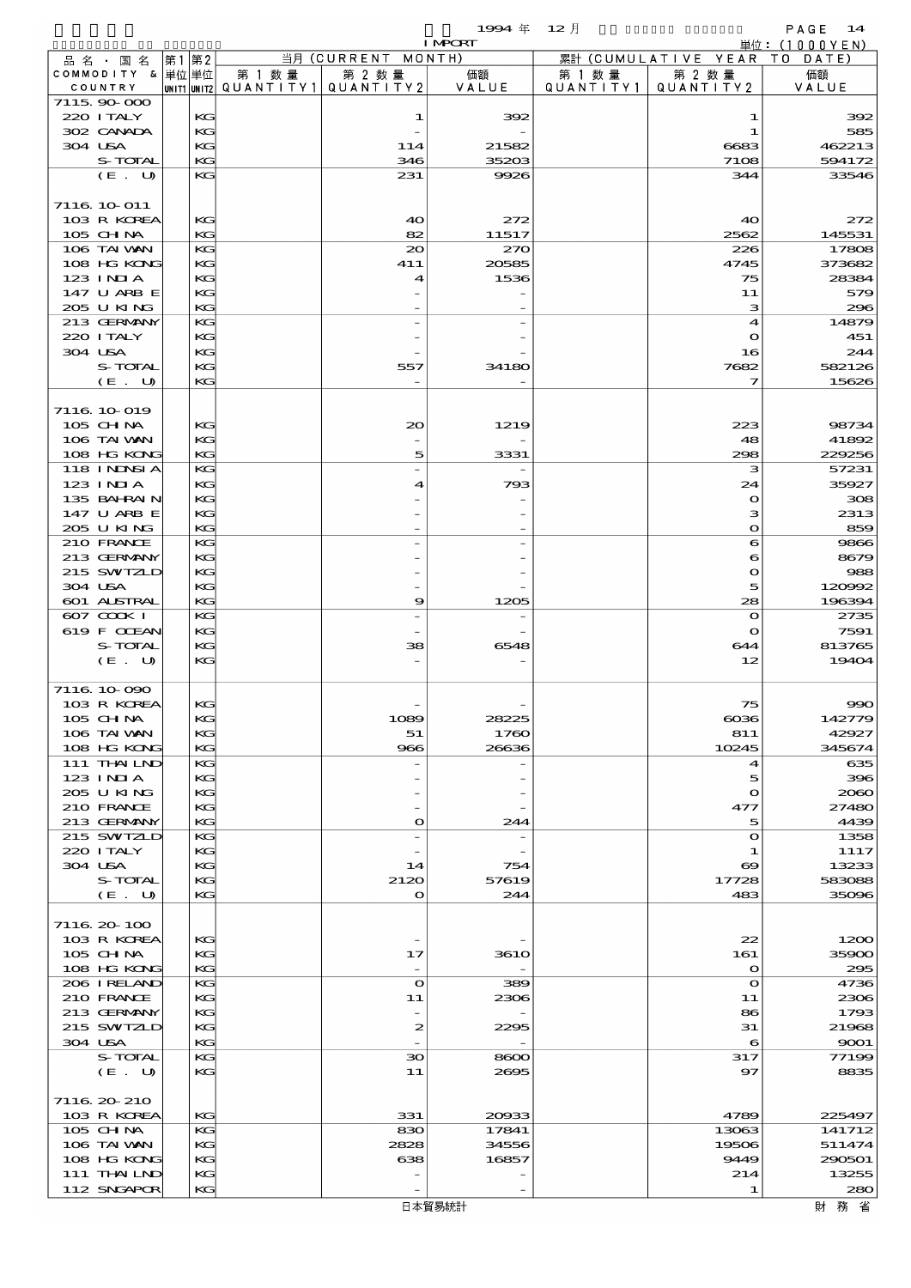|                            |      |          |                                          |                                 | 1994年          | $12$ 月    |                        | PAGE<br>14           |
|----------------------------|------|----------|------------------------------------------|---------------------------------|----------------|-----------|------------------------|----------------------|
| 品名・国名                      | 第1第2 |          |                                          | 当月 (CURRENT MONTH)              | <b>I MPORT</b> |           | 累計 (CUMULATIVE YEAR TO | 単位:(1000YEN)<br>DATE |
| COMMODITY & 単位単位           |      |          | 第 1 数量                                   | 第 2 数量                          | 価額             | 第 1 数 量   | 第 2 数量                 | 価額                   |
| COUNTRY                    |      |          | UNIT1  UNIT2   QUANT   TY1   QUANT   TY2 |                                 | VALUE          | QUANTITY1 | QUANTITY2              | VALUE                |
| 7115,90,000<br>220 I TALY  |      | KG       |                                          | 1                               | 392            |           | 1                      | 392                  |
| 302 CANADA                 |      | KG       |                                          |                                 |                |           | 1                      | 585                  |
| 304 USA                    |      | KG       |                                          | 114                             | 21582          |           | 6683                   | 462213               |
| S-TOTAL                    |      | KG       |                                          | 346                             | 35203          |           | 7108                   | 594172               |
| (E. U)                     |      | KG       |                                          | 231                             | 9926           |           | 344                    | 33546                |
| 7116 10 011                |      |          |                                          |                                 |                |           |                        |                      |
| 103 R KOREA                |      | KG       |                                          | 40                              | 272            |           | 40                     | 272                  |
| 105 CHNA                   |      | KG       |                                          | 82                              | 11517          |           | 2562                   | 145531               |
| 106 TAI WAN                |      | KG       |                                          | 20                              | 270            |           | 226                    | 17808                |
| 108 HG KONG                |      | KG       |                                          | 411                             | 20585          |           | 4745                   | 373682               |
| $123$ INIA<br>147 U ARB E  |      | KG<br>KG |                                          | 4                               | 1536           |           | 75<br>11               | 28384<br>579         |
| 205 U KING                 |      | KG       |                                          |                                 |                |           | з                      | 296                  |
| 213 GERMANY                |      | KG       |                                          |                                 |                |           | 4                      | 14879                |
| 220 I TALY                 |      | KG       |                                          |                                 |                |           | $\mathbf o$            | 451                  |
| 304 USA<br>S-TOTAL         |      | KG       |                                          |                                 |                |           | 16                     | 244                  |
| (E. U)                     |      | KG<br>KG |                                          | 557<br>$\overline{\phantom{a}}$ | 34180          |           | 7682<br>7              | 582126<br>15626      |
|                            |      |          |                                          |                                 |                |           |                        |                      |
| 7116 10 019                |      |          |                                          |                                 |                |           |                        |                      |
| 105 CHNA                   |      | KG       |                                          | $_{\infty}$                     | 1219           |           | 223                    | 98734                |
| 106 TAI VAN<br>108 HG KONG |      | KG<br>KG |                                          |                                 |                |           | 48<br>298              | 41892                |
| <b>118 INDSIA</b>          |      | KG       |                                          | 5                               | 3331           |           | з                      | 229256<br>57231      |
| $123$ INIA                 |      | KС       |                                          | 4                               | 793            |           | 24                     | 35927                |
| 135 BAHRAIN                |      | KG       |                                          |                                 |                |           | $\mathbf{o}$           | 308                  |
| 147 U ARB E                |      | KG       |                                          |                                 |                |           | з                      | 2313                 |
| 205 U KING                 |      | KG       |                                          |                                 |                |           | $\bullet$              | 859                  |
| 210 FRANCE<br>213 GERMANY  |      | KG<br>KG |                                          |                                 |                |           | 6<br>6                 | 9866<br>8679         |
| 215 SWIZLD                 |      | KG       |                                          |                                 |                |           | $\mathbf{o}$           | 988                  |
| 304 USA                    |      | KG       |                                          |                                 |                |           | 5                      | 120992               |
| 601 ALSTRAL                |      | KG       |                                          | 9                               | 1205           |           | 28                     | 196394               |
| $607$ $CQKI$               |      | KG       |                                          |                                 |                |           | $\mathbf{o}$           | 2735                 |
| 619 F CCEAN<br>S-TOTAL     |      | KG<br>KС |                                          | 38                              | 6548           |           | $\mathbf{o}$<br>644    | 7591<br>813765       |
| (E. U)                     |      | KG       |                                          |                                 |                |           | 12                     | 19404                |
|                            |      |          |                                          |                                 |                |           |                        |                      |
| 7116 10 090                |      |          |                                          |                                 |                |           |                        |                      |
| 103 R KOREA<br>105 CH NA   |      | KG<br>KG |                                          | 1089                            | 28225          |           | 75<br>$\cos$           | $\infty$<br>142779   |
| 106 TAI VAN                |      | KG       |                                          | 51                              | 1760           |           | 811                    | 42927                |
| 108 HG KONG                |      | KG       |                                          | 966                             | 26636          |           | 10245                  | 345674               |
| 111 THAILND                |      | КC       |                                          |                                 |                |           | 4                      | 635                  |
| 123 INIA<br>205 U KING     |      | KG       |                                          |                                 |                |           | 5                      | 396<br>2060          |
| 210 FRANCE                 |      | KG<br>KG |                                          |                                 |                |           | $\mathbf o$<br>477     | 27480                |
| 213 GERMANY                |      | KG       |                                          | $\mathbf{o}$                    | 244            |           | 5                      | 4439                 |
| 215 SWIZLD                 |      | KG       |                                          |                                 |                |           | $\mathbf{o}$           | 1358                 |
| 220 I TALY                 |      | KG       |                                          |                                 |                |           | 1                      | 1117                 |
| 304 USA<br>S-TOTAL         |      | KG<br>КC |                                          | 14<br>2120                      | 754<br>57619   |           | ಱ<br>17728             | 13233<br>583088      |
| (E. U)                     |      | KG       |                                          | $\bullet$                       | 244            |           | 483                    | 35096                |
|                            |      |          |                                          |                                 |                |           |                        |                      |
| 7116 20 100                |      |          |                                          |                                 |                |           |                        |                      |
| 103 R KOREA                |      | KG       |                                          | $\overline{\phantom{a}}$        |                |           | 22                     | 1200                 |
| 105 CHNA<br>108 HG KONG    |      | КC<br>KG |                                          | 17                              | <b>3610</b>    |           | 161<br>$\bullet$       | 35900<br>295         |
| 206 I RELAND               |      | KG       |                                          | $\mathbf{o}$                    | 389            |           | $\bullet$              | 4736                 |
| 210 FRANCE                 |      | KG       |                                          | 11                              | 2306           |           | 11                     | 2306                 |
| 213 GERMANY                |      | КC       |                                          |                                 |                |           | 86                     | 1793                 |
| 215 SWIZLD<br>304 USA      |      | KG<br>KG |                                          | $\boldsymbol{z}$                | 2295           |           | 31<br>6                | 21968                |
| S-TOTAL                    |      | KG       |                                          | $\infty$                        | 8600           |           | 317                    | 9001<br>77199        |
| (E. U)                     |      | KG       |                                          | 11                              | 2695           |           | 97                     | 8835                 |
|                            |      |          |                                          |                                 |                |           |                        |                      |
| 7116 20 210                |      |          |                                          |                                 |                |           |                        |                      |
| 103 R KOREA<br>105 CHNA    |      | KG<br>КC |                                          | 331                             | 20933          |           | 4789<br>13063          | 225497               |
| 106 TAI VAN                |      | KG       |                                          | 830<br>2828                     | 17841<br>34556 |           | 19506                  | 141712<br>511474     |
| 108 HG KONG                |      | KG       |                                          | 638                             | 16857          |           | 9449                   | 290501               |
| 111 THAILND                |      | KG       |                                          |                                 |                |           | 214                    | 13255                |
| 112 SNGAPOR                |      | KG       |                                          |                                 |                |           | 1                      | 280                  |

財務省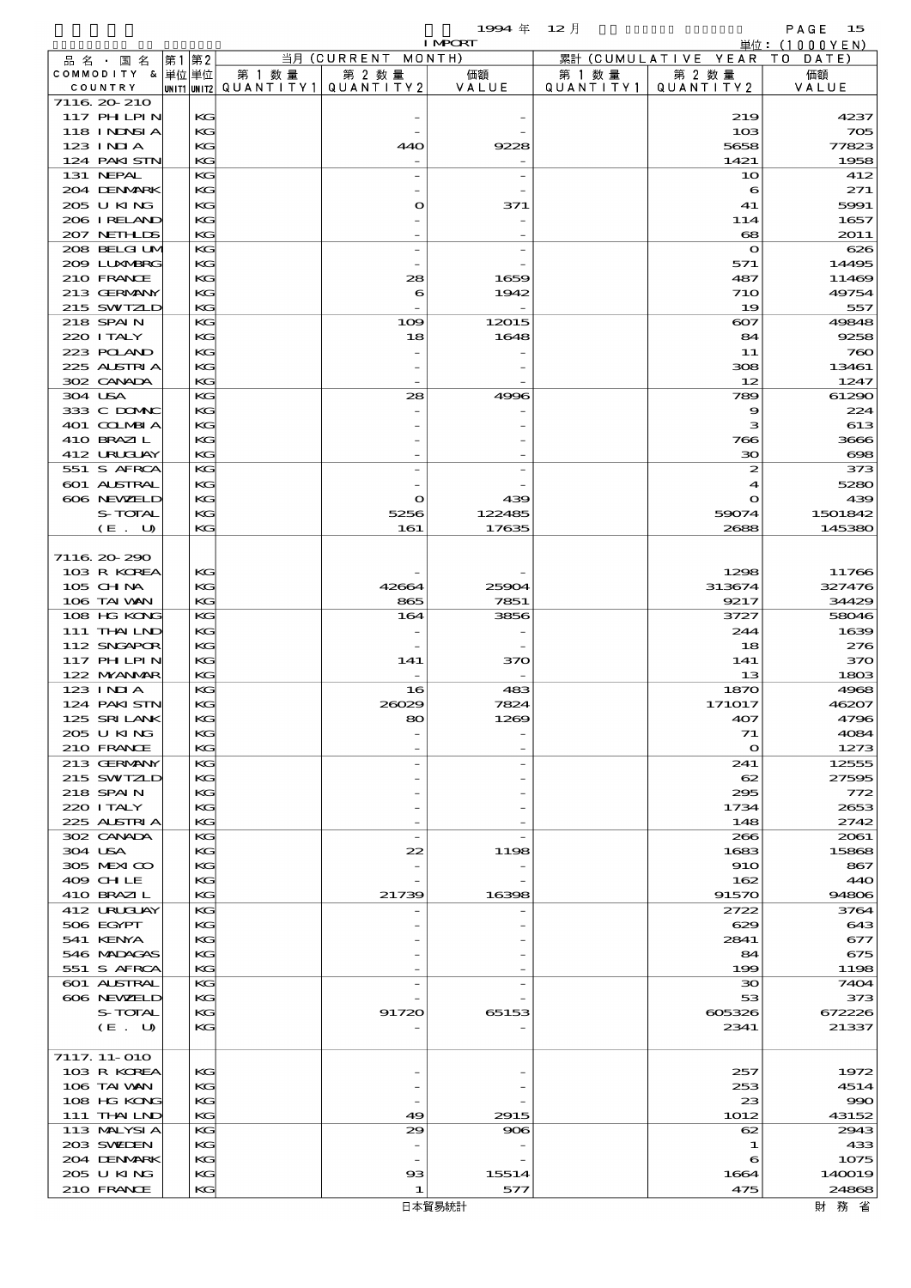$1994 \, \text{#} \quad 12 \, \text{]}$ <br>
PAGE 15<br>  $\frac{\text{#}6: (1000 \, \text{Y} \, \text{EN})}{ }$ 

|         |                    |             |    |        |                          | <b>I MPORT</b> |           |                        | 単位: (1000YEN) |
|---------|--------------------|-------------|----|--------|--------------------------|----------------|-----------|------------------------|---------------|
|         | 品名・国名              | 第1          | 第2 |        | 当月 (CURRENT              | MONTH)         |           | 累計 (CUMULATIVE YEAR    | T O<br>DATE   |
|         | COMMODITY & 単位単位   |             |    | 第 1 数量 | 第 2 数量                   | 価額             | 第 1 数 量   | 第 2 数量                 | 価額            |
|         | COUNTRY            | UNIT1 UNIT2 |    |        | QUANTITY1 QUANTITY2      | VALUE          | QUANTITY1 | QUANTITY2              | VALUE         |
|         | 7116 20 210        |             |    |        |                          |                |           |                        |               |
|         | <b>117 PHLPIN</b>  |             | KG |        |                          |                |           | 219                    | 4237          |
|         | <b>118 INNSI A</b> |             | KG |        |                          |                |           | 10 <sup>3</sup>        | 705           |
|         | $123$ INJA         |             | KG |        | 440                      | 9228           |           | 5658                   | 77823         |
|         | 124 PAKISTN        |             | KG |        |                          |                |           | 1421                   | 1958          |
|         | 131 NEPAL          |             | KG |        |                          |                |           | 10                     | 412           |
|         | 204 DENMARK        |             | KG |        |                          |                |           | 6                      | 271           |
|         | 205 U KING         |             | KG |        | O                        | 371            |           | 41                     | 5991          |
|         | 206 IRELAND        |             | KG |        |                          |                |           | 114                    | 1657          |
|         | 207 NETHLIS        |             | KG |        |                          |                |           | $\mathbf{e}\mathbf{e}$ | 2011          |
|         | 208 BELGI UM       |             | KG |        |                          |                |           | $\mathbf o$            | 626           |
|         | 2009 LUNABRG       |             | KG |        |                          |                |           | 571                    | 14495         |
|         | 210 FRANCE         |             | KG |        | 28                       | 1659           |           | 487                    | 11469         |
|         | 213 GERMANY        |             | KG |        | 6                        | 1942           |           | 710                    | 49754         |
|         | 215 SWIZLD         |             | KG |        |                          |                |           | 19                     | 557           |
|         | 218 SPAIN          |             | KG |        | 109                      | 12015          |           | $\infty$               | 49848         |
|         | 220 I TALY         |             | KG |        | 18                       | 1648           |           | 84                     | 9258          |
|         | 223 POLAND         |             | KG |        |                          |                |           | 11                     | 760           |
|         | 225 ALSTRIA        |             | KG |        |                          |                |           | 308                    | 13461         |
|         | 302 CANADA         |             | KG |        |                          |                |           | 12                     | 1247          |
| 304 USA |                    |             | KG |        | 28                       | 4996           |           | 789                    | 61290         |
|         | 333 C DOMAC        |             | KG |        |                          |                |           | 9                      | 224           |
|         | 401 COLMBIA        |             | KG |        |                          |                |           | з                      | 613           |
|         | 410 BRAZIL         |             | KG |        |                          |                |           | 766                    | 3666          |
|         | 412 URUJAY         |             | KG |        |                          |                |           | 30                     | $\infty$      |
|         | 551 S AFRCA        |             | KG |        |                          |                |           | 2                      | 373           |
|         | 601 ALSTRAL        |             | KG |        |                          |                |           | 4                      | 5280          |
|         | 606 NEWELD         |             | KG |        | O                        | 439            |           | $\mathbf o$            | 439           |
|         | S-TOTAL            |             | KG |        | 5256                     | 122485         |           | 59074                  | 1501842       |
|         | (E. U)             |             | KG |        | 161                      | 17635          |           | 2688                   | 145380        |
|         |                    |             |    |        |                          |                |           |                        |               |
|         | 7116 20 290        |             |    |        |                          |                |           |                        |               |
|         | 103 R KOREA        |             | KG |        |                          |                |           | 1298                   | 11766         |
|         | $105$ CHNA         |             | KG |        | 42664                    | 25904          |           | 313674                 | 327476        |
|         | 106 TAI VAN        |             | KG |        | 865                      | 7851           |           | 9217                   | 34429         |
|         | 108 HG KONG        |             | KG |        | 164                      | 3856           |           | 3727                   | 58046         |
|         | 111 THAILND        |             | KG |        |                          |                |           | 244                    | 1639          |
|         | 112 SNGAPOR        |             | KG |        |                          |                |           | 18                     | 276           |
|         | 117 PH LPIN        |             | KG |        | 141                      | 370            |           | 141                    | 370           |
|         | 122 NYANAR         |             | KG |        |                          |                |           | 13                     | 1803          |
|         | $123$ INIA         |             | KG |        | 16                       | 483            |           | 1870                   | 4968          |
|         | 124 PAKISTN        |             | KG |        | 26029                    | 7824           |           | 171017                 | 46207         |
|         | 125 SRILANK        |             | KG |        | 80                       | 1269           |           | 407                    | 4796          |
|         | 205 U KING         |             | КG |        |                          |                |           | 71                     | 4084          |
|         | 210 FRANCE         |             | KG |        |                          |                |           | $\mathbf{\Omega}$      | 1273          |
|         | 213 GERMANY        |             | KG |        |                          |                |           | 241                    | 12555         |
|         | 215 SWIZLD         |             | KG |        |                          |                |           | 62                     | 27595         |
|         | 218 SPAIN          |             | KG |        |                          |                |           | 295                    | 772           |
|         | 220 I TALY         |             | KG |        |                          |                |           | 1734                   | 2653          |
|         | 225 ALSTRIA        |             | KG |        |                          |                |           | 148                    | 2742          |
|         | 302 CANADA         |             | KG |        | $\overline{\phantom{m}}$ |                |           | 266                    | 2061          |
| 304 USA |                    |             | KG |        | 22                       | 1198           |           | 1683                   | 15868         |
|         | 305 MEXICO         |             | KG |        |                          |                |           | 910                    | 867           |
|         | 409 CHLE           |             | KG |        |                          |                |           | 162                    | 440           |
|         | 410 BRAZIL         |             | KG |        | 21739                    | 16398          |           | 91570                  | 94806         |
|         | 412 URUCUAY        |             | KG |        |                          |                |           | 2722                   | 3764          |
|         | 506 EGYPT          |             | KG |        |                          |                |           | 629                    | 643           |
|         | 541 KENYA          |             | КG |        |                          |                |           | 2841                   | 677           |
|         | 546 MADAGAS        |             | KG |        |                          |                |           | 84                     | 675           |
|         | 551 S AFRCA        |             | KG |        |                          |                |           | 199                    | 1198          |
|         | 601 ALSTRAL        |             | KG |        |                          |                |           | зо                     | 7404          |
|         | 606 NEWELD         |             | KG |        |                          |                |           | 53                     | 373           |
|         | S-TOTAL            |             | КG |        | 91720                    | 65153          |           | 605326                 | 672226        |
|         | (E. U)             |             | KG |        |                          |                |           | 2341                   | 21337         |
|         |                    |             |    |        |                          |                |           |                        |               |
|         | 7117. 11-010       |             |    |        |                          |                |           |                        |               |
|         | 103 R KOREA        |             | KG |        |                          |                |           | 257                    | 1972          |
|         | 106 TAI VAN        |             | КG |        |                          |                |           | 253                    | 4514          |
|         | 108 HG KONG        |             | KG |        |                          |                |           | 23                     | $\infty$      |
|         | 111 THAILND        |             | KG |        | 49                       | 2915           |           | 1012                   | 43152         |
|         | 113 MALYSIA        |             | KG |        | 29                       | 906            |           | 62                     | 2943          |
|         | 203 SWILEN         |             | KG |        |                          |                |           | 1                      | 433           |
|         | 204 DENMARK        |             | КG |        |                          |                |           | 6                      | 1075          |
|         | 205 U KING         |             | KG |        | $\boldsymbol{\alpha}$    | 15514          |           | 1664                   | 140019        |
|         | 210 FRANCE         |             | KG |        | 1                        | 577            |           | 475                    | 24868         |
|         |                    |             |    |        |                          |                |           |                        |               |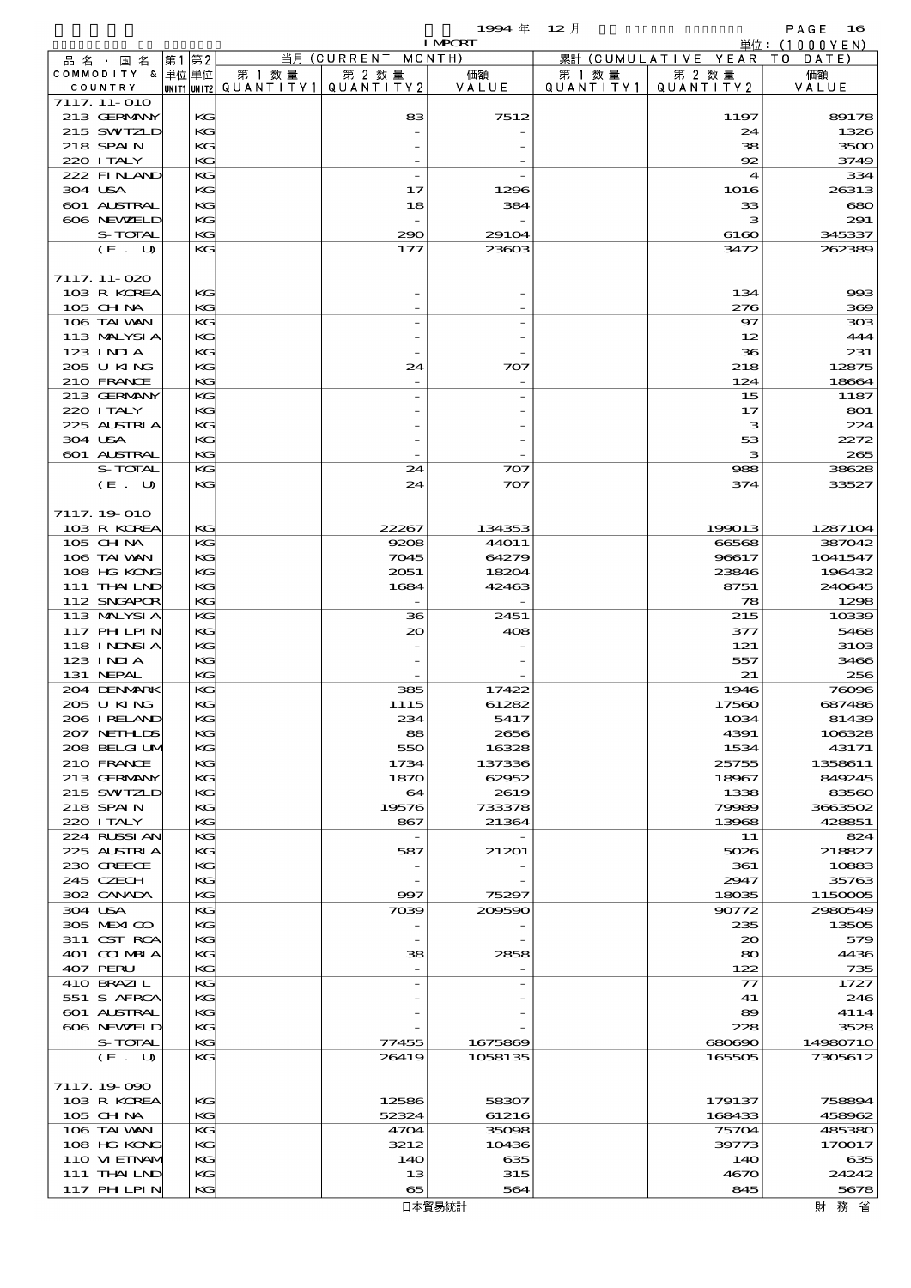$1994 \quad \text{if} \quad 12 \quad \text{if} \quad \text{PAGE} \quad 16$ 

|         |                             |          |                                                  |                          | <b>I MPCRT</b>  |                             |                                    | 単位: (1000 Y E N)  |
|---------|-----------------------------|----------|--------------------------------------------------|--------------------------|-----------------|-----------------------------|------------------------------------|-------------------|
|         | 品名・国名                       | 第1 第2    |                                                  | 当月 (CURRENT MONTH)       |                 |                             | 累計 (CUMULATIVE YEAR TO DATE)       |                   |
|         | COMMODITY & 単位単位<br>COUNTRY |          | 第 1 数量<br> UNIT1 UNIT2  QUANT   TY1  QUANT   TY2 | 第 2 数量                   | 価額<br>VALUE     | 第 1 数量<br>Q U A N T I T Y 1 | 第 2 数量<br>QUANTITY 2               | 価額<br>VALUE       |
|         | 7117. 11-010                |          |                                                  |                          |                 |                             |                                    |                   |
|         | 213 GERMANY                 | КG       |                                                  | 83                       | 7512            |                             | 1197                               | 89178             |
|         | 215 SWIZLD                  | KG       |                                                  |                          |                 |                             | 24                                 | 1326              |
|         | 218 SPAIN                   | KG       |                                                  |                          |                 |                             | 38                                 | 3500              |
|         | 220 I TALY                  | KG       |                                                  |                          |                 |                             | 92                                 | 3749              |
| 304 USA | 222 FINAND                  | KG<br>KG |                                                  | $\overline{a}$<br>17     | 1296            |                             | $\boldsymbol{\mathcal{A}}$<br>1016 | 334<br>26313      |
|         | 601 ALSTRAL                 | KС       |                                                  | 18                       | 384             |                             | 33                                 | 680               |
|         | 606 NEWELD                  | KG       |                                                  |                          |                 |                             | з                                  | 291               |
|         | S-TOTAL                     | KG       |                                                  | 290                      | 29104           |                             | 6160                               | 345337            |
|         | (E. U)                      | KC       |                                                  | 177                      | 23603           |                             | 3472                               | 262389            |
|         |                             |          |                                                  |                          |                 |                             |                                    |                   |
|         | 7117. 11-020<br>103 R KOREA | KG       |                                                  |                          |                 |                             | 134                                | 993               |
|         | 105 CH NA                   | KG       |                                                  |                          |                 |                             | 276                                | 369               |
|         | 106 TAI VAN                 | KG       |                                                  |                          |                 |                             | $\mathbf{S}$                       | 308               |
|         | 113 MALYSIA                 | KG       |                                                  |                          |                 |                             | 12                                 | 444               |
|         | 123 INIA                    | KС       |                                                  |                          |                 |                             | 36                                 | 231               |
|         | 205 U KING                  | KG       |                                                  | 24                       | 707             |                             | 218                                | 12875             |
|         | 210 FRANCE                  | KG       |                                                  |                          |                 |                             | 124                                | 18664             |
|         | 213 GERMANY                 | KG       |                                                  |                          |                 |                             | 15                                 | 1187              |
|         | 220 I TALY<br>225 ALSTRIA   | KG<br>KС |                                                  |                          |                 |                             | 17<br>з                            | 801<br>224        |
| 304 USA |                             | KG       |                                                  |                          |                 |                             | 53                                 | 2272              |
|         | 601 ALSTRAL                 | KG       |                                                  |                          |                 |                             | з                                  | 265               |
|         | S-TOTAL                     | KС       |                                                  | 24                       | 707             |                             | 988                                | 38628             |
|         | (E. U)                      | KG       |                                                  | 24                       | 707             |                             | 374                                | 33527             |
|         |                             |          |                                                  |                          |                 |                             |                                    |                   |
|         | 7117.19.010                 |          |                                                  |                          |                 |                             |                                    |                   |
|         | 103 R KOREA<br>105 CHNA     | KG<br>KG |                                                  | 22267<br>9208            | 134353<br>44O11 |                             | 199013<br>66568                    | 1287104<br>387042 |
|         | 106 TAI VAN                 | KG       |                                                  | 7045                     | 64279           |                             | 96617                              | 1041547           |
|         | 108 HG KONG                 | KС       |                                                  | 2051                     | 18204           |                             | 23846                              | 196432            |
|         | 111 THAILND                 | KG       |                                                  | 1684                     | 42463           |                             | 8751                               | 240645            |
|         | 112 SNGAPOR                 | KG       |                                                  |                          |                 |                             | 78                                 | 1298              |
|         | 113 MALYSIA                 | KС       |                                                  | 36                       | 2451            |                             | 215                                | 10339             |
|         | 117 PHLPIN                  | KG       |                                                  | 20                       | 408             |                             | 377                                | 5468              |
|         | 118 INNSI A                 | KС       |                                                  |                          |                 |                             | 121                                | 310 <sub>3</sub>  |
|         | 123 INIA<br>131 NEPAL       | KG<br>KG |                                                  |                          |                 |                             | 557<br>21                          | 3466<br>256       |
|         | 204 DENMARK                 | KG       |                                                  | 385                      | 17422           |                             | 1946                               | 76096             |
|         | 205 U KING                  | KG       |                                                  | 1115                     | 61282           |                             | 17560                              | 687486            |
|         | 206 I RELAND                | KG       |                                                  | 234                      | 5417            |                             | 1034                               | 81439             |
|         | 207 NETHLIS                 | KG       |                                                  | 88                       | 2656            |                             | 4391                               | 106328            |
|         | 208 BELGI UM                | KC       |                                                  | 550                      | 16328           |                             | 1534                               | 43171             |
|         | 210 FRANCE<br>213 GERMANY   | KG<br>KC |                                                  | 1734<br>1870             | 137336<br>62952 |                             | 25755<br>18967                     | 1358611<br>849245 |
|         | 215 SWIZLD                  | KC       |                                                  | 64                       | 2619            |                             | 1338                               | 83560             |
|         | 218 SPAIN                   | KG       |                                                  | 19576                    | 733378          |                             | 79989                              | 3663502           |
|         | 220 I TALY                  | KG       |                                                  | 867                      | 21364           |                             | 13968                              | 428851            |
|         | 224 RUSSI AN                | KG       |                                                  | $\overline{\phantom{a}}$ |                 |                             | 11                                 | 824               |
|         | 225 ALSTRIA                 | KG       |                                                  | 587                      | 21201           |                             | 5026                               | 218827            |
|         | 230 GREECE                  | KC       |                                                  |                          |                 |                             | 361                                | 10883             |
|         | 245 CZECH<br>302 CANADA     | KG<br>KC |                                                  | 997                      | 75297           |                             | 2947<br>18035                      | 35763<br>1150005  |
| 304 USA |                             | KC       |                                                  | 7039                     | 209590          |                             | 90772                              | 2980549           |
|         | 305 MEXICO                  | KC       |                                                  |                          |                 |                             | 235                                | 13505             |
|         | 311 CST RCA                 | KC       |                                                  |                          |                 |                             | 20                                 | 579               |
|         | 401 COLMBIA                 | KG       |                                                  | 38                       | 2858            |                             | 80                                 | 4436              |
|         | 407 PERU                    | KG       |                                                  |                          |                 |                             | 122                                | 735               |
|         | 410 BRAZIL                  | KG       |                                                  |                          |                 |                             | $\mathcal{T}$                      | 1727              |
|         | 551 S AFRCA<br>601 ALSTRAL  | KC<br>KС |                                                  |                          |                 |                             | 41                                 | 246<br>4114       |
|         | 606 NEWELD                  | KG       |                                                  |                          |                 |                             | 89<br>228                          | 3528              |
|         | S-TOTAL                     | KC       |                                                  | 77455                    | 1675869         |                             | 680690                             | 14980710          |
|         | (E. U)                      | KG       |                                                  | 26419                    | 1058135         |                             | 165505                             | 7305612           |
|         |                             |          |                                                  |                          |                 |                             |                                    |                   |
|         | 7117.19-090                 |          |                                                  |                          |                 |                             |                                    |                   |
|         | 103 R KOREA                 | КG       |                                                  | 12586                    | 58307           |                             | 179137                             | 758894            |
|         | 105 CH NA<br>106 TAI VAN    | KC<br>KG |                                                  | 52324<br>4704            | 61216<br>35098  |                             | 168433<br>75704                    | 458962<br>485380  |
|         | 108 HG KONG                 | KC       |                                                  | 3212                     | 10436           |                             | 39773                              | 170017            |
|         | 110 VIEINAM                 | KС       |                                                  | 14O                      | 635             |                             | 140                                | 635               |
|         | 111 THAILND                 | KС       |                                                  | 13                       | 315             |                             | 4670                               | 24242             |
|         | <b>117 PHLPIN</b>           | KС       |                                                  | 65                       | 564             |                             | 845                                | 5678              |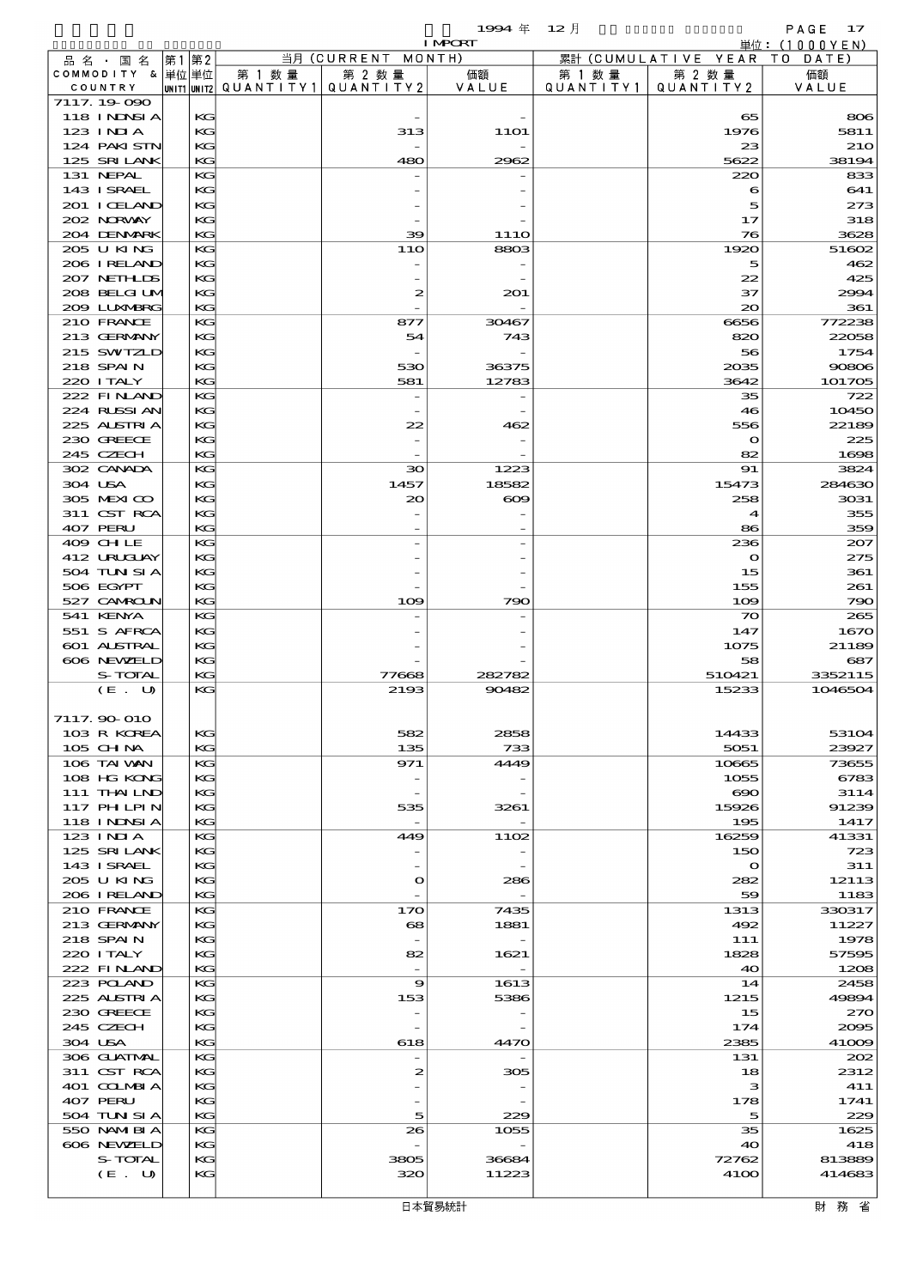$1994 \quad \oplus \quad 12 \quad \uparrow$  PAGE 17

|                              |          |        |                                                     | <b>I MPCRT</b>   |                      |                              | 単位: (1000 Y E N) |
|------------------------------|----------|--------|-----------------------------------------------------|------------------|----------------------|------------------------------|------------------|
| 品名・国名                        | 第1 第2    |        | 当月 (CURRENT MONTH)                                  |                  |                      | 累計 (CUMULATIVE YEAR TO DATE) |                  |
| COMMODITY & 単位単位<br>COUNTRY  |          | 第 1 数量 | 第 2 数量<br> UNIT1  UNIT2   QUANT I TY1   QUANT I TY2 | 価額<br>VALUE      | 第 1 数 量<br>QUANTITY1 | 第 2 数量<br>QUANTITY 2         | 価額<br>VALUE      |
| 7117.19-090                  |          |        |                                                     |                  |                      |                              |                  |
| <b>118 INNSIA</b>            | КG       |        |                                                     |                  |                      | 65                           | 806              |
| $123$ $1$ NIA                | KG       |        | 313                                                 | <b>11O1</b>      |                      | 1976                         | 5811             |
| 124 PAKI STN                 | KG       |        |                                                     |                  |                      | 23                           | <b>210</b>       |
| 125 SRILANK                  | KG       |        | 480                                                 | 2962             |                      | 5622                         | 38194            |
| 131 NEPAL<br>143 ISRAEL      | KG<br>KG |        |                                                     |                  |                      | 220<br>6                     | 833<br>641       |
| 201 I CELAND                 | KG       |        |                                                     |                  |                      | 5                            | 273              |
| 202 NORWAY                   | KG       |        |                                                     |                  |                      | 17                           | 318              |
| 204 DENMARK                  | KG       |        | 39                                                  | 11 <sub>10</sub> |                      | 76                           | 3628             |
| 205 U KING                   | KG       |        | 11O                                                 | 8803             |                      | 1920                         | 51602            |
| 206 IRELAND                  | KG       |        |                                                     |                  |                      | 5                            | 462              |
| 207 NETHLIS                  | KG       |        |                                                     |                  |                      | 22                           | 425              |
| 208 BELGI UM<br>2009 LUNABRG | KG<br>KG |        | 2                                                   | 201              |                      | 37<br>20                     | 2994<br>361      |
| 210 FRANCE                   | KG       |        | 877                                                 | 30467            |                      | 6656                         | 772238           |
| 213 GERMANY                  | KG       |        | 54                                                  | 743              |                      | 820                          | 22058            |
| 215 SWIZLD                   | KG       |        |                                                     |                  |                      | 56                           | 1754             |
| 218 SPAIN                    | KG       |        | 530                                                 | 36375            |                      | 2035                         | 90806            |
| 220 I TALY                   | KG       |        | 581                                                 | 12783            |                      | 3642                         | 101705           |
| 222 FINAND                   | KG       |        |                                                     |                  |                      | 35                           | 722              |
| 224 RUSSIAN<br>225 ALSTRIA   | KG<br>KG |        | 22                                                  | 462              |                      | 46<br>556                    | 10450<br>22189   |
| 230 GREECE                   | KG       |        |                                                     |                  |                      | $\mathbf o$                  | 225              |
| 245 CZECH                    | KG       |        |                                                     |                  |                      | 82                           | 1698             |
| 302 CANADA                   | KG       |        | 30                                                  | 1223             |                      | 91                           | 3824             |
| 304 USA                      | KG       |        | 1457                                                | 18582            |                      | 15473                        | 284630           |
| 305 MEXICO                   | KG       |        | $\infty$                                            | $\infty$         |                      | 258                          | 3031             |
| 311 CST RCA                  | KG       |        |                                                     |                  |                      | 4                            | 355              |
| 407 PERU<br>409 CHLE         | KG<br>KG |        |                                                     |                  |                      | 86<br>236                    | 359              |
| 412 URUGUAY                  | KC       |        |                                                     |                  |                      | $\mathbf{\Omega}$            | 207<br>275       |
| 504 TUN SI A                 | KG       |        |                                                     |                  |                      | 15                           | 361              |
| 506 EGYPT                    | KG       |        |                                                     |                  |                      | 155                          | 261              |
| 527 CAMROLN                  | KG       |        | 109                                                 | 790              |                      | 109                          | 790              |
| 541 KENYA                    | KG       |        |                                                     |                  |                      | $\infty$                     | 265              |
| 551 S AFRCA                  | KG       |        |                                                     |                  |                      | 147                          | 1670             |
| 601 ALSTRAL                  | KG       |        |                                                     |                  |                      | 1075                         | 21189            |
| 606 NEWELD<br>S-TOTAL        | KG<br>KG |        | 77668                                               | 282782           |                      | 58<br>510421                 | 687<br>3352115   |
| (E. U)                       | KG       |        | 2193                                                | 90482            |                      | 15233                        | 1046504          |
|                              |          |        |                                                     |                  |                      |                              |                  |
| 7117.90 010                  |          |        |                                                     |                  |                      |                              |                  |
| 103 R KOREA                  | KG       |        | 582                                                 | 2858             |                      | 14433                        | 53104            |
| 105 CH NA                    | KC       |        | 135                                                 | 733              |                      | 5051                         | 23927            |
| 106 TAI VAN<br>108 HG KONG   | KG<br>KC |        | 971                                                 | 4449             |                      | 10665<br>1055                | 73655<br>6783    |
| 111 THAILND                  | KG       |        |                                                     |                  |                      | $\infty$                     | 3114             |
| 117 PHLPIN                   | KG       |        | 535                                                 | 3261             |                      | 15926                        | 91239            |
| 118 INNSI A                  | KG       |        | $\overline{\phantom{a}}$                            |                  |                      | 195                          | 1417             |
| $123$ INIA                   | KG       |        | 449                                                 | 1102             |                      | 16259                        | 41331            |
| 125 SRILANK                  | KG       |        |                                                     |                  |                      | 150                          | 723              |
| 143 ISRAEL                   | KG       |        |                                                     |                  |                      | $\mathbf{o}$                 | 311              |
| 205 U KING<br>206 IRELAND    | KG<br>KG |        | $\mathbf{\Omega}$                                   | 286              |                      | 282<br>59                    | 12113<br>1183    |
| 210 FRANCE                   | KG       |        | 170                                                 | 7435             |                      | 1313                         | 330317           |
| 213 GERMANY                  | KG       |        | 68                                                  | 1881             |                      | 492                          | 11227            |
| 218 SPAIN                    | KG       |        |                                                     |                  |                      | 111                          | 1978             |
| 220 I TALY                   | KG       |        | 82                                                  | 1621             |                      | 1828                         | 57595            |
| 222 FINAND                   | KG       |        |                                                     |                  |                      | 40                           | 1208             |
| 223 POLAND                   | KG       |        | 9                                                   | 1613             |                      | 14                           | 2458             |
| 225 ALSTRIA<br>230 GREECE    | KG<br>KG |        | 153                                                 | 5386             |                      | 1215<br>15                   | 49894<br>270     |
| 245 CZECH                    | KG       |        |                                                     |                  |                      | 174                          | 2005             |
| 304 USA                      | KG       |        | 618                                                 | 4470             |                      | 2385                         | 41009            |
| 306 GUATMAL                  | KG       |        | $\overline{\phantom{a}}$                            |                  |                      | 131                          | 202              |
| 311 CST RCA                  | KC       |        | $\boldsymbol{z}$                                    | 305              |                      | 18                           | 2312             |
| 401 COLMBIA                  | KG       |        |                                                     |                  |                      | з                            | 411              |
| 407 PERU                     | KG<br>KG |        |                                                     | 229              |                      | 178<br>5                     | 1741             |
| 504 TUN SI A<br>550 NAMIBIA  | KG       |        | 5<br>26                                             | 1055             |                      | 35                           | 229<br>1625      |
| 606 NEWELD                   | KG       |        |                                                     |                  |                      | 40                           | 418              |
| S-TOTAL                      | KG       |        | 3805                                                | 36684            |                      | 72762                        | 813889           |
| (E. U)                       | KG       |        | 320                                                 | 11223            |                      | 4100                         | 414683           |
|                              |          |        |                                                     |                  |                      |                              |                  |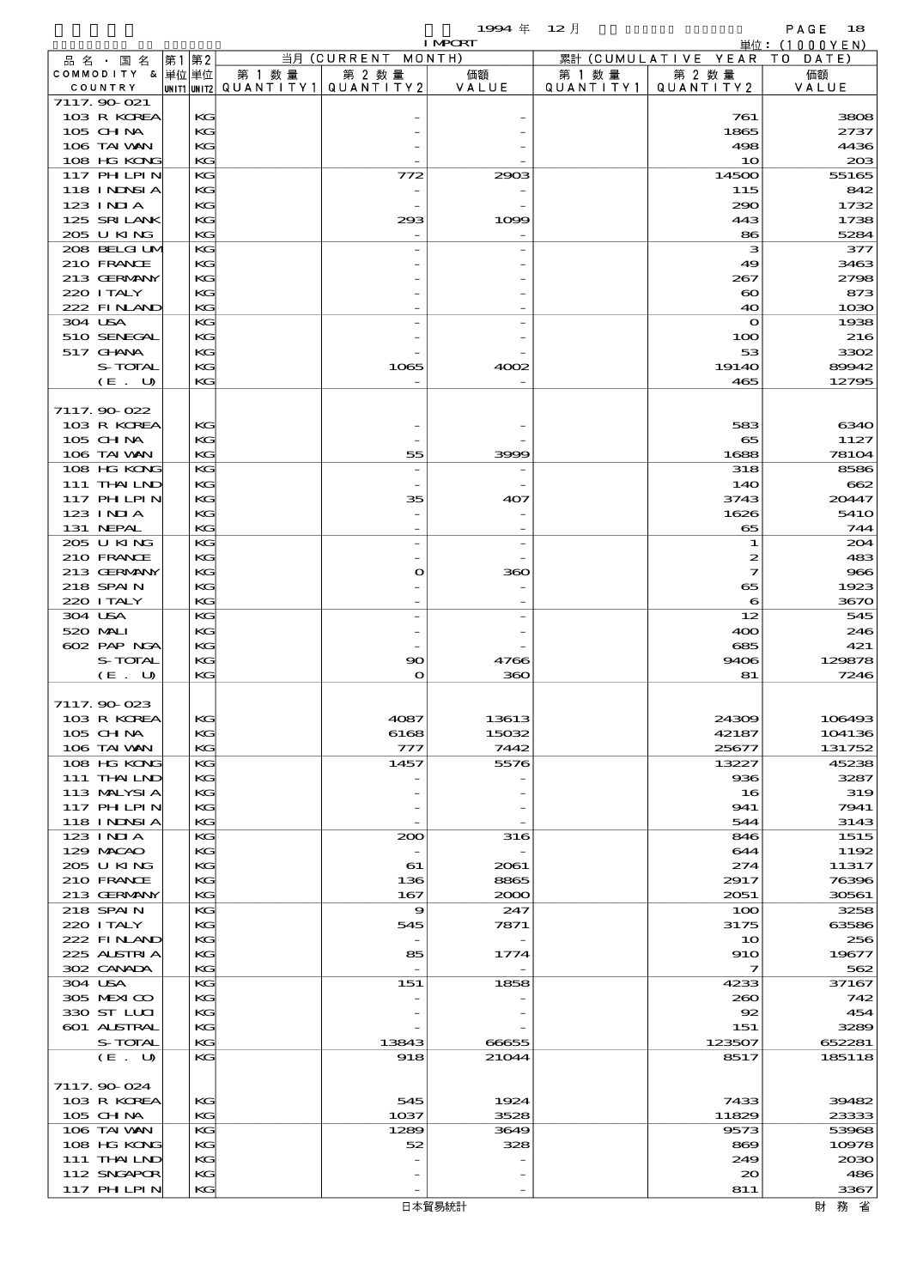$1994 \quad \text{#} \quad 12 \quad \text{#}$  PAGE 18

|          |                                 |    |          |                                                   |                | <b>I MPCRT</b> |                      |                              | 単位: (1000YEN)   |
|----------|---------------------------------|----|----------|---------------------------------------------------|----------------|----------------|----------------------|------------------------------|-----------------|
|          | 品 名 ・ 国 名                       | 第1 | 第2       |                                                   | 当月 (CURRENT    | MONTH)         |                      | 累計 (CUMULATIVE YEAR TO DATE) |                 |
|          | COMMODITY & 単位単位<br>COUNTRY     |    |          | 第 1 数 量<br> UNIT1 UNIT2  QUANT   TY1  QUANT   TY2 | 第 2 数量         | 価額<br>VALUE    | 第 1 数 量<br>QUANTITY1 | 第 2 数量<br>QUANTITY 2         | 価額<br>VALUE     |
|          | 7117.90-021                     |    |          |                                                   |                |                |                      |                              |                 |
|          | 103 R KOREA                     |    | KG       |                                                   |                |                |                      | 761                          | 3808            |
|          | 105 CHNA                        |    | KG       |                                                   |                |                |                      | 1865                         | 2737            |
|          | 106 TAI VAN                     |    | KG       |                                                   |                |                |                      | 498                          | 4436            |
|          | 108 HG KONG                     |    | KG       |                                                   |                |                |                      | 10                           | 208             |
|          | 117 PHLPIN<br>118 I NDSI A      |    | KG<br>KG |                                                   | 772            | 2903           |                      | 14500<br>115                 | 55165<br>842    |
|          | 123 INIA                        |    | KG       |                                                   |                |                |                      | 290                          | 1732            |
|          | 125 SRILANK                     |    | KG       |                                                   | 293            | 1099           |                      | 443                          | 1738            |
|          | 205 U KING                      |    | KG       |                                                   |                |                |                      | 86                           | 5284            |
|          | 208 BELGI UM                    |    | KG       |                                                   |                |                |                      | з                            | 377             |
|          | 210 FRANCE                      |    | KG       |                                                   |                |                |                      | 49                           | 3463            |
|          | 213 GERMANY<br>220 I TALY       |    | KG<br>KG |                                                   |                |                |                      | 267<br>$\boldsymbol{\infty}$ | 2798<br>873     |
|          | 222 FINAND                      |    | KG       |                                                   |                |                |                      | 40                           | 1030            |
| 304 USA  |                                 |    | KG       |                                                   |                |                |                      | $\mathbf o$                  | 1938            |
|          | 510 SENEGAL                     |    | KG       |                                                   |                |                |                      | 100                          | 216             |
|          | 517 GHNA                        |    | KG       |                                                   |                |                |                      | 53                           | 3302            |
|          | S-TOTAL                         |    | KG       |                                                   | 1065           | 4002           |                      | 1914O                        | 89942           |
|          | (E. U)                          |    | KG       |                                                   |                |                |                      | 465                          | 12795           |
|          | 7117.90-022                     |    |          |                                                   |                |                |                      |                              |                 |
|          | 103 R KOREA                     |    | KG       |                                                   |                |                |                      | 583                          | 6340            |
|          | $105$ CHNA                      |    | KG       |                                                   |                |                |                      | 65                           | 1127            |
|          | 106 TAI VAN                     |    | KG       |                                                   | 55             | 3999           |                      | 1688                         | 78104           |
|          | 108 HG KONG                     |    | KG       |                                                   | $\overline{a}$ |                |                      | 318                          | 8586            |
|          | 111 THAILND                     |    | KG       |                                                   |                |                |                      | 14O                          | 662             |
|          | <b>117 PHLPIN</b><br>$123$ INIA |    | KG<br>KG |                                                   | 35             | 407            |                      | 3743<br>1626                 | 20447<br>541O   |
|          | 131 NEPAL                       |    | KG       |                                                   |                |                |                      | 65                           | 744             |
|          | 205 U KING                      |    | KG       |                                                   |                |                |                      | 1                            | 204             |
|          | 210 FRANCE                      |    | KG       |                                                   |                |                |                      | 2                            | 483             |
|          | 213 GERMANY                     |    | KG       |                                                   | $\mathbf o$    | 360            |                      | 7                            | 966             |
|          | 218 SPAIN                       |    | KG       |                                                   |                |                |                      | 65                           | 1923            |
|          | 220 I TALY                      |    | KG       |                                                   |                |                |                      | 6                            | 3670            |
| 304 USA  |                                 |    | KG       |                                                   |                |                |                      | 12                           | 545             |
| 520 MALI | 602 PAP NGA                     |    | KG       |                                                   |                |                |                      | 400                          | 246             |
|          | S-TOTAL                         |    | KG<br>KG |                                                   | 90             | 4766           |                      | 685<br>9406                  | 421<br>129878   |
|          | (E. U)                          |    | KG       |                                                   | $\mathbf{o}$   | 360            |                      | 81                           | 7246            |
|          |                                 |    |          |                                                   |                |                |                      |                              |                 |
|          | 7117.90-023                     |    |          |                                                   |                |                |                      |                              |                 |
|          | 103 R KOREA                     |    | KG       |                                                   | 4087           | 13613          |                      | 24309                        | 106493          |
|          | 105 CH NA                       |    | KG       |                                                   | 6168           | 15032          |                      | 42187                        | 104136          |
|          | 106 TAI VAN<br>108 HG KONG      |    | KG<br>KG |                                                   | 777<br>1457    | 7442<br>5576   |                      | 25677<br>13227               | 131752<br>45238 |
|          | 111 THAILND                     |    | KG       |                                                   |                |                |                      | 936                          | 3287            |
|          | 113 MALYSIA                     |    | KG       |                                                   |                |                |                      | 16                           | 319             |
|          | 117 PH LPIN                     |    | KG       |                                                   |                |                |                      | 941                          | 7941            |
|          | 118 INNSI A                     |    | KG       |                                                   |                |                |                      | 544                          | 3143            |
|          | 123 INIA                        |    | KG       |                                                   | 200            | 316            |                      | 846                          | 1515            |
|          | 129 MACAO                       |    | KG       |                                                   |                |                |                      | 644                          | 1192            |
|          | 205 U KING<br>210 FRANCE        |    | KG<br>KG |                                                   | 61<br>136      | 2061<br>8865   |                      | 274<br>2917                  | 11317<br>76396  |
|          | 213 GERMANY                     |    | KG       |                                                   | 167            | 2000           |                      | 2051                         | 30561           |
|          | 218 SPAIN                       |    | KG       |                                                   | 9              | 247            |                      | 100                          | 3258            |
|          | 220 I TALY                      |    | KG       |                                                   | 545            | 7871           |                      | 3175                         | 63586           |
|          | 222 FINAND                      |    | KG       |                                                   |                |                |                      | 10                           | 256             |
|          | 225 ALSTRIA                     |    | KG       |                                                   | 85             | 1774           |                      | 910                          | 19677           |
|          | 302 CANADA                      |    | KG       |                                                   |                |                |                      | $\mathcal{I}$                | 562             |
| 304 USA  |                                 |    | KG       |                                                   | 151            | 1858           |                      | 4233                         | 37167           |
|          | 305 MEXICO<br>330 ST LLCI       |    | KG<br>KG |                                                   |                |                |                      | 260<br>92                    | 742<br>454      |
|          | 601 ALSTRAL                     |    | KG       |                                                   |                |                |                      | 151                          | 3289            |
|          | S-TOTAL                         |    | KG       |                                                   | 13843          | 66655          |                      | 123507                       | 652281          |
|          | (E. U)                          |    | KG       |                                                   | 918            | 21044          |                      | 8517                         | 185118          |
|          |                                 |    |          |                                                   |                |                |                      |                              |                 |
|          | 7117.90-024                     |    |          |                                                   |                |                |                      |                              |                 |
|          | 103 R KOREA                     |    | KG       |                                                   | 545            | 1924           |                      | 7433                         | 39482           |
|          | 105 CH NA<br>106 TAI VAN        |    | KG<br>KG |                                                   | 1037<br>1289   | 3528<br>3649   |                      | 11829<br>9573                | 23333<br>53968  |
|          | 108 HG KONG                     |    | KG       |                                                   | 52             | 328            |                      | 869                          | 10978           |
|          | 111 THAILND                     |    | KG       |                                                   |                |                |                      | 249                          | 2030            |
|          | 112 SNGAPOR                     |    | KG       |                                                   |                |                |                      | $_{\infty}$                  | 486             |
|          | 117 PH LPIN                     |    | KG       |                                                   |                |                |                      | 811                          | 3367            |